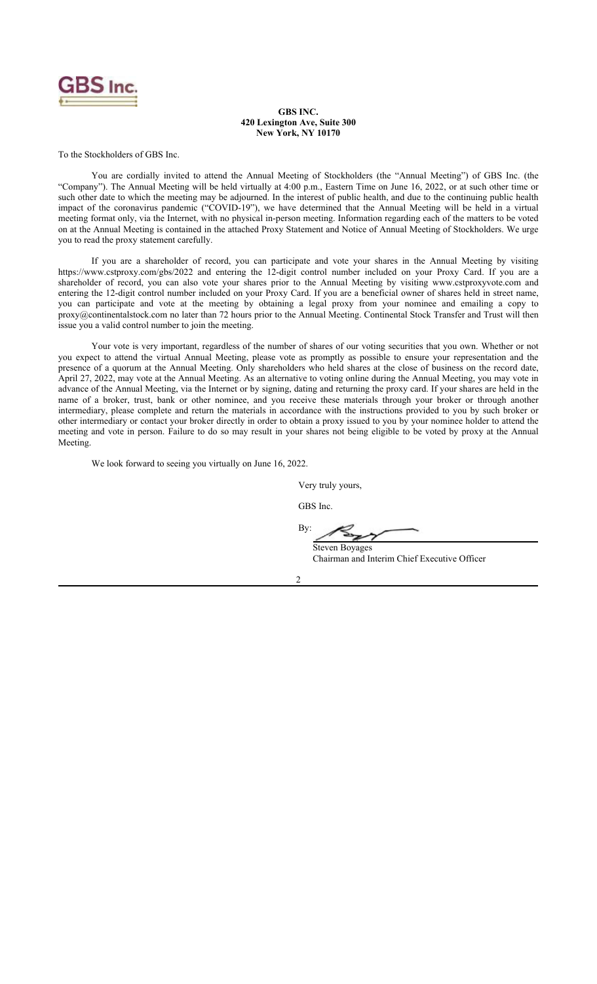

#### **GBS INC. 420 Lexington Ave, Suite 300 New York, NY 10170**

To the Stockholders of GBS Inc.

You are cordially invited to attend the Annual Meeting of Stockholders (the "Annual Meeting") of GBS Inc. (the "Company"). The Annual Meeting will be held virtually at 4:00 p.m., Eastern Time on June 16, 2022, or at such other time or such other date to which the meeting may be adjourned. In the interest of public health, and due to the continuing public health impact of the coronavirus pandemic ("COVID-19"), we have determined that the Annual Meeting will be held in a virtual meeting format only, via the Internet, with no physical in-person meeting. Information regarding each of the matters to be voted on at the Annual Meeting is contained in the attached Proxy Statement and Notice of Annual Meeting of Stockholders. We urge you to read the proxy statement carefully.

If you are a shareholder of record, you can participate and vote your shares in the Annual Meeting by visiting https://www.cstproxy.com/gbs/2022 and entering the 12-digit control number included on your Proxy Card. If you are a shareholder of record, you can also vote your shares prior to the Annual Meeting by visiting www.cstproxyvote.com and entering the 12-digit control number included on your Proxy Card. If you are a beneficial owner of shares held in street name, you can participate and vote at the meeting by obtaining a legal proxy from your nominee and emailing a copy to proxy@continentalstock.com no later than 72 hours prior to the Annual Meeting. Continental Stock Transfer and Trust will then issue you a valid control number to join the meeting.

Your vote is very important, regardless of the number of shares of our voting securities that you own. Whether or not you expect to attend the virtual Annual Meeting, please vote as promptly as possible to ensure your representation and the presence of a quorum at the Annual Meeting. Only shareholders who held shares at the close of business on the record date, April 27, 2022, may vote at the Annual Meeting. As an alternative to voting online during the Annual Meeting, you may vote in advance of the Annual Meeting, via the Internet or by signing, dating and returning the proxy card. If your shares are held in the name of a broker, trust, bank or other nominee, and you receive these materials through your broker or through another intermediary, please complete and return the materials in accordance with the instructions provided to you by such broker or other intermediary or contact your broker directly in order to obtain a proxy issued to you by your nominee holder to attend the meeting and vote in person. Failure to do so may result in your shares not being eligible to be voted by proxy at the Annual Meeting.

We look forward to seeing you virtually on June 16, 2022.

Very truly yours,

GBS Inc.

B<sub>v</sub>:

Steven Boyages Chairman and Interim Chief Executive Officer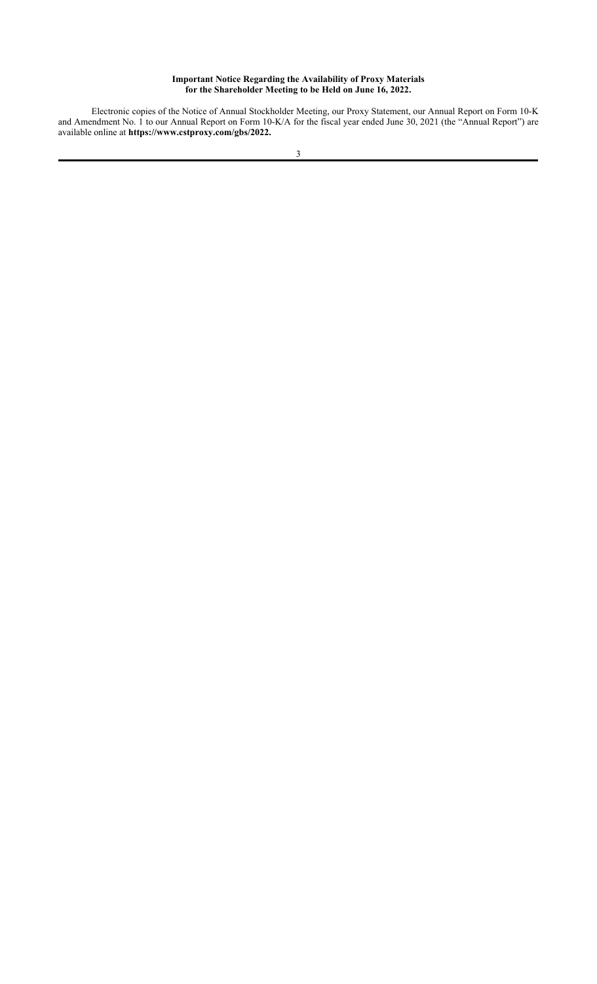# **Important Notice Regarding the Availability of Proxy Materials for the Shareholder Meeting to be Held on June 16, 2022.**

Electronic copies of the Notice of Annual Stockholder Meeting, our Proxy Statement, our Annual Report on Form 10-K and Amendment No. 1 to our Annual Report on Form 10-K/A for the fiscal year ended June 30, 2021 (the "Annual Report") are available online at **https://www.cstproxy.com/gbs/2022.**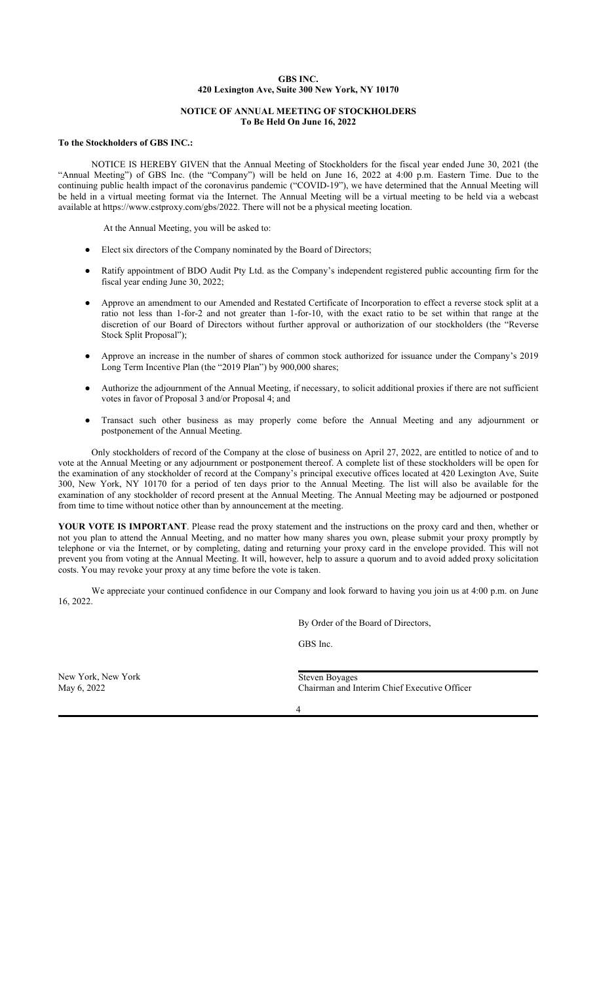# **GBS INC. 420 Lexington Ave, Suite 300 New York, NY 10170**

## **NOTICE OF ANNUAL MEETING OF STOCKHOLDERS To Be Held On June 16, 2022**

## **To the Stockholders of GBS INC.:**

NOTICE IS HEREBY GIVEN that the Annual Meeting of Stockholders for the fiscal year ended June 30, 2021 (the "Annual Meeting") of GBS Inc. (the "Company") will be held on June 16, 2022 at 4:00 p.m. Eastern Time. Due to the continuing public health impact of the coronavirus pandemic ("COVID-19"), we have determined that the Annual Meeting will be held in a virtual meeting format via the Internet. The Annual Meeting will be a virtual meeting to be held via a webcast available at https://www.cstproxy.com/gbs/2022. There will not be a physical meeting location.

At the Annual Meeting, you will be asked to:

- Elect six directors of the Company nominated by the Board of Directors;
- Ratify appointment of BDO Audit Pty Ltd. as the Company's independent registered public accounting firm for the fiscal year ending June 30, 2022;
- Approve an amendment to our Amended and Restated Certificate of Incorporation to effect a reverse stock split at a ratio not less than 1-for-2 and not greater than 1-for-10, with the exact ratio to be set within that range at the discretion of our Board of Directors without further approval or authorization of our stockholders (the "Reverse Stock Split Proposal");
- Approve an increase in the number of shares of common stock authorized for issuance under the Company's 2019 Long Term Incentive Plan (the "2019 Plan") by 900,000 shares;
- Authorize the adjournment of the Annual Meeting, if necessary, to solicit additional proxies if there are not sufficient votes in favor of Proposal 3 and/or Proposal 4; and
- Transact such other business as may properly come before the Annual Meeting and any adjournment or postponement of the Annual Meeting.

Only stockholders of record of the Company at the close of business on April 27, 2022, are entitled to notice of and to vote at the Annual Meeting or any adjournment or postponement thereof. A complete list of these stockholders will be open for the examination of any stockholder of record at the Company's principal executive offices located at 420 Lexington Ave, Suite 300, New York, NY 10170 for a period of ten days prior to the Annual Meeting. The list will also be available for the examination of any stockholder of record present at the Annual Meeting. The Annual Meeting may be adjourned or postponed from time to time without notice other than by announcement at the meeting.

**YOUR VOTE IS IMPORTANT**. Please read the proxy statement and the instructions on the proxy card and then, whether or not you plan to attend the Annual Meeting, and no matter how many shares you own, please submit your proxy promptly by telephone or via the Internet, or by completing, dating and returning your proxy card in the envelope provided. This will not prevent you from voting at the Annual Meeting. It will, however, help to assure a quorum and to avoid added proxy solicitation costs. You may revoke your proxy at any time before the vote is taken.

We appreciate your continued confidence in our Company and look forward to having you join us at 4:00 p.m. on June 16, 2022.

By Order of the Board of Directors,

GBS Inc.

New York, New York Steven Boyages

May 6, 2022 Chairman and Interim Chief Executive Officer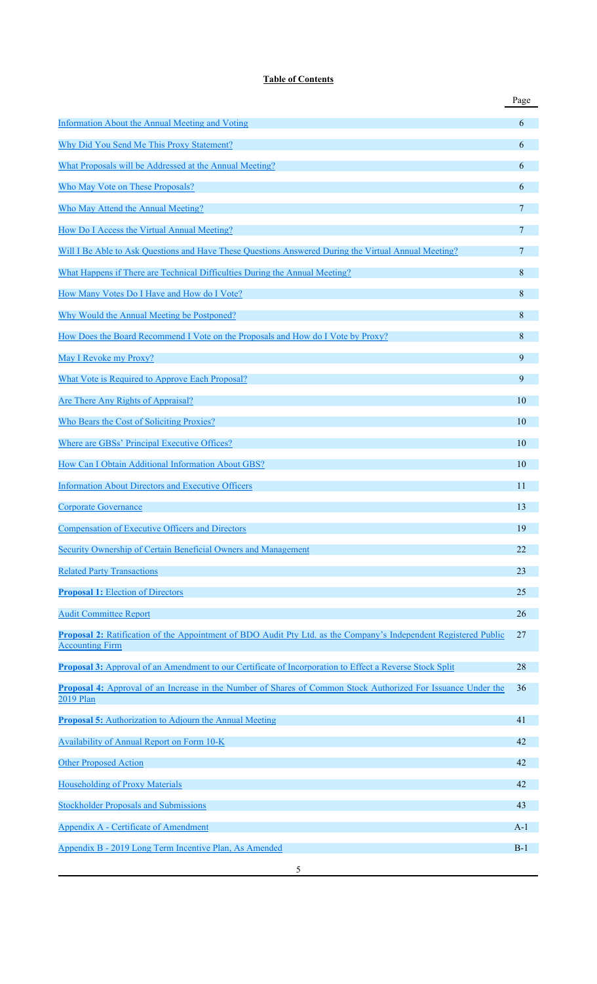# **Table of Contents**

|                                                                                                                                            | Page  |
|--------------------------------------------------------------------------------------------------------------------------------------------|-------|
| Information About the Annual Meeting and Voting                                                                                            | 6     |
| Why Did You Send Me This Proxy Statement?                                                                                                  | 6     |
| What Proposals will be Addressed at the Annual Meeting?                                                                                    | 6     |
| Who May Vote on These Proposals?                                                                                                           | 6     |
| Who May Attend the Annual Meeting?                                                                                                         | 7     |
| How Do I Access the Virtual Annual Meeting?                                                                                                | 7     |
| Will I Be Able to Ask Questions and Have These Questions Answered During the Virtual Annual Meeting?                                       | 7     |
| What Happens if There are Technical Difficulties During the Annual Meeting?                                                                | 8     |
| How Many Votes Do I Have and How do I Vote?                                                                                                | 8     |
| Why Would the Annual Meeting be Postponed?                                                                                                 | 8     |
| How Does the Board Recommend I Vote on the Proposals and How do I Vote by Proxy?                                                           | 8     |
| May I Revoke my Proxy?                                                                                                                     | 9     |
| What Vote is Required to Approve Each Proposal?                                                                                            | 9     |
| Are There Any Rights of Appraisal?                                                                                                         | 10    |
| Who Bears the Cost of Soliciting Proxies?                                                                                                  | 10    |
| Where are GBSs' Principal Executive Offices?                                                                                               | 10    |
| How Can I Obtain Additional Information About GBS?                                                                                         | 10    |
| <b>Information About Directors and Executive Officers</b>                                                                                  | 11    |
| <b>Corporate Governance</b>                                                                                                                | 13    |
| <b>Compensation of Executive Officers and Directors</b>                                                                                    | 19    |
| Security Ownership of Certain Beneficial Owners and Management                                                                             | 22    |
| <b>Related Party Transactions</b>                                                                                                          | 23    |
| <b>Proposal 1:</b> Election of Directors                                                                                                   | 25    |
|                                                                                                                                            | 26    |
| <b>Audit Committee Report</b>                                                                                                              |       |
| Proposal 2: Ratification of the Appointment of BDO Audit Pty Ltd. as the Company's Independent Registered Public<br><b>Accounting Firm</b> | 27    |
| Proposal 3: Approval of an Amendment to our Certificate of Incorporation to Effect a Reverse Stock Split                                   | 28    |
| <b>Proposal 4:</b> Approval of an Increase in the Number of Shares of Common Stock Authorized For Issuance Under the<br>2019 Plan          | 36    |
| <b>Proposal 5:</b> Authorization to Adjourn the Annual Meeting                                                                             | 41    |
| Availability of Annual Report on Form 10-K                                                                                                 | 42    |
| <b>Other Proposed Action</b>                                                                                                               | 42    |
| <b>Householding of Proxy Materials</b>                                                                                                     | 42    |
| <b>Stockholder Proposals and Submissions</b>                                                                                               | 43    |
| Appendix A - Certificate of Amendment                                                                                                      | $A-1$ |
| Appendix B - 2019 Long Term Incentive Plan, As Amended                                                                                     | $B-1$ |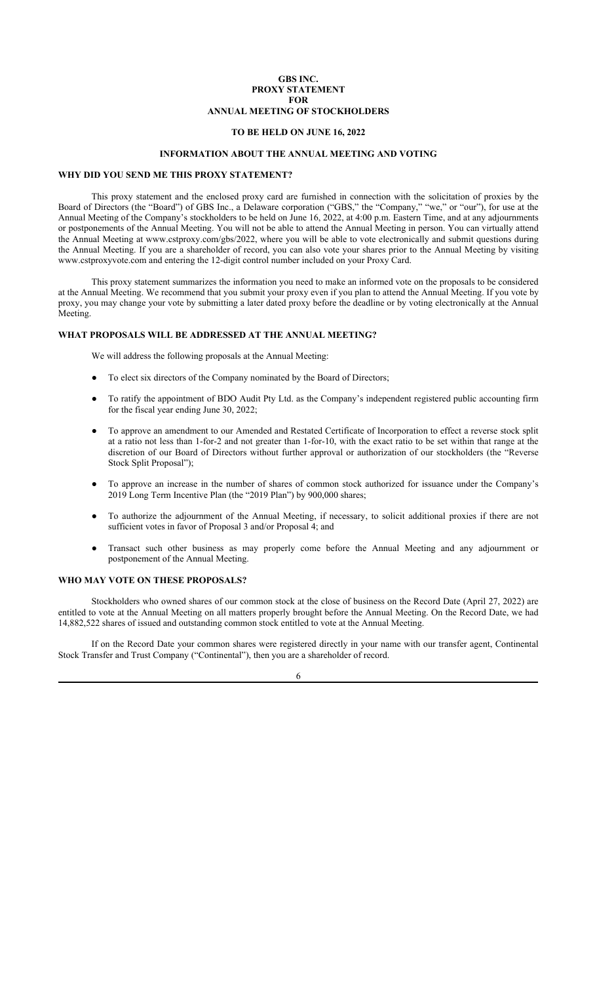## **GBS INC. PROXY STATEMENT FOR ANNUAL MEETING OF STOCKHOLDERS**

# **TO BE HELD ON JUNE 16, 2022**

## **INFORMATION ABOUT THE ANNUAL MEETING AND VOTING**

## **WHY DID YOU SEND ME THIS PROXY STATEMENT?**

This proxy statement and the enclosed proxy card are furnished in connection with the solicitation of proxies by the Board of Directors (the "Board") of GBS Inc., a Delaware corporation ("GBS," the "Company," "we," or "our"), for use at the Annual Meeting of the Company's stockholders to be held on June 16, 2022, at 4:00 p.m. Eastern Time, and at any adjournments or postponements of the Annual Meeting. You will not be able to attend the Annual Meeting in person. You can virtually attend the Annual Meeting at www.cstproxy.com/gbs/2022, where you will be able to vote electronically and submit questions during the Annual Meeting. If you are a shareholder of record, you can also vote your shares prior to the Annual Meeting by visiting www.cstproxyvote.com and entering the 12-digit control number included on your Proxy Card.

This proxy statement summarizes the information you need to make an informed vote on the proposals to be considered at the Annual Meeting. We recommend that you submit your proxy even if you plan to attend the Annual Meeting. If you vote by proxy, you may change your vote by submitting a later dated proxy before the deadline or by voting electronically at the Annual Meeting.

## **WHAT PROPOSALS WILL BE ADDRESSED AT THE ANNUAL MEETING?**

We will address the following proposals at the Annual Meeting:

- To elect six directors of the Company nominated by the Board of Directors;
- To ratify the appointment of BDO Audit Pty Ltd. as the Company's independent registered public accounting firm for the fiscal year ending June 30, 2022;
- To approve an amendment to our Amended and Restated Certificate of Incorporation to effect a reverse stock split at a ratio not less than 1-for-2 and not greater than 1-for-10, with the exact ratio to be set within that range at the discretion of our Board of Directors without further approval or authorization of our stockholders (the "Reverse Stock Split Proposal");
- To approve an increase in the number of shares of common stock authorized for issuance under the Company's 2019 Long Term Incentive Plan (the "2019 Plan") by 900,000 shares;
- To authorize the adjournment of the Annual Meeting, if necessary, to solicit additional proxies if there are not sufficient votes in favor of Proposal 3 and/or Proposal 4; and
- Transact such other business as may properly come before the Annual Meeting and any adjournment or postponement of the Annual Meeting.

## **WHO MAY VOTE ON THESE PROPOSALS?**

Stockholders who owned shares of our common stock at the close of business on the Record Date (April 27, 2022) are entitled to vote at the Annual Meeting on all matters properly brought before the Annual Meeting. On the Record Date, we had 14,882,522 shares of issued and outstanding common stock entitled to vote at the Annual Meeting.

If on the Record Date your common shares were registered directly in your name with our transfer agent, Continental Stock Transfer and Trust Company ("Continental"), then you are a shareholder of record.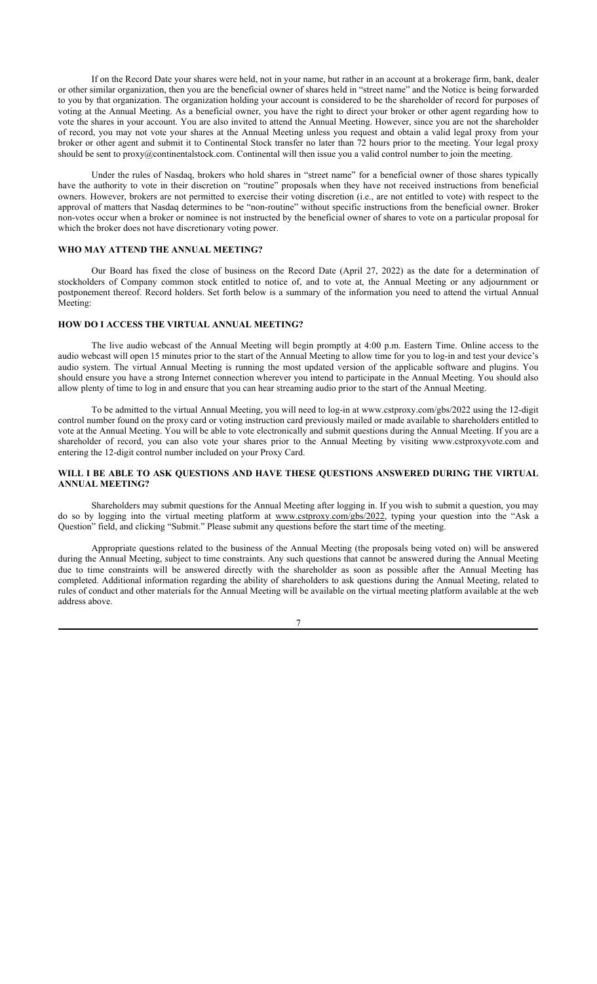If on the Record Date your shares were held, not in your name, but rather in an account at a brokerage firm, bank, dealer or other similar organization, then you are the beneficial owner of shares held in "street name" and the Notice is being forwarded to you by that organization. The organization holding your account is considered to be the shareholder of record for purposes of voting at the Annual Meeting. As a beneficial owner, you have the right to direct your broker or other agent regarding how to vote the shares in your account. You are also invited to attend the Annual Meeting. However, since you are not the shareholder of record, you may not vote your shares at the Annual Meeting unless you request and obtain a valid legal proxy from your broker or other agent and submit it to Continental Stock transfer no later than 72 hours prior to the meeting. Your legal proxy should be sent to proxy@continentalstock.com. Continental will then issue you a valid control number to join the meeting.

Under the rules of Nasdaq, brokers who hold shares in "street name" for a beneficial owner of those shares typically have the authority to vote in their discretion on "routine" proposals when they have not received instructions from beneficial owners. However, brokers are not permitted to exercise their voting discretion (i.e., are not entitled to vote) with respect to the approval of matters that Nasdaq determines to be "non-routine" without specific instructions from the beneficial owner. Broker non-votes occur when a broker or nominee is not instructed by the beneficial owner of shares to vote on a particular proposal for which the broker does not have discretionary voting power.

## **WHO MAY ATTEND THE ANNUAL MEETING?**

Our Board has fixed the close of business on the Record Date (April 27, 2022) as the date for a determination of stockholders of Company common stock entitled to notice of, and to vote at, the Annual Meeting or any adjournment or postponement thereof. Record holders. Set forth below is a summary of the information you need to attend the virtual Annual Meeting:

## **HOW DO I ACCESS THE VIRTUAL ANNUAL MEETING?**

The live audio webcast of the Annual Meeting will begin promptly at 4:00 p.m. Eastern Time. Online access to the audio webcast will open 15 minutes prior to the start of the Annual Meeting to allow time for you to log-in and test your device's audio system. The virtual Annual Meeting is running the most updated version of the applicable software and plugins. You should ensure you have a strong Internet connection wherever you intend to participate in the Annual Meeting. You should also allow plenty of time to log in and ensure that you can hear streaming audio prior to the start of the Annual Meeting.

To be admitted to the virtual Annual Meeting, you will need to log-in at www.cstproxy.com/gbs/2022 using the 12-digit control number found on the proxy card or voting instruction card previously mailed or made available to shareholders entitled to vote at the Annual Meeting. You will be able to vote electronically and submit questions during the Annual Meeting. If you are a shareholder of record, you can also vote your shares prior to the Annual Meeting by visiting www.cstproxyvote.com and entering the 12-digit control number included on your Proxy Card.

## **WILL I BE ABLE TO ASK QUESTIONS AND HAVE THESE QUESTIONS ANSWERED DURING THE VIRTUAL ANNUAL MEETING?**

Shareholders may submit questions for the Annual Meeting after logging in. If you wish to submit a question, you may do so by logging into the virtual meeting platform at www.cstproxy.com/gbs/2022, typing your question into the "Ask a Question" field, and clicking "Submit." Please submit any questions before the start time of the meeting.

Appropriate questions related to the business of the Annual Meeting (the proposals being voted on) will be answered during the Annual Meeting, subject to time constraints. Any such questions that cannot be answered during the Annual Meeting due to time constraints will be answered directly with the shareholder as soon as possible after the Annual Meeting has completed. Additional information regarding the ability of shareholders to ask questions during the Annual Meeting, related to rules of conduct and other materials for the Annual Meeting will be available on the virtual meeting platform available at the web address above.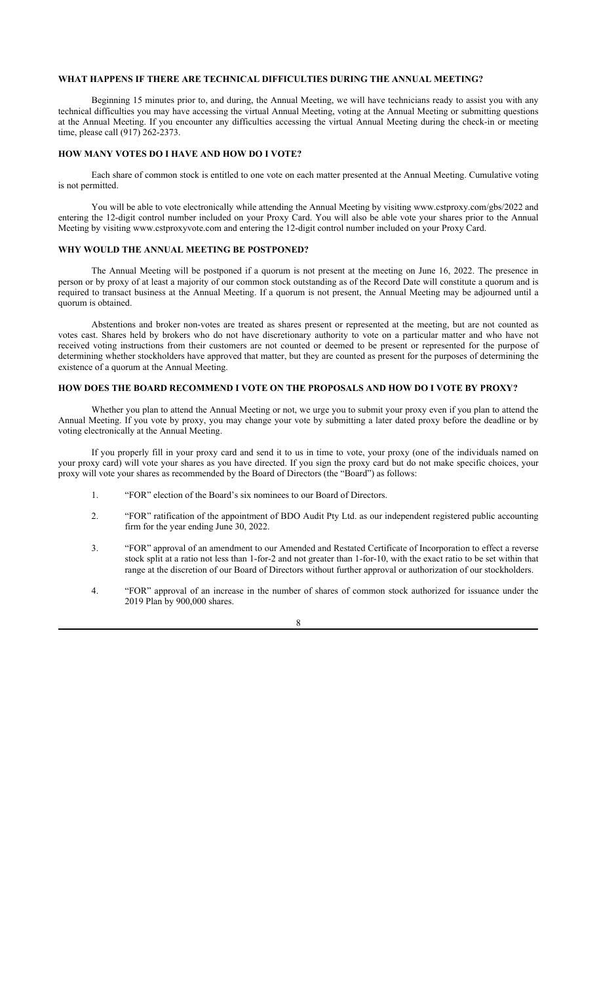## **WHAT HAPPENS IF THERE ARE TECHNICAL DIFFICULTIES DURING THE ANNUAL MEETING?**

Beginning 15 minutes prior to, and during, the Annual Meeting, we will have technicians ready to assist you with any technical difficulties you may have accessing the virtual Annual Meeting, voting at the Annual Meeting or submitting questions at the Annual Meeting. If you encounter any difficulties accessing the virtual Annual Meeting during the check-in or meeting time, please call (917) 262-2373.

## **HOW MANY VOTES DO I HAVE AND HOW DO I VOTE?**

Each share of common stock is entitled to one vote on each matter presented at the Annual Meeting. Cumulative voting is not permitted.

You will be able to vote electronically while attending the Annual Meeting by visiting www.cstproxy.com/gbs/2022 and entering the 12-digit control number included on your Proxy Card. You will also be able vote your shares prior to the Annual Meeting by visiting www.cstproxyvote.com and entering the 12-digit control number included on your Proxy Card.

## **WHY WOULD THE ANNUAL MEETING BE POSTPONED?**

The Annual Meeting will be postponed if a quorum is not present at the meeting on June 16, 2022. The presence in person or by proxy of at least a majority of our common stock outstanding as of the Record Date will constitute a quorum and is required to transact business at the Annual Meeting. If a quorum is not present, the Annual Meeting may be adjourned until a quorum is obtained.

Abstentions and broker non-votes are treated as shares present or represented at the meeting, but are not counted as votes cast. Shares held by brokers who do not have discretionary authority to vote on a particular matter and who have not received voting instructions from their customers are not counted or deemed to be present or represented for the purpose of determining whether stockholders have approved that matter, but they are counted as present for the purposes of determining the existence of a quorum at the Annual Meeting.

## **HOW DOES THE BOARD RECOMMEND I VOTE ON THE PROPOSALS AND HOW DO I VOTE BY PROXY?**

Whether you plan to attend the Annual Meeting or not, we urge you to submit your proxy even if you plan to attend the Annual Meeting. If you vote by proxy, you may change your vote by submitting a later dated proxy before the deadline or by voting electronically at the Annual Meeting.

If you properly fill in your proxy card and send it to us in time to vote, your proxy (one of the individuals named on your proxy card) will vote your shares as you have directed. If you sign the proxy card but do not make specific choices, your proxy will vote your shares as recommended by the Board of Directors (the "Board") as follows:

- 1. "FOR" election of the Board's six nominees to our Board of Directors.
- 2. "FOR" ratification of the appointment of BDO Audit Pty Ltd. as our independent registered public accounting firm for the year ending June 30, 2022.
- 3. "FOR" approval of an amendment to our Amended and Restated Certificate of Incorporation to effect a reverse stock split at a ratio not less than 1-for-2 and not greater than 1-for-10, with the exact ratio to be set within that range at the discretion of our Board of Directors without further approval or authorization of our stockholders.
- 4. "FOR" approval of an increase in the number of shares of common stock authorized for issuance under the 2019 Plan by 900,000 shares.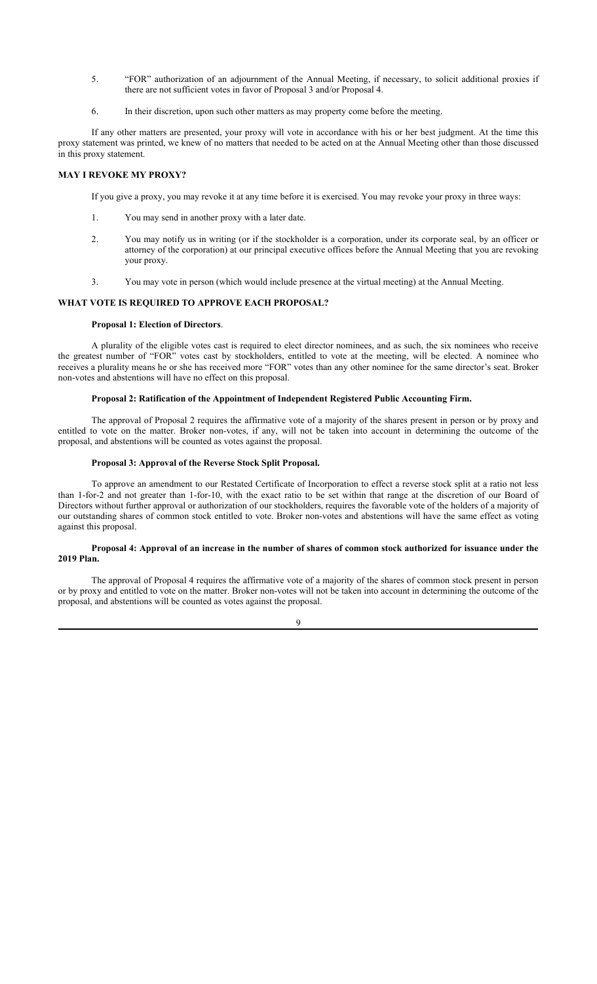- 5. "FOR" authorization of an adjournment of the Annual Meeting, if necessary, to solicit additional proxies if there are not sufficient votes in favor of Proposal 3 and/or Proposal 4.
- 6. In their discretion, upon such other matters as may property come before the meeting.

If any other matters are presented, your proxy will vote in accordance with his or her best judgment. At the time this proxy statement was printed, we knew of no matters that needed to be acted on at the Annual Meeting other than those discussed in this proxy statement.

## **MAY I REVOKE MY PROXY?**

If you give a proxy, you may revoke it at any time before it is exercised. You may revoke your proxy in three ways:

- 1. You may send in another proxy with a later date.
- 2. You may notify us in writing (or if the stockholder is a corporation, under its corporate seal, by an officer or attorney of the corporation) at our principal executive offices before the Annual Meeting that you are revoking your proxy.
- 3. You may vote in person (which would include presence at the virtual meeting) at the Annual Meeting.

## **WHAT VOTE IS REQUIRED TO APPROVE EACH PROPOSAL?**

## **Proposal 1: Election of Directors**.

A plurality of the eligible votes cast is required to elect director nominees, and as such, the six nominees who receive the greatest number of "FOR" votes cast by stockholders, entitled to vote at the meeting, will be elected. A nominee who receives a plurality means he or she has received more "FOR" votes than any other nominee for the same director's seat. Broker non-votes and abstentions will have no effect on this proposal.

## **Proposal 2: Ratification of the Appointment of Independent Registered Public Accounting Firm.**

The approval of Proposal 2 requires the affirmative vote of a majority of the shares present in person or by proxy and entitled to vote on the matter. Broker non-votes, if any, will not be taken into account in determining the outcome of the proposal, and abstentions will be counted as votes against the proposal.

## **Proposal 3: Approval of the Reverse Stock Split Proposal.**

To approve an amendment to our Restated Certificate of Incorporation to effect a reverse stock split at a ratio not less than 1-for-2 and not greater than 1-for-10, with the exact ratio to be set within that range at the discretion of our Board of Directors without further approval or authorization of our stockholders, requires the favorable vote of the holders of a majority of our outstanding shares of common stock entitled to vote. Broker non-votes and abstentions will have the same effect as voting against this proposal.

## **Proposal 4: Approval of an increase in the number of shares of common stock authorized for issuance under the 2019 Plan.**

The approval of Proposal 4 requires the affirmative vote of a majority of the shares of common stock present in person or by proxy and entitled to vote on the matter. Broker non-votes will not be taken into account in determining the outcome of the proposal, and abstentions will be counted as votes against the proposal.

 $\mathbf{o}$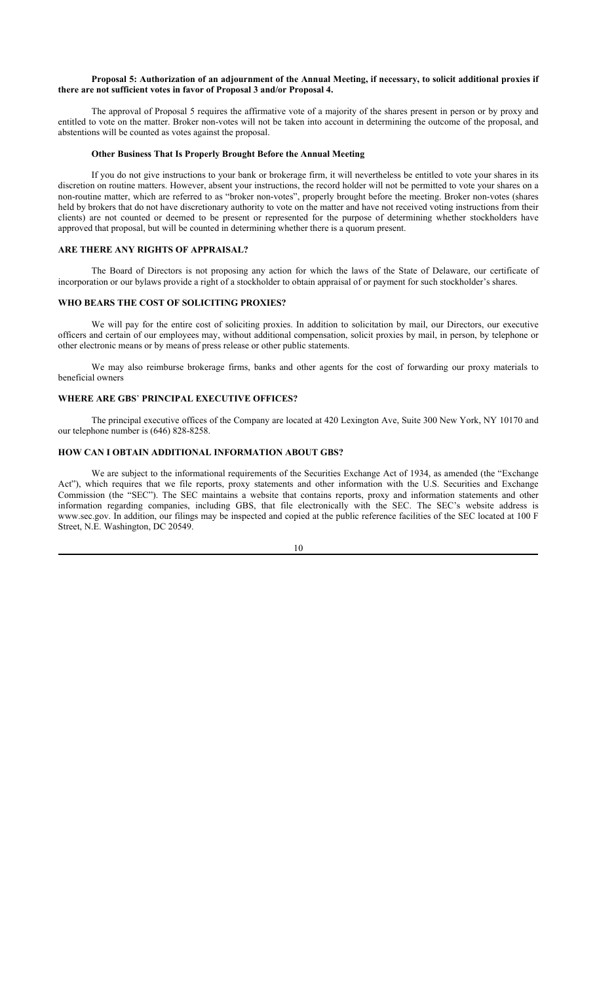## **Proposal 5: Authorization of an adjournment of the Annual Meeting, if necessary, to solicit additional proxies if there are not sufficient votes in favor of Proposal 3 and/or Proposal 4.**

The approval of Proposal 5 requires the affirmative vote of a majority of the shares present in person or by proxy and entitled to vote on the matter. Broker non-votes will not be taken into account in determining the outcome of the proposal, and abstentions will be counted as votes against the proposal.

#### **Other Business That Is Properly Brought Before the Annual Meeting**

If you do not give instructions to your bank or brokerage firm, it will nevertheless be entitled to vote your shares in its discretion on routine matters. However, absent your instructions, the record holder will not be permitted to vote your shares on a non-routine matter, which are referred to as "broker non-votes", properly brought before the meeting. Broker non-votes (shares held by brokers that do not have discretionary authority to vote on the matter and have not received voting instructions from their clients) are not counted or deemed to be present or represented for the purpose of determining whether stockholders have approved that proposal, but will be counted in determining whether there is a quorum present.

## **ARE THERE ANY RIGHTS OF APPRAISAL?**

The Board of Directors is not proposing any action for which the laws of the State of Delaware, our certificate of incorporation or our bylaws provide a right of a stockholder to obtain appraisal of or payment for such stockholder's shares.

## **WHO BEARS THE COST OF SOLICITING PROXIES?**

We will pay for the entire cost of soliciting proxies. In addition to solicitation by mail, our Directors, our executive officers and certain of our employees may, without additional compensation, solicit proxies by mail, in person, by telephone or other electronic means or by means of press release or other public statements.

We may also reimburse brokerage firms, banks and other agents for the cost of forwarding our proxy materials to beneficial owners

# **WHERE ARE GBS**' **PRINCIPAL EXECUTIVE OFFICES?**

The principal executive offices of the Company are located at 420 Lexington Ave, Suite 300 New York, NY 10170 and our telephone number is (646) 828-8258.

# **HOW CAN I OBTAIN ADDITIONAL INFORMATION ABOUT GBS?**

We are subject to the informational requirements of the Securities Exchange Act of 1934, as amended (the "Exchange Act"), which requires that we file reports, proxy statements and other information with the U.S. Securities and Exchange Commission (the "SEC"). The SEC maintains a website that contains reports, proxy and information statements and other information regarding companies, including GBS, that file electronically with the SEC. The SEC's website address is www.sec.gov. In addition, our filings may be inspected and copied at the public reference facilities of the SEC located at 100 F Street, N.E. Washington, DC 20549.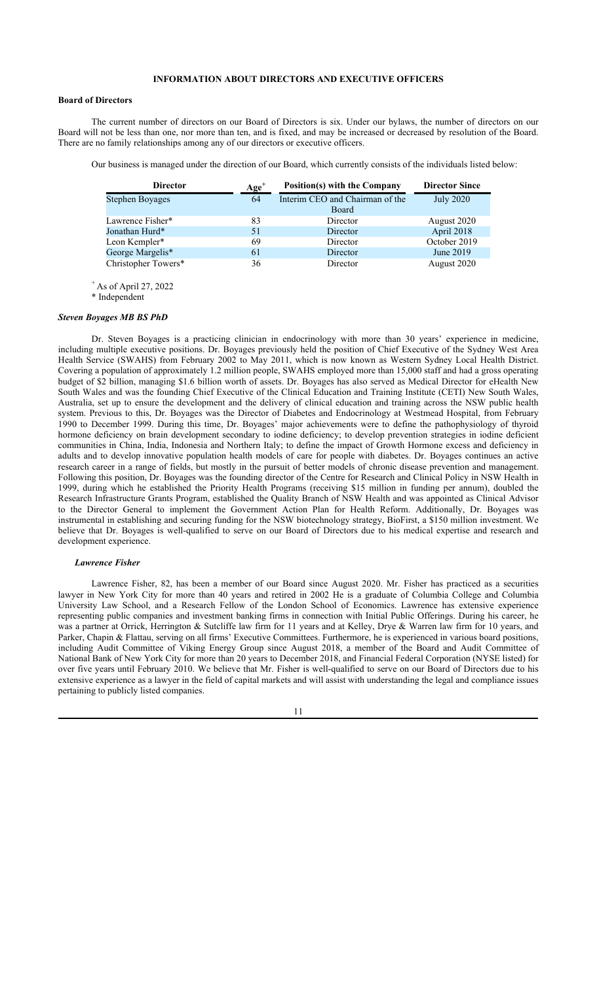## **INFORMATION ABOUT DIRECTORS AND EXECUTIVE OFFICERS**

#### **Board of Directors**

The current number of directors on our Board of Directors is six. Under our bylaws, the number of directors on our Board will not be less than one, nor more than ten, and is fixed, and may be increased or decreased by resolution of the Board. There are no family relationships among any of our directors or executive officers.

Our business is managed under the direction of our Board, which currently consists of the individuals listed below:

| <b>Director</b>     | $Age+$ | Position(s) with the Company    | <b>Director Since</b> |
|---------------------|--------|---------------------------------|-----------------------|
| Stephen Boyages     | 64     | Interim CEO and Chairman of the | <b>July 2020</b>      |
|                     |        | Board                           |                       |
| Lawrence Fisher*    | 83     | Director                        | August 2020           |
| Jonathan Hurd*      | 51     | Director                        | April 2018            |
| Leon Kempler*       | 69     | Director                        | October 2019          |
| George Margelis*    | 61     | Director                        | June 2019             |
| Christopher Towers* | 36     | Director                        | August 2020           |

 $^+$  As of April 27, 2022

\* Independent

## *Steven Boyages MB BS PhD*

Dr. Steven Boyages is a practicing clinician in endocrinology with more than 30 years' experience in medicine, including multiple executive positions. Dr. Boyages previously held the position of Chief Executive of the Sydney West Area Health Service (SWAHS) from February 2002 to May 2011, which is now known as Western Sydney Local Health District. Covering a population of approximately 1.2 million people, SWAHS employed more than 15,000 staff and had a gross operating budget of \$2 billion, managing \$1.6 billion worth of assets. Dr. Boyages has also served as Medical Director for eHealth New South Wales and was the founding Chief Executive of the Clinical Education and Training Institute (CETI) New South Wales, Australia, set up to ensure the development and the delivery of clinical education and training across the NSW public health system. Previous to this, Dr. Boyages was the Director of Diabetes and Endocrinology at Westmead Hospital, from February 1990 to December 1999. During this time, Dr. Boyages' major achievements were to define the pathophysiology of thyroid hormone deficiency on brain development secondary to iodine deficiency; to develop prevention strategies in iodine deficient communities in China, India, Indonesia and Northern Italy; to define the impact of Growth Hormone excess and deficiency in adults and to develop innovative population health models of care for people with diabetes. Dr. Boyages continues an active research career in a range of fields, but mostly in the pursuit of better models of chronic disease prevention and management. Following this position, Dr. Boyages was the founding director of the Centre for Research and Clinical Policy in NSW Health in 1999, during which he established the Priority Health Programs (receiving \$15 million in funding per annum), doubled the Research Infrastructure Grants Program, established the Quality Branch of NSW Health and was appointed as Clinical Advisor to the Director General to implement the Government Action Plan for Health Reform. Additionally, Dr. Boyages was instrumental in establishing and securing funding for the NSW biotechnology strategy, BioFirst, a \$150 million investment. We believe that Dr. Boyages is well-qualified to serve on our Board of Directors due to his medical expertise and research and development experience.

#### *Lawrence Fisher*

Lawrence Fisher, 82, has been a member of our Board since August 2020. Mr. Fisher has practiced as a securities lawyer in New York City for more than 40 years and retired in 2002 He is a graduate of Columbia College and Columbia University Law School, and a Research Fellow of the London School of Economics. Lawrence has extensive experience representing public companies and investment banking firms in connection with Initial Public Offerings. During his career, he was a partner at Orrick, Herrington & Sutcliffe law firm for 11 years and at Kelley, Drye & Warren law firm for 10 years, and Parker, Chapin & Flattau, serving on all firms' Executive Committees. Furthermore, he is experienced in various board positions, including Audit Committee of Viking Energy Group since August 2018, a member of the Board and Audit Committee of National Bank of New York City for more than 20 years to December 2018, and Financial Federal Corporation (NYSE listed) for over five years until February 2010. We believe that Mr. Fisher is well-qualified to serve on our Board of Directors due to his extensive experience as a lawyer in the field of capital markets and will assist with understanding the legal and compliance issues pertaining to publicly listed companies.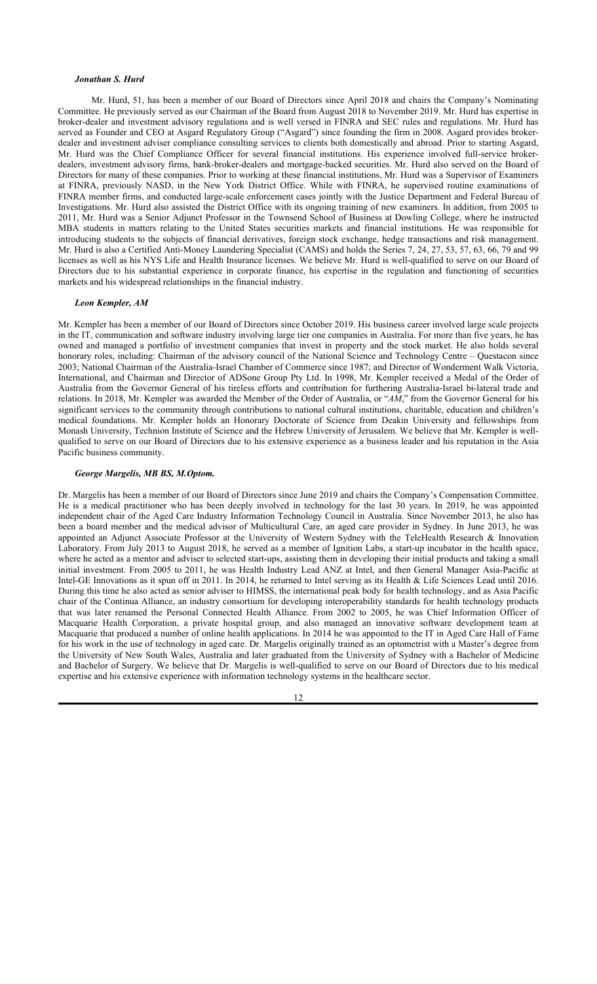#### *Jonathan S. Hurd*

Mr. Hurd, 51, has been a member of our Board of Directors since April 2018 and chairs the Company's Nominating Committee. He previously served as our Chairman of the Board from August 2018 to November 2019. Mr. Hurd has expertise in broker-dealer and investment advisory regulations and is well versed in FINRA and SEC rules and regulations. Mr. Hurd has served as Founder and CEO at Asgard Regulatory Group ("Asgard") since founding the firm in 2008. Asgard provides brokerdealer and investment adviser compliance consulting services to clients both domestically and abroad. Prior to starting Asgard, Mr. Hurd was the Chief Compliance Officer for several financial institutions. His experience involved full-service brokerdealers, investment advisory firms, bank-broker-dealers and mortgage-backed securities. Mr. Hurd also served on the Board of Directors for many of these companies. Prior to working at these financial institutions, Mr. Hurd was a Supervisor of Examiners at FINRA, previously NASD, in the New York District Office. While with FINRA, he supervised routine examinations of FINRA member firms, and conducted large-scale enforcement cases jointly with the Justice Department and Federal Bureau of Investigations. Mr. Hurd also assisted the District Office with its ongoing training of new examiners. In addition, from 2005 to 2011, Mr. Hurd was a Senior Adjunct Professor in the Townsend School of Business at Dowling College, where he instructed MBA students in matters relating to the United States securities markets and financial institutions. He was responsible for introducing students to the subjects of financial derivatives, foreign stock exchange, hedge transactions and risk management. Mr. Hurd is also a Certified Anti-Money Laundering Specialist (CAMS) and holds the Series 7, 24, 27, 53, 57, 63, 66, 79 and 99 licenses as well as his NYS Life and Health Insurance licenses. We believe Mr. Hurd is well-qualified to serve on our Board of Directors due to his substantial experience in corporate finance, his expertise in the regulation and functioning of securities markets and his widespread relationships in the financial industry.

#### *Leon Kempler, AM*

Mr. Kempler has been a member of our Board of Directors since October 2019. His business career involved large scale projects in the IT, communication and software industry involving large tier one companies in Australia. For more than five years, he has owned and managed a portfolio of investment companies that invest in property and the stock market. He also holds several honorary roles, including: Chairman of the advisory council of the National Science and Technology Centre – Questacon since 2003; National Chairman of the Australia-Israel Chamber of Commerce since 1987; and Director of Wonderment Walk Victoria, International, and Chairman and Director of ADSone Group Pty Ltd. In 1998, Mr. Kempler received a Medal of the Order of Australia from the Governor General of his tireless efforts and contribution for furthering Australia-Israel bi-lateral trade and relations. In 2018, Mr. Kempler was awarded the Member of the Order of Australia, or "*AM*," from the Governor General for his significant services to the community through contributions to national cultural institutions, charitable, education and children's medical foundations. Mr. Kempler holds an Honorary Doctorate of Science from Deakin University and fellowships from Monash University, Technion Institute of Science and the Hebrew University of Jerusalem. We believe that Mr. Kempler is wellqualified to serve on our Board of Directors due to his extensive experience as a business leader and his reputation in the Asia Pacific business community.

## *George Margelis, MB BS, M.Optom.*

Dr. Margelis has been a member of our Board of Directors since June 2019 and chairs the Company's Compensation Committee. He is a medical practitioner who has been deeply involved in technology for the last 30 years. In 2019, he was appointed independent chair of the Aged Care Industry Information Technology Council in Australia. Since November 2013, he also has been a board member and the medical advisor of Multicultural Care, an aged care provider in Sydney. In June 2013, he was appointed an Adjunct Associate Professor at the University of Western Sydney with the TeleHealth Research & Innovation Laboratory. From July 2013 to August 2018, he served as a member of Ignition Labs, a start-up incubator in the health space, where he acted as a mentor and adviser to selected start-ups, assisting them in developing their initial products and taking a small initial investment. From 2005 to 2011, he was Health Industry Lead ANZ at Intel, and then General Manager Asia-Pacific at Intel-GE Innovations as it spun off in 2011. In 2014, he returned to Intel serving as its Health & Life Sciences Lead until 2016. During this time he also acted as senior adviser to HIMSS, the international peak body for health technology, and as Asia Pacific chair of the Continua Alliance, an industry consortium for developing interoperability standards for health technology products that was later renamed the Personal Connected Health Alliance. From 2002 to 2005, he was Chief Information Officer of Macquarie Health Corporation, a private hospital group, and also managed an innovative software development team at Macquarie that produced a number of online health applications. In 2014 he was appointed to the IT in Aged Care Hall of Fame for his work in the use of technology in aged care. Dr. Margelis originally trained as an optometrist with a Master's degree from the University of New South Wales, Australia and later graduated from the University of Sydney with a Bachelor of Medicine and Bachelor of Surgery. We believe that Dr. Margelis is well-qualified to serve on our Board of Directors due to his medical expertise and his extensive experience with information technology systems in the healthcare sector.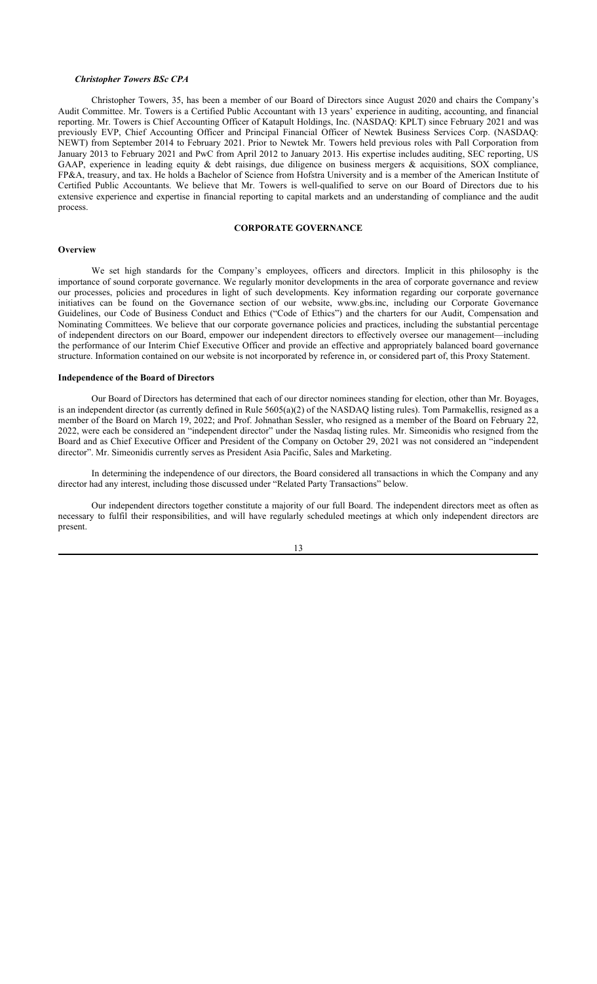#### *Christopher Towers BSc CPA*

Christopher Towers, 35, has been a member of our Board of Directors since August 2020 and chairs the Company's Audit Committee. Mr. Towers is a Certified Public Accountant with 13 years' experience in auditing, accounting, and financial reporting. Mr. Towers is Chief Accounting Officer of Katapult Holdings, Inc. (NASDAQ: KPLT) since February 2021 and was previously EVP, Chief Accounting Officer and Principal Financial Officer of Newtek Business Services Corp. (NASDAQ: NEWT) from September 2014 to February 2021. Prior to Newtek Mr. Towers held previous roles with Pall Corporation from January 2013 to February 2021 and PwC from April 2012 to January 2013. His expertise includes auditing, SEC reporting, US GAAP, experience in leading equity & debt raisings, due diligence on business mergers & acquisitions, SOX compliance, FP&A, treasury, and tax. He holds a Bachelor of Science from Hofstra University and is a member of the American Institute of Certified Public Accountants. We believe that Mr. Towers is well-qualified to serve on our Board of Directors due to his extensive experience and expertise in financial reporting to capital markets and an understanding of compliance and the audit process.

## **CORPORATE GOVERNANCE**

#### **Overview**

We set high standards for the Company's employees, officers and directors. Implicit in this philosophy is the importance of sound corporate governance. We regularly monitor developments in the area of corporate governance and review our processes, policies and procedures in light of such developments. Key information regarding our corporate governance initiatives can be found on the Governance section of our website, www.gbs.inc, including our Corporate Governance Guidelines, our Code of Business Conduct and Ethics ("Code of Ethics") and the charters for our Audit, Compensation and Nominating Committees. We believe that our corporate governance policies and practices, including the substantial percentage of independent directors on our Board, empower our independent directors to effectively oversee our management—including the performance of our Interim Chief Executive Officer and provide an effective and appropriately balanced board governance structure. Information contained on our website is not incorporated by reference in, or considered part of, this Proxy Statement.

#### **Independence of the Board of Directors**

Our Board of Directors has determined that each of our director nominees standing for election, other than Mr. Boyages, is an independent director (as currently defined in Rule 5605(a)(2) of the NASDAQ listing rules). Tom Parmakellis, resigned as a member of the Board on March 19, 2022; and Prof. Johnathan Sessler, who resigned as a member of the Board on February 22, 2022, were each be considered an "independent director" under the Nasdaq listing rules. Mr. Simeonidis who resigned from the Board and as Chief Executive Officer and President of the Company on October 29, 2021 was not considered an "independent director". Mr. Simeonidis currently serves as President Asia Pacific, Sales and Marketing.

In determining the independence of our directors, the Board considered all transactions in which the Company and any director had any interest, including those discussed under "Related Party Transactions" below.

Our independent directors together constitute a majority of our full Board. The independent directors meet as often as necessary to fulfil their responsibilities, and will have regularly scheduled meetings at which only independent directors are present.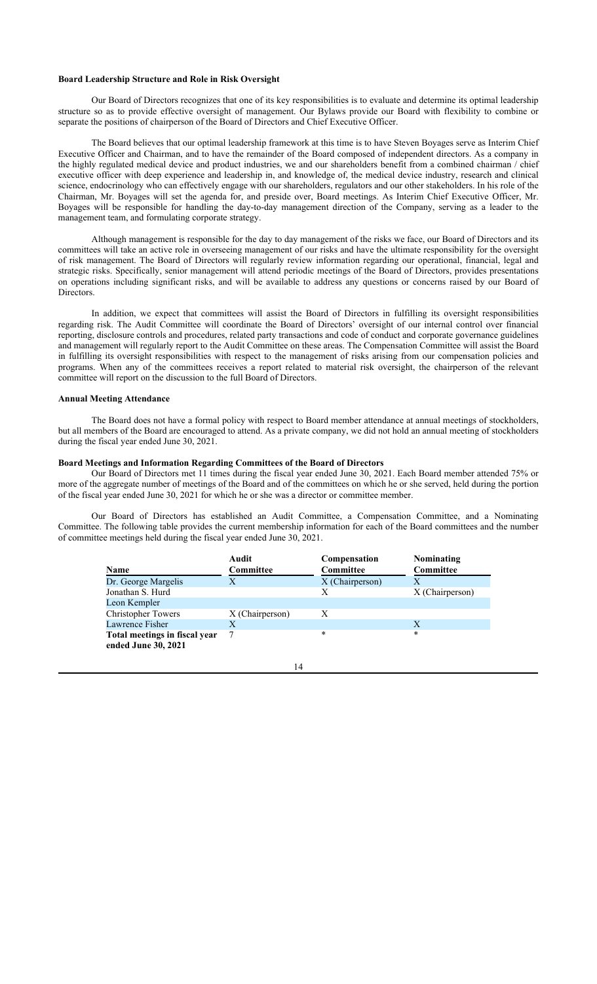## **Board Leadership Structure and Role in Risk Oversight**

Our Board of Directors recognizes that one of its key responsibilities is to evaluate and determine its optimal leadership structure so as to provide effective oversight of management. Our Bylaws provide our Board with flexibility to combine or separate the positions of chairperson of the Board of Directors and Chief Executive Officer.

The Board believes that our optimal leadership framework at this time is to have Steven Boyages serve as Interim Chief Executive Officer and Chairman, and to have the remainder of the Board composed of independent directors. As a company in the highly regulated medical device and product industries, we and our shareholders benefit from a combined chairman / chief executive officer with deep experience and leadership in, and knowledge of, the medical device industry, research and clinical science, endocrinology who can effectively engage with our shareholders, regulators and our other stakeholders. In his role of the Chairman, Mr. Boyages will set the agenda for, and preside over, Board meetings. As Interim Chief Executive Officer, Mr. Boyages will be responsible for handling the day-to-day management direction of the Company, serving as a leader to the management team, and formulating corporate strategy.

Although management is responsible for the day to day management of the risks we face, our Board of Directors and its committees will take an active role in overseeing management of our risks and have the ultimate responsibility for the oversight of risk management. The Board of Directors will regularly review information regarding our operational, financial, legal and strategic risks. Specifically, senior management will attend periodic meetings of the Board of Directors, provides presentations on operations including significant risks, and will be available to address any questions or concerns raised by our Board of Directors.

In addition, we expect that committees will assist the Board of Directors in fulfilling its oversight responsibilities regarding risk. The Audit Committee will coordinate the Board of Directors' oversight of our internal control over financial reporting, disclosure controls and procedures, related party transactions and code of conduct and corporate governance guidelines and management will regularly report to the Audit Committee on these areas. The Compensation Committee will assist the Board in fulfilling its oversight responsibilities with respect to the management of risks arising from our compensation policies and programs. When any of the committees receives a report related to material risk oversight, the chairperson of the relevant committee will report on the discussion to the full Board of Directors.

#### **Annual Meeting Attendance**

The Board does not have a formal policy with respect to Board member attendance at annual meetings of stockholders, but all members of the Board are encouraged to attend. As a private company, we did not hold an annual meeting of stockholders during the fiscal year ended June 30, 2021.

## **Board Meetings and Information Regarding Committees of the Board of Directors**

Our Board of Directors met 11 times during the fiscal year ended June 30, 2021. Each Board member attended 75% or more of the aggregate number of meetings of the Board and of the committees on which he or she served, held during the portion of the fiscal year ended June 30, 2021 for which he or she was a director or committee member.

Our Board of Directors has established an Audit Committee, a Compensation Committee, and a Nominating Committee. The following table provides the current membership information for each of the Board committees and the number of committee meetings held during the fiscal year ended June 30, 2021.

| <b>Name</b>                                          | Audit<br>Committee | Compensation<br>Committee | Nominating<br><b>Committee</b> |
|------------------------------------------------------|--------------------|---------------------------|--------------------------------|
| Dr. George Margelis                                  | Х                  | X (Chairperson)           |                                |
| Jonathan S. Hurd                                     |                    | X                         | X (Chairperson)                |
| Leon Kempler                                         |                    |                           |                                |
| <b>Christopher Towers</b>                            | X (Chairperson)    | X                         |                                |
| Lawrence Fisher                                      | X                  |                           | X                              |
| Total meetings in fiscal year<br>ended June 30, 2021 |                    | *                         | *                              |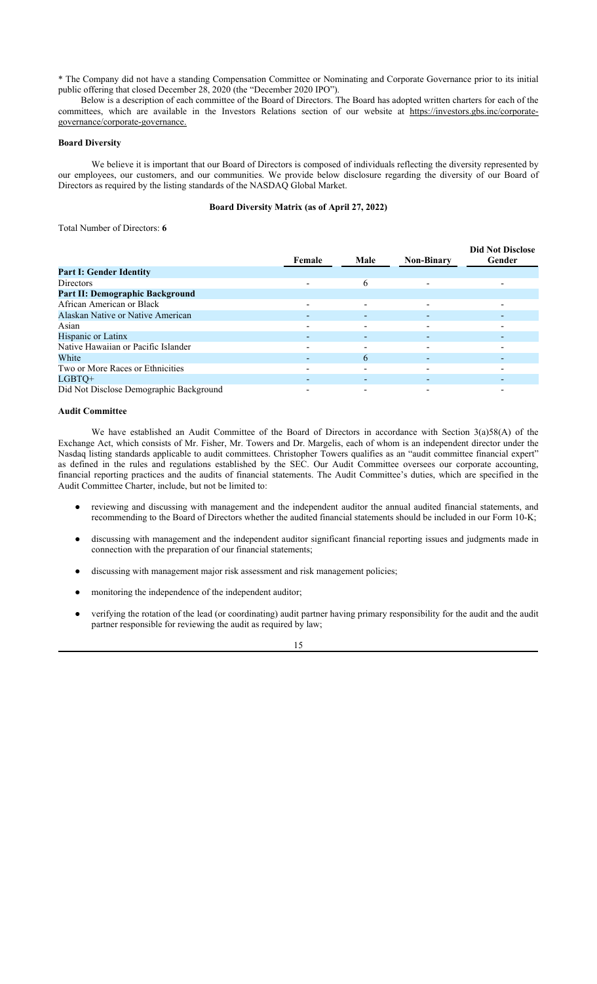\* The Company did not have a standing Compensation Committee or Nominating and Corporate Governance prior to its initial public offering that closed December 28, 2020 (the "December 2020 IPO").

Below is a description of each committee of the Board of Directors. The Board has adopted written charters for each of the committees, which are available in the Investors Relations section of our website at https://investors.gbs.inc/corporategovernance/corporate-governance.

#### **Board Diversity**

We believe it is important that our Board of Directors is composed of individuals reflecting the diversity represented by our employees, our customers, and our communities. We provide below disclosure regarding the diversity of our Board of Directors as required by the listing standards of the NASDAQ Global Market.

## **Board Diversity Matrix (as of April 27, 2022)**

Total Number of Directors: **6**

|                                         | Female                   | Male | <b>Non-Binary</b>        | <b>Did Not Disclose</b><br>Gender |
|-----------------------------------------|--------------------------|------|--------------------------|-----------------------------------|
| <b>Part I: Gender Identity</b>          |                          |      |                          |                                   |
| <b>Directors</b>                        |                          | 6    | $\overline{\phantom{0}}$ |                                   |
| Part II: Demographic Background         |                          |      |                          |                                   |
| African American or Black               | $\overline{\phantom{a}}$ | ۰    | $\overline{\phantom{0}}$ |                                   |
| Alaskan Native or Native American       |                          |      | $\overline{\phantom{0}}$ |                                   |
| Asian                                   |                          |      |                          |                                   |
| Hispanic or Latinx                      |                          |      |                          |                                   |
| Native Hawaiian or Pacific Islander     |                          |      |                          |                                   |
| White                                   |                          | 6    |                          |                                   |
| Two or More Races or Ethnicities        |                          |      |                          |                                   |
| LGBTO+                                  |                          |      |                          |                                   |
| Did Not Disclose Demographic Background |                          |      |                          |                                   |

## **Audit Committee**

We have established an Audit Committee of the Board of Directors in accordance with Section 3(a)58(A) of the Exchange Act, which consists of Mr. Fisher, Mr. Towers and Dr. Margelis, each of whom is an independent director under the Nasdaq listing standards applicable to audit committees. Christopher Towers qualifies as an "audit committee financial expert" as defined in the rules and regulations established by the SEC. Our Audit Committee oversees our corporate accounting, financial reporting practices and the audits of financial statements. The Audit Committee's duties, which are specified in the Audit Committee Charter, include, but not be limited to:

- reviewing and discussing with management and the independent auditor the annual audited financial statements, and recommending to the Board of Directors whether the audited financial statements should be included in our Form 10-K;
- discussing with management and the independent auditor significant financial reporting issues and judgments made in connection with the preparation of our financial statements;
- discussing with management major risk assessment and risk management policies;
- monitoring the independence of the independent auditor;
- verifying the rotation of the lead (or coordinating) audit partner having primary responsibility for the audit and the audit partner responsible for reviewing the audit as required by law;

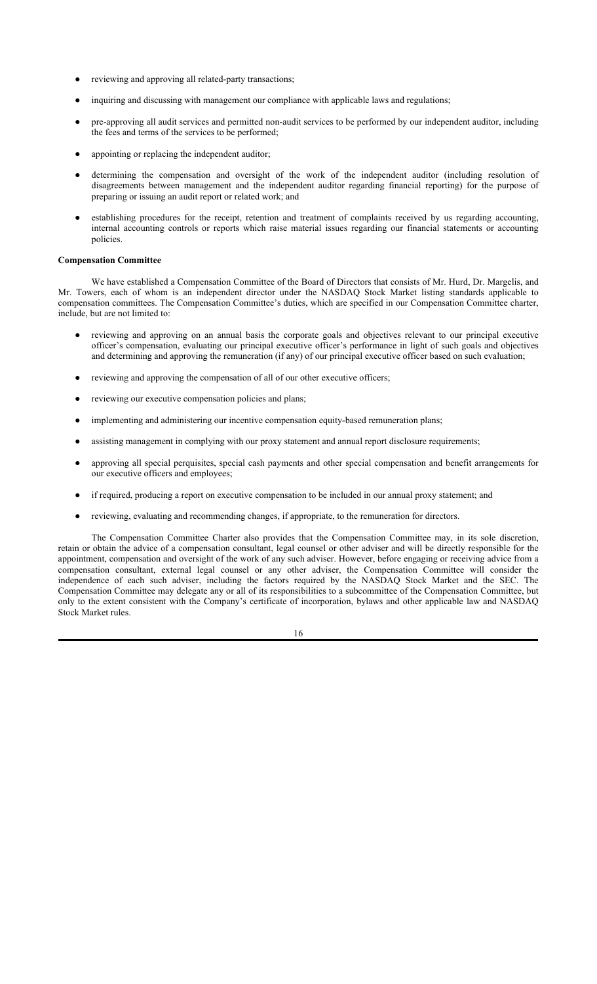- reviewing and approving all related-party transactions;
- inquiring and discussing with management our compliance with applicable laws and regulations;
- pre-approving all audit services and permitted non-audit services to be performed by our independent auditor, including the fees and terms of the services to be performed;
- appointing or replacing the independent auditor;
- determining the compensation and oversight of the work of the independent auditor (including resolution of disagreements between management and the independent auditor regarding financial reporting) for the purpose of preparing or issuing an audit report or related work; and
- establishing procedures for the receipt, retention and treatment of complaints received by us regarding accounting, internal accounting controls or reports which raise material issues regarding our financial statements or accounting policies.

## **Compensation Committee**

We have established a Compensation Committee of the Board of Directors that consists of Mr. Hurd, Dr. Margelis, and Mr. Towers, each of whom is an independent director under the NASDAQ Stock Market listing standards applicable to compensation committees. The Compensation Committee's duties, which are specified in our Compensation Committee charter, include, but are not limited to:

- reviewing and approving on an annual basis the corporate goals and objectives relevant to our principal executive officer's compensation, evaluating our principal executive officer's performance in light of such goals and objectives and determining and approving the remuneration (if any) of our principal executive officer based on such evaluation;
- reviewing and approving the compensation of all of our other executive officers;
- reviewing our executive compensation policies and plans;
- implementing and administering our incentive compensation equity-based remuneration plans;
- assisting management in complying with our proxy statement and annual report disclosure requirements;
- approving all special perquisites, special cash payments and other special compensation and benefit arrangements for our executive officers and employees;
- if required, producing a report on executive compensation to be included in our annual proxy statement; and
- reviewing, evaluating and recommending changes, if appropriate, to the remuneration for directors.

The Compensation Committee Charter also provides that the Compensation Committee may, in its sole discretion, retain or obtain the advice of a compensation consultant, legal counsel or other adviser and will be directly responsible for the appointment, compensation and oversight of the work of any such adviser. However, before engaging or receiving advice from a compensation consultant, external legal counsel or any other adviser, the Compensation Committee will consider the independence of each such adviser, including the factors required by the NASDAQ Stock Market and the SEC. The Compensation Committee may delegate any or all of its responsibilities to a subcommittee of the Compensation Committee, but only to the extent consistent with the Company's certificate of incorporation, bylaws and other applicable law and NASDAQ Stock Market rules.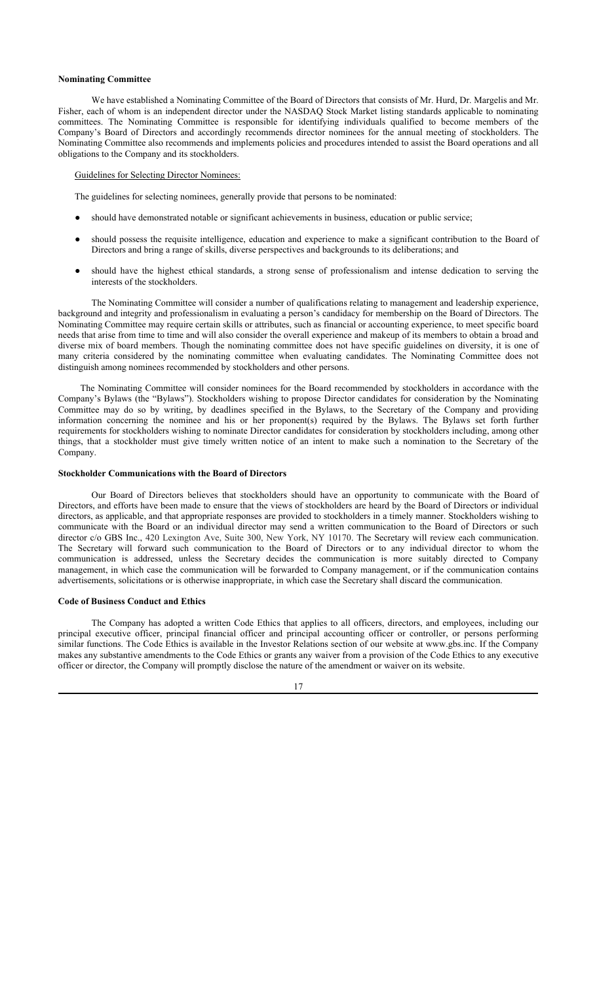#### **Nominating Committee**

We have established a Nominating Committee of the Board of Directors that consists of Mr. Hurd, Dr. Margelis and Mr. Fisher, each of whom is an independent director under the NASDAQ Stock Market listing standards applicable to nominating committees. The Nominating Committee is responsible for identifying individuals qualified to become members of the Company's Board of Directors and accordingly recommends director nominees for the annual meeting of stockholders. The Nominating Committee also recommends and implements policies and procedures intended to assist the Board operations and all obligations to the Company and its stockholders.

## Guidelines for Selecting Director Nominees:

The guidelines for selecting nominees, generally provide that persons to be nominated:

- should have demonstrated notable or significant achievements in business, education or public service;
- should possess the requisite intelligence, education and experience to make a significant contribution to the Board of Directors and bring a range of skills, diverse perspectives and backgrounds to its deliberations; and
- should have the highest ethical standards, a strong sense of professionalism and intense dedication to serving the interests of the stockholders.

The Nominating Committee will consider a number of qualifications relating to management and leadership experience, background and integrity and professionalism in evaluating a person's candidacy for membership on the Board of Directors. The Nominating Committee may require certain skills or attributes, such as financial or accounting experience, to meet specific board needs that arise from time to time and will also consider the overall experience and makeup of its members to obtain a broad and diverse mix of board members. Though the nominating committee does not have specific guidelines on diversity, it is one of many criteria considered by the nominating committee when evaluating candidates. The Nominating Committee does not distinguish among nominees recommended by stockholders and other persons.

The Nominating Committee will consider nominees for the Board recommended by stockholders in accordance with the Company's Bylaws (the "Bylaws"). Stockholders wishing to propose Director candidates for consideration by the Nominating Committee may do so by writing, by deadlines specified in the Bylaws, to the Secretary of the Company and providing information concerning the nominee and his or her proponent(s) required by the Bylaws. The Bylaws set forth further requirements for stockholders wishing to nominate Director candidates for consideration by stockholders including, among other things, that a stockholder must give timely written notice of an intent to make such a nomination to the Secretary of the Company.

#### **Stockholder Communications with the Board of Directors**

Our Board of Directors believes that stockholders should have an opportunity to communicate with the Board of Directors, and efforts have been made to ensure that the views of stockholders are heard by the Board of Directors or individual directors, as applicable, and that appropriate responses are provided to stockholders in a timely manner. Stockholders wishing to communicate with the Board or an individual director may send a written communication to the Board of Directors or such director c/o GBS Inc., 420 Lexington Ave, Suite 300, New York, NY 10170. The Secretary will review each communication. The Secretary will forward such communication to the Board of Directors or to any individual director to whom the communication is addressed, unless the Secretary decides the communication is more suitably directed to Company management, in which case the communication will be forwarded to Company management, or if the communication contains advertisements, solicitations or is otherwise inappropriate, in which case the Secretary shall discard the communication.

#### **Code of Business Conduct and Ethics**

The Company has adopted a written Code Ethics that applies to all officers, directors, and employees, including our principal executive officer, principal financial officer and principal accounting officer or controller, or persons performing similar functions. The Code Ethics is available in the Investor Relations section of our website at www.gbs.inc. If the Company makes any substantive amendments to the Code Ethics or grants any waiver from a provision of the Code Ethics to any executive officer or director, the Company will promptly disclose the nature of the amendment or waiver on its website.

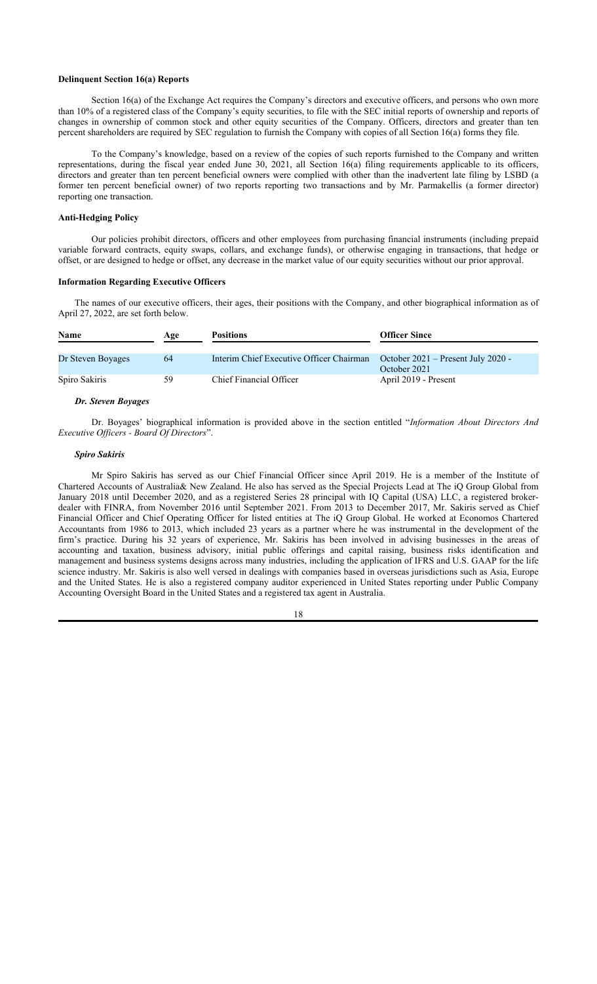## **Delinquent Section 16(a) Reports**

Section 16(a) of the Exchange Act requires the Company's directors and executive officers, and persons who own more than 10% of a registered class of the Company's equity securities, to file with the SEC initial reports of ownership and reports of changes in ownership of common stock and other equity securities of the Company. Officers, directors and greater than ten percent shareholders are required by SEC regulation to furnish the Company with copies of all Section 16(a) forms they file.

To the Company's knowledge, based on a review of the copies of such reports furnished to the Company and written representations, during the fiscal year ended June 30, 2021, all Section 16(a) filing requirements applicable to its officers, directors and greater than ten percent beneficial owners were complied with other than the inadvertent late filing by LSBD (a former ten percent beneficial owner) of two reports reporting two transactions and by Mr. Parmakellis (a former director) reporting one transaction.

## **Anti-Hedging Policy**

Our policies prohibit directors, officers and other employees from purchasing financial instruments (including prepaid variable forward contracts, equity swaps, collars, and exchange funds), or otherwise engaging in transactions, that hedge or offset, or are designed to hedge or offset, any decrease in the market value of our equity securities without our prior approval.

#### **Information Regarding Executive Officers**

The names of our executive officers, their ages, their positions with the Company, and other biographical information as of April 27, 2022, are set forth below.

| <b>Name</b>       | Age | <b>Positions</b>                         | <b>Officer Since</b>                 |
|-------------------|-----|------------------------------------------|--------------------------------------|
|                   |     |                                          |                                      |
| Dr Steven Boyages | 64  | Interim Chief Executive Officer Chairman | October $2021$ – Present July 2020 - |
|                   |     |                                          | October 2021                         |
| Spiro Sakiris     | 59  | Chief Financial Officer                  | April 2019 - Present                 |

#### *Dr. Steven Boyages*

Dr. Boyages' biographical information is provided above in the section entitled "*Information About Directors And Executive Officers - Board Of Directors*".

#### *Spiro Sakiris*

Mr Spiro Sakiris has served as our Chief Financial Officer since April 2019. He is a member of the Institute of Chartered Accounts of Australia& New Zealand. He also has served as the Special Projects Lead at The iQ Group Global from January 2018 until December 2020, and as a registered Series 28 principal with IQ Capital (USA) LLC, a registered brokerdealer with FINRA, from November 2016 until September 2021. From 2013 to December 2017, Mr. Sakiris served as Chief Financial Officer and Chief Operating Officer for listed entities at The iQ Group Global. He worked at Economos Chartered Accountants from 1986 to 2013, which included 23 years as a partner where he was instrumental in the development of the firm's practice. During his 32 years of experience, Mr. Sakiris has been involved in advising businesses in the areas of accounting and taxation, business advisory, initial public offerings and capital raising, business risks identification and management and business systems designs across many industries, including the application of IFRS and U.S. GAAP for the life science industry. Mr. Sakiris is also well versed in dealings with companies based in overseas jurisdictions such as Asia, Europe and the United States. He is also a registered company auditor experienced in United States reporting under Public Company Accounting Oversight Board in the United States and a registered tax agent in Australia.

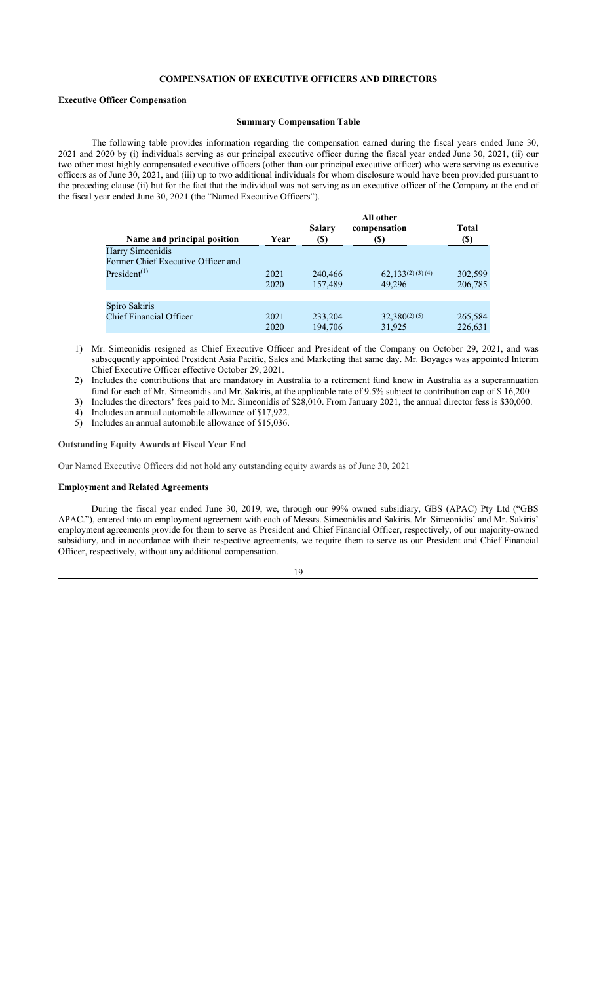## **COMPENSATION OF EXECUTIVE OFFICERS AND DIRECTORS**

#### **Executive Officer Compensation**

## **Summary Compensation Table**

The following table provides information regarding the compensation earned during the fiscal years ended June 30, 2021 and 2020 by (i) individuals serving as our principal executive officer during the fiscal year ended June 30, 2021, (ii) our two other most highly compensated executive officers (other than our principal executive officer) who were serving as executive officers as of June 30, 2021, and (iii) up to two additional individuals for whom disclosure would have been provided pursuant to the preceding clause (ii) but for the fact that the individual was not serving as an executive officer of the Company at the end of the fiscal year ended June 30, 2021 (the "Named Executive Officers").

| Name and principal position           | Year | <b>Salary</b><br>(\$) | All other<br>compensation<br>(S) | <b>Total</b><br>(S) |
|---------------------------------------|------|-----------------------|----------------------------------|---------------------|
| Harry Simeonidis                      |      |                       |                                  |                     |
| Former Chief Executive Officer and    |      |                       |                                  |                     |
| President <sup><math>(1)</math></sup> | 2021 | 240,466               | $62,133^{(2)}$ (3) (4)           | 302,599             |
|                                       | 2020 | 157,489               | 49,296                           | 206,785             |
|                                       |      |                       |                                  |                     |
| Spiro Sakiris                         |      |                       |                                  |                     |
| <b>Chief Financial Officer</b>        | 2021 | 233,204               | $32,380^{(2)}$ (5)               | 265,584             |
|                                       | 2020 | 194,706               | 31,925                           | 226,631             |

1) Mr. Simeonidis resigned as Chief Executive Officer and President of the Company on October 29, 2021, and was subsequently appointed President Asia Pacific, Sales and Marketing that same day. Mr. Boyages was appointed Interim Chief Executive Officer effective October 29, 2021.

2) Includes the contributions that are mandatory in Australia to a retirement fund know in Australia as a superannuation

fund for each of Mr. Simeonidis and Mr. Sakiris, at the applicable rate of 9.5% subject to contribution cap of \$ 16,200 3) Includes the directors' fees paid to Mr. Simeonidis of \$28,010. From January 2021, the annual director fess is \$30,000.

- 
- 4) Includes an annual automobile allowance of \$17,922. 5) Includes an annual automobile allowance of \$15,036.

## **Outstanding Equity Awards at Fiscal Year End**

Our Named Executive Officers did not hold any outstanding equity awards as of June 30, 2021

#### **Employment and Related Agreements**

During the fiscal year ended June 30, 2019, we, through our 99% owned subsidiary, GBS (APAC) Pty Ltd ("GBS APAC."), entered into an employment agreement with each of Messrs. Simeonidis and Sakiris. Mr. Simeonidis' and Mr. Sakiris' employment agreements provide for them to serve as President and Chief Financial Officer, respectively, of our majority-owned subsidiary, and in accordance with their respective agreements, we require them to serve as our President and Chief Financial Officer, respectively, without any additional compensation.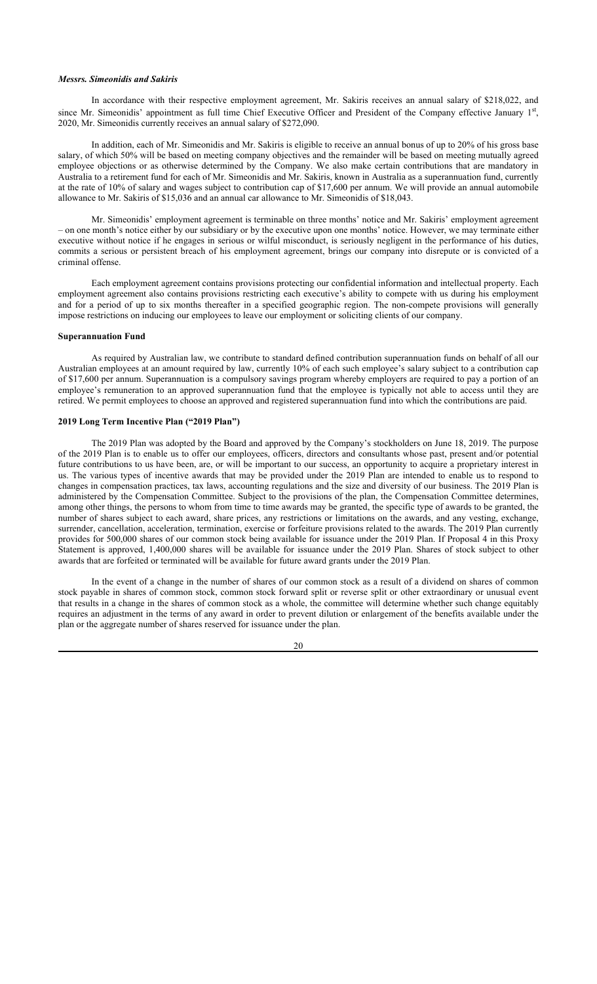## *Messrs. Simeonidis and Sakiris*

In accordance with their respective employment agreement, Mr. Sakiris receives an annual salary of \$218,022, and since Mr. Simeonidis' appointment as full time Chief Executive Officer and President of the Company effective January  $1<sup>st</sup>$ , 2020, Mr. Simeonidis currently receives an annual salary of \$272,090.

In addition, each of Mr. Simeonidis and Mr. Sakiris is eligible to receive an annual bonus of up to 20% of his gross base salary, of which 50% will be based on meeting company objectives and the remainder will be based on meeting mutually agreed employee objections or as otherwise determined by the Company. We also make certain contributions that are mandatory in Australia to a retirement fund for each of Mr. Simeonidis and Mr. Sakiris, known in Australia as a superannuation fund, currently at the rate of 10% of salary and wages subject to contribution cap of \$17,600 per annum. We will provide an annual automobile allowance to Mr. Sakiris of \$15,036 and an annual car allowance to Mr. Simeonidis of \$18,043.

Mr. Simeonidis' employment agreement is terminable on three months' notice and Mr. Sakiris' employment agreement – on one month's notice either by our subsidiary or by the executive upon one months' notice. However, we may terminate either executive without notice if he engages in serious or wilful misconduct, is seriously negligent in the performance of his duties, commits a serious or persistent breach of his employment agreement, brings our company into disrepute or is convicted of a criminal offense.

Each employment agreement contains provisions protecting our confidential information and intellectual property. Each employment agreement also contains provisions restricting each executive's ability to compete with us during his employment and for a period of up to six months thereafter in a specified geographic region. The non-compete provisions will generally impose restrictions on inducing our employees to leave our employment or soliciting clients of our company.

## **Superannuation Fund**

As required by Australian law, we contribute to standard defined contribution superannuation funds on behalf of all our Australian employees at an amount required by law, currently 10% of each such employee's salary subject to a contribution cap of \$17,600 per annum. Superannuation is a compulsory savings program whereby employers are required to pay a portion of an employee's remuneration to an approved superannuation fund that the employee is typically not able to access until they are retired. We permit employees to choose an approved and registered superannuation fund into which the contributions are paid.

## **2019 Long Term Incentive Plan ("2019 Plan")**

The 2019 Plan was adopted by the Board and approved by the Company's stockholders on June 18, 2019. The purpose of the 2019 Plan is to enable us to offer our employees, officers, directors and consultants whose past, present and/or potential future contributions to us have been, are, or will be important to our success, an opportunity to acquire a proprietary interest in us. The various types of incentive awards that may be provided under the 2019 Plan are intended to enable us to respond to changes in compensation practices, tax laws, accounting regulations and the size and diversity of our business. The 2019 Plan is administered by the Compensation Committee. Subject to the provisions of the plan, the Compensation Committee determines, among other things, the persons to whom from time to time awards may be granted, the specific type of awards to be granted, the number of shares subject to each award, share prices, any restrictions or limitations on the awards, and any vesting, exchange, surrender, cancellation, acceleration, termination, exercise or forfeiture provisions related to the awards. The 2019 Plan currently provides for 500,000 shares of our common stock being available for issuance under the 2019 Plan. If Proposal 4 in this Proxy Statement is approved, 1,400,000 shares will be available for issuance under the 2019 Plan. Shares of stock subject to other awards that are forfeited or terminated will be available for future award grants under the 2019 Plan.

In the event of a change in the number of shares of our common stock as a result of a dividend on shares of common stock payable in shares of common stock, common stock forward split or reverse split or other extraordinary or unusual event that results in a change in the shares of common stock as a whole, the committee will determine whether such change equitably requires an adjustment in the terms of any award in order to prevent dilution or enlargement of the benefits available under the plan or the aggregate number of shares reserved for issuance under the plan.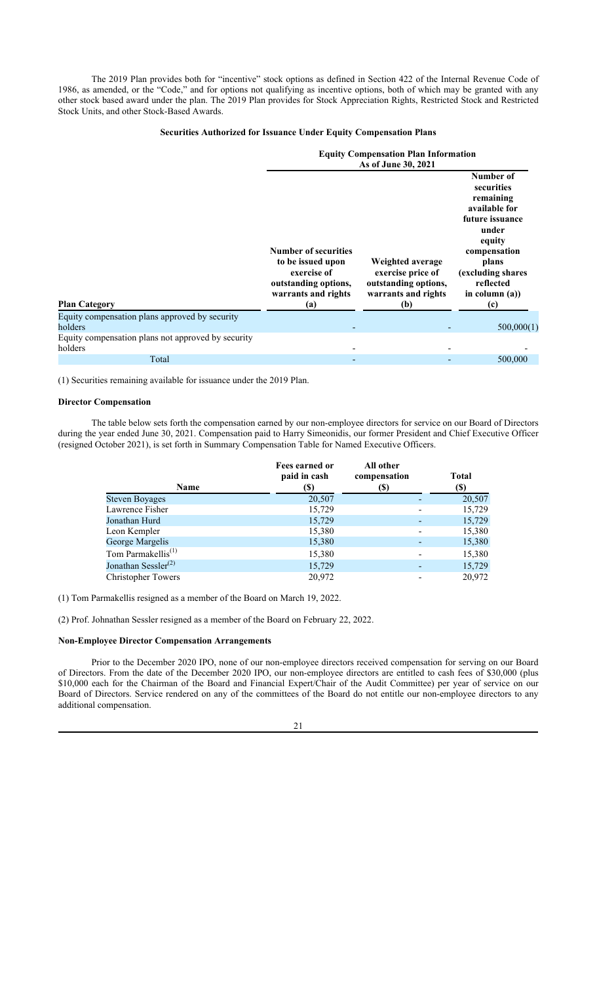The 2019 Plan provides both for "incentive" stock options as defined in Section 422 of the Internal Revenue Code of 1986, as amended, or the "Code," and for options not qualifying as incentive options, both of which may be granted with any other stock based award under the plan. The 2019 Plan provides for Stock Appreciation Rights, Restricted Stock and Restricted Stock Units, and other Stock-Based Awards.

## **Securities Authorized for Issuance Under Equity Compensation Plans**

|                                                               | <b>Equity Compensation Plan Information</b><br>As of June 30, 2021                                                    |                                                                                             |                                                                                                                                                                                    |  |  |
|---------------------------------------------------------------|-----------------------------------------------------------------------------------------------------------------------|---------------------------------------------------------------------------------------------|------------------------------------------------------------------------------------------------------------------------------------------------------------------------------------|--|--|
| <b>Plan Category</b>                                          | <b>Number of securities</b><br>to be issued upon<br>exercise of<br>outstanding options,<br>warrants and rights<br>(a) | Weighted average<br>exercise price of<br>outstanding options,<br>warrants and rights<br>(b) | Number of<br>securities<br>remaining<br>available for<br>future issuance<br>under<br>equity<br>compensation<br>plans<br>(excluding shares<br>reflected<br>in column $(a)$ )<br>(c) |  |  |
| Equity compensation plans approved by security                |                                                                                                                       |                                                                                             |                                                                                                                                                                                    |  |  |
| holders                                                       |                                                                                                                       |                                                                                             | 500,000(1)                                                                                                                                                                         |  |  |
| Equity compensation plans not approved by security<br>holders |                                                                                                                       |                                                                                             |                                                                                                                                                                                    |  |  |
| Total                                                         |                                                                                                                       |                                                                                             | 500,000                                                                                                                                                                            |  |  |

(1) Securities remaining available for issuance under the 2019 Plan.

#### **Director Compensation**

The table below sets forth the compensation earned by our non-employee directors for service on our Board of Directors during the year ended June 30, 2021. Compensation paid to Harry Simeonidis, our former President and Chief Executive Officer (resigned October 2021), is set forth in Summary Compensation Table for Named Executive Officers.

| Fees earned or<br>paid in cash | All other<br>compensation                   |                          | Total<br>(S) |
|--------------------------------|---------------------------------------------|--------------------------|--------------|
|                                |                                             |                          | 20,507       |
|                                |                                             |                          | 15,729       |
|                                |                                             |                          | 15,729       |
| 15,380                         |                                             | $\overline{\phantom{a}}$ | 15,380       |
| 15,380                         |                                             |                          | 15,380       |
| 15,380                         |                                             |                          | 15,380       |
|                                |                                             |                          | 15,729       |
| 20,972                         |                                             |                          | 20,972       |
|                                | (S)<br>20,507<br>15,729<br>15,729<br>15,729 | (S)                      |              |

(1) Tom Parmakellis resigned as a member of the Board on March 19, 2022.

(2) Prof. Johnathan Sessler resigned as a member of the Board on February 22, 2022.

#### **Non-Employee Director Compensation Arrangements**

Prior to the December 2020 IPO, none of our non-employee directors received compensation for serving on our Board of Directors. From the date of the December 2020 IPO, our non-employee directors are entitled to cash fees of \$30,000 (plus \$10,000 each for the Chairman of the Board and Financial Expert/Chair of the Audit Committee) per year of service on our Board of Directors. Service rendered on any of the committees of the Board do not entitle our non-employee directors to any additional compensation.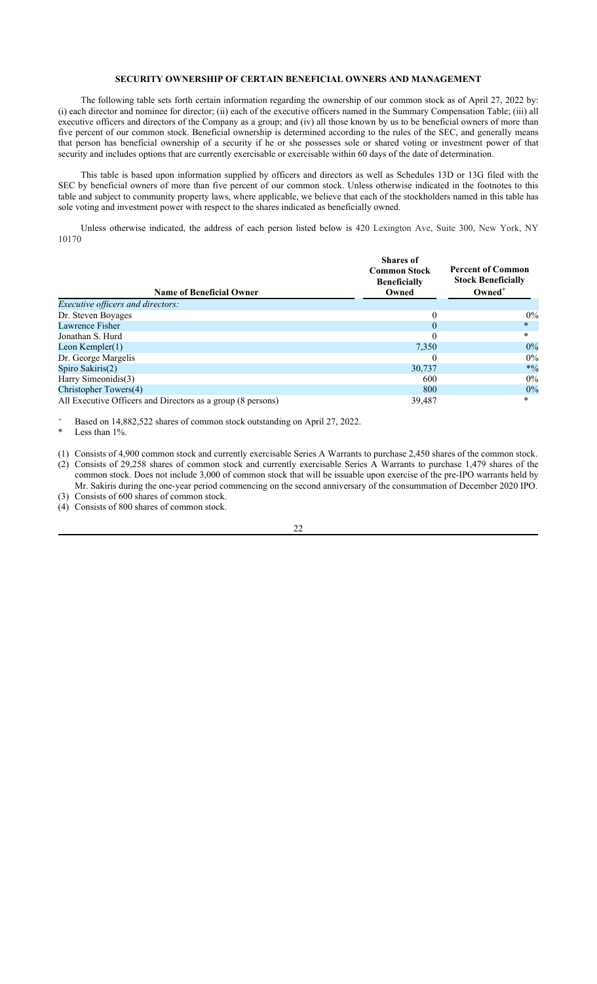## **SECURITY OWNERSHIP OF CERTAIN BENEFICIAL OWNERS AND MANAGEMENT**

The following table sets forth certain information regarding the ownership of our common stock as of April 27, 2022 by: (i) each director and nominee for director; (ii) each of the executive officers named in the Summary Compensation Table; (iii) all executive officers and directors of the Company as a group; and (iv) all those known by us to be beneficial owners of more than five percent of our common stock. Beneficial ownership is determined according to the rules of the SEC, and generally means that person has beneficial ownership of a security if he or she possesses sole or shared voting or investment power of that security and includes options that are currently exercisable or exercisable within 60 days of the date of determination.

This table is based upon information supplied by officers and directors as well as Schedules 13D or 13G filed with the SEC by beneficial owners of more than five percent of our common stock. Unless otherwise indicated in the footnotes to this table and subject to community property laws, where applicable, we believe that each of the stockholders named in this table has sole voting and investment power with respect to the shares indicated as beneficially owned.

Unless otherwise indicated, the address of each person listed below is 420 Lexington Ave, Suite 300, New York, NY 10170

| <b>Name of Beneficial Owner</b>                             | <b>Shares</b> of<br><b>Common Stock</b><br><b>Beneficially</b><br>Owned | <b>Percent of Common</b><br><b>Stock Beneficially</b><br>$Owned^+$ |  |
|-------------------------------------------------------------|-------------------------------------------------------------------------|--------------------------------------------------------------------|--|
| <i>Executive officers and directors:</i>                    |                                                                         |                                                                    |  |
| Dr. Steven Boyages                                          | $\theta$                                                                | $0\%$                                                              |  |
| Lawrence Fisher                                             | $\theta$                                                                | $*$                                                                |  |
| Jonathan S. Hurd                                            | $\theta$                                                                | $\ast$                                                             |  |
| Leon Kempler $(1)$                                          | 7,350                                                                   | $0\%$                                                              |  |
| Dr. George Margelis                                         | $\cup$                                                                  | 0%                                                                 |  |
| Spiro Sakiris(2)                                            | 30,737                                                                  | $*0/0$                                                             |  |
| Harry Simeonidis(3)                                         | 600                                                                     | 0%                                                                 |  |
| Christopher Towers(4)                                       | 800                                                                     | 0%                                                                 |  |
| All Executive Officers and Directors as a group (8 persons) | 39,487                                                                  | *                                                                  |  |

Based on 14,882,522 shares of common stock outstanding on April 27, 2022.

Less than 1%.

(1) Consists of 4,900 common stock and currently exercisable Series A Warrants to purchase 2,450 shares of the common stock. (2) Consists of 29,258 shares of common stock and currently exercisable Series A Warrants to purchase 1,479 shares of the common stock. Does not include 3,000 of common stock that will be issuable upon exercise of the pre-IPO warrants held by

Mr. Sakiris during the one-year period commencing on the second anniversary of the consummation of December 2020 IPO. (3) Consists of 600 shares of common stock.

(4) Consists of 800 shares of common stock.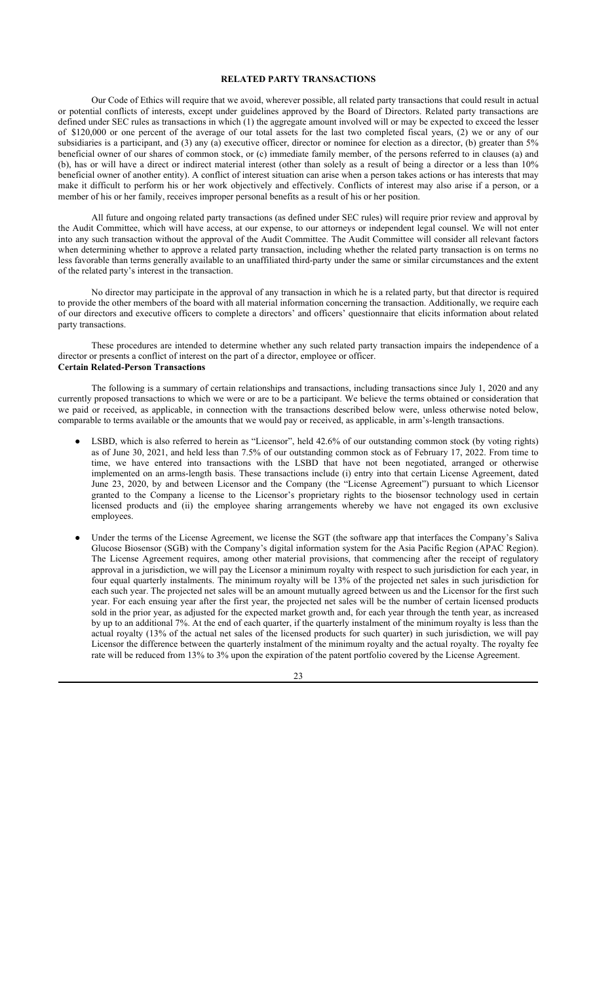## **RELATED PARTY TRANSACTIONS**

Our Code of Ethics will require that we avoid, wherever possible, all related party transactions that could result in actual or potential conflicts of interests, except under guidelines approved by the Board of Directors. Related party transactions are defined under SEC rules as transactions in which (1) the aggregate amount involved will or may be expected to exceed the lesser of \$120,000 or one percent of the average of our total assets for the last two completed fiscal years, (2) we or any of our subsidiaries is a participant, and (3) any (a) executive officer, director or nominee for election as a director, (b) greater than 5% beneficial owner of our shares of common stock, or (c) immediate family member, of the persons referred to in clauses (a) and (b), has or will have a direct or indirect material interest (other than solely as a result of being a director or a less than 10% beneficial owner of another entity). A conflict of interest situation can arise when a person takes actions or has interests that may make it difficult to perform his or her work objectively and effectively. Conflicts of interest may also arise if a person, or a member of his or her family, receives improper personal benefits as a result of his or her position.

All future and ongoing related party transactions (as defined under SEC rules) will require prior review and approval by the Audit Committee, which will have access, at our expense, to our attorneys or independent legal counsel. We will not enter into any such transaction without the approval of the Audit Committee. The Audit Committee will consider all relevant factors when determining whether to approve a related party transaction, including whether the related party transaction is on terms no less favorable than terms generally available to an unaffiliated third-party under the same or similar circumstances and the extent of the related party's interest in the transaction.

No director may participate in the approval of any transaction in which he is a related party, but that director is required to provide the other members of the board with all material information concerning the transaction. Additionally, we require each of our directors and executive officers to complete a directors' and officers' questionnaire that elicits information about related party transactions.

These procedures are intended to determine whether any such related party transaction impairs the independence of a director or presents a conflict of interest on the part of a director, employee or officer. **Certain Related-Person Transactions**

The following is a summary of certain relationships and transactions, including transactions since July 1, 2020 and any currently proposed transactions to which we were or are to be a participant. We believe the terms obtained or consideration that we paid or received, as applicable, in connection with the transactions described below were, unless otherwise noted below, comparable to terms available or the amounts that we would pay or received, as applicable, in arm's-length transactions.

- LSBD, which is also referred to herein as "Licensor", held 42.6% of our outstanding common stock (by voting rights) as of June 30, 2021, and held less than 7.5% of our outstanding common stock as of February 17, 2022. From time to time, we have entered into transactions with the LSBD that have not been negotiated, arranged or otherwise implemented on an arms-length basis. These transactions include (i) entry into that certain License Agreement, dated June 23, 2020, by and between Licensor and the Company (the "License Agreement") pursuant to which Licensor granted to the Company a license to the Licensor's proprietary rights to the biosensor technology used in certain licensed products and (ii) the employee sharing arrangements whereby we have not engaged its own exclusive employees.
- Under the terms of the License Agreement, we license the SGT (the software app that interfaces the Company's Saliva Glucose Biosensor (SGB) with the Company's digital information system for the Asia Pacific Region (APAC Region). The License Agreement requires, among other material provisions, that commencing after the receipt of regulatory approval in a jurisdiction, we will pay the Licensor a minimum royalty with respect to such jurisdiction for each year, in four equal quarterly instalments. The minimum royalty will be 13% of the projected net sales in such jurisdiction for each such year. The projected net sales will be an amount mutually agreed between us and the Licensor for the first such year. For each ensuing year after the first year, the projected net sales will be the number of certain licensed products sold in the prior year, as adjusted for the expected market growth and, for each year through the tenth year, as increased by up to an additional 7%. At the end of each quarter, if the quarterly instalment of the minimum royalty is less than the actual royalty (13% of the actual net sales of the licensed products for such quarter) in such jurisdiction, we will pay Licensor the difference between the quarterly instalment of the minimum royalty and the actual royalty. The royalty fee rate will be reduced from 13% to 3% upon the expiration of the patent portfolio covered by the License Agreement.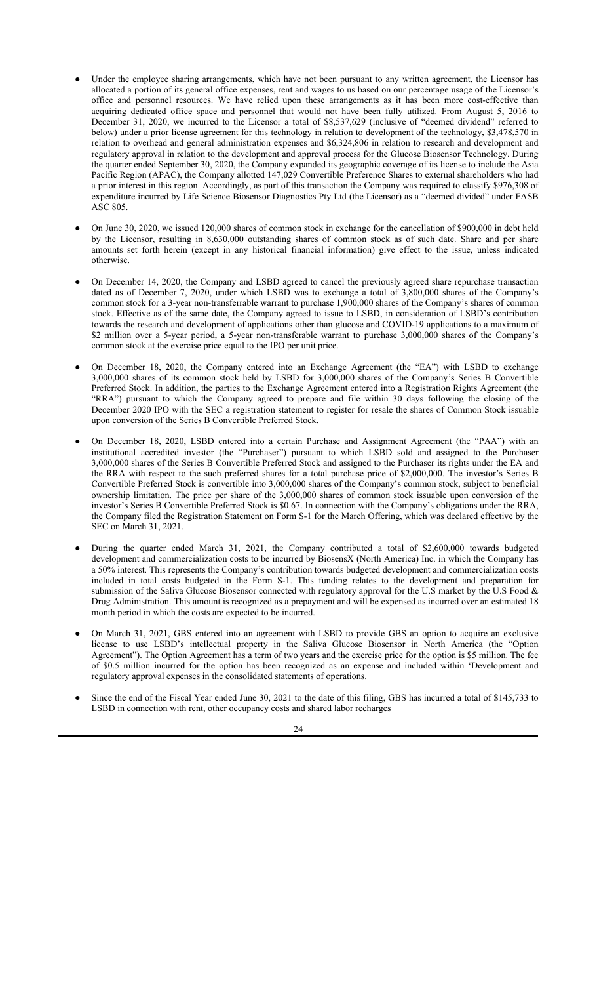- Under the employee sharing arrangements, which have not been pursuant to any written agreement, the Licensor has allocated a portion of its general office expenses, rent and wages to us based on our percentage usage of the Licensor's office and personnel resources. We have relied upon these arrangements as it has been more cost-effective than acquiring dedicated office space and personnel that would not have been fully utilized. From August 5, 2016 to December 31, 2020, we incurred to the Licensor a total of \$8,537,629 (inclusive of "deemed dividend" referred to below) under a prior license agreement for this technology in relation to development of the technology, \$3,478,570 in relation to overhead and general administration expenses and \$6,324,806 in relation to research and development and regulatory approval in relation to the development and approval process for the Glucose Biosensor Technology. During the quarter ended September 30, 2020, the Company expanded its geographic coverage of its license to include the Asia Pacific Region (APAC), the Company allotted 147,029 Convertible Preference Shares to external shareholders who had a prior interest in this region. Accordingly, as part of this transaction the Company was required to classify \$976,308 of expenditure incurred by Life Science Biosensor Diagnostics Pty Ltd (the Licensor) as a "deemed divided" under FASB ASC 805.
- On June 30, 2020, we issued 120,000 shares of common stock in exchange for the cancellation of \$900,000 in debt held by the Licensor, resulting in 8,630,000 outstanding shares of common stock as of such date. Share and per share amounts set forth herein (except in any historical financial information) give effect to the issue, unless indicated otherwise.
- On December 14, 2020, the Company and LSBD agreed to cancel the previously agreed share repurchase transaction dated as of December 7, 2020, under which LSBD was to exchange a total of 3,800,000 shares of the Company's common stock for a 3-year non-transferrable warrant to purchase 1,900,000 shares of the Company's shares of common stock. Effective as of the same date, the Company agreed to issue to LSBD, in consideration of LSBD's contribution towards the research and development of applications other than glucose and COVID-19 applications to a maximum of \$2 million over a 5-year period, a 5-year non-transferable warrant to purchase 3,000,000 shares of the Company's common stock at the exercise price equal to the IPO per unit price.
- On December 18, 2020, the Company entered into an Exchange Agreement (the "EA") with LSBD to exchange 3,000,000 shares of its common stock held by LSBD for 3,000,000 shares of the Company's Series B Convertible Preferred Stock. In addition, the parties to the Exchange Agreement entered into a Registration Rights Agreement (the "RRA") pursuant to which the Company agreed to prepare and file within 30 days following the closing of the December 2020 IPO with the SEC a registration statement to register for resale the shares of Common Stock issuable upon conversion of the Series B Convertible Preferred Stock.
- On December 18, 2020, LSBD entered into a certain Purchase and Assignment Agreement (the "PAA") with an institutional accredited investor (the "Purchaser") pursuant to which LSBD sold and assigned to the Purchaser 3,000,000 shares of the Series B Convertible Preferred Stock and assigned to the Purchaser its rights under the EA and the RRA with respect to the such preferred shares for a total purchase price of \$2,000,000. The investor's Series B Convertible Preferred Stock is convertible into 3,000,000 shares of the Company's common stock, subject to beneficial ownership limitation. The price per share of the 3,000,000 shares of common stock issuable upon conversion of the investor's Series B Convertible Preferred Stock is \$0.67. In connection with the Company's obligations under the RRA, the Company filed the Registration Statement on Form S-1 for the March Offering, which was declared effective by the SEC on March 31, 2021.
- During the quarter ended March 31, 2021, the Company contributed a total of \$2,600,000 towards budgeted development and commercialization costs to be incurred by BiosensX (North America) Inc. in which the Company has a 50% interest. This represents the Company's contribution towards budgeted development and commercialization costs included in total costs budgeted in the Form S-1. This funding relates to the development and preparation for submission of the Saliva Glucose Biosensor connected with regulatory approval for the U.S market by the U.S Food  $\&$ Drug Administration. This amount is recognized as a prepayment and will be expensed as incurred over an estimated 18 month period in which the costs are expected to be incurred.
- On March 31, 2021, GBS entered into an agreement with LSBD to provide GBS an option to acquire an exclusive license to use LSBD's intellectual property in the Saliva Glucose Biosensor in North America (the "Option Agreement"). The Option Agreement has a term of two years and the exercise price for the option is \$5 million. The fee of \$0.5 million incurred for the option has been recognized as an expense and included within 'Development and regulatory approval expenses in the consolidated statements of operations.
- Since the end of the Fiscal Year ended June 30, 2021 to the date of this filing, GBS has incurred a total of \$145,733 to LSBD in connection with rent, other occupancy costs and shared labor recharges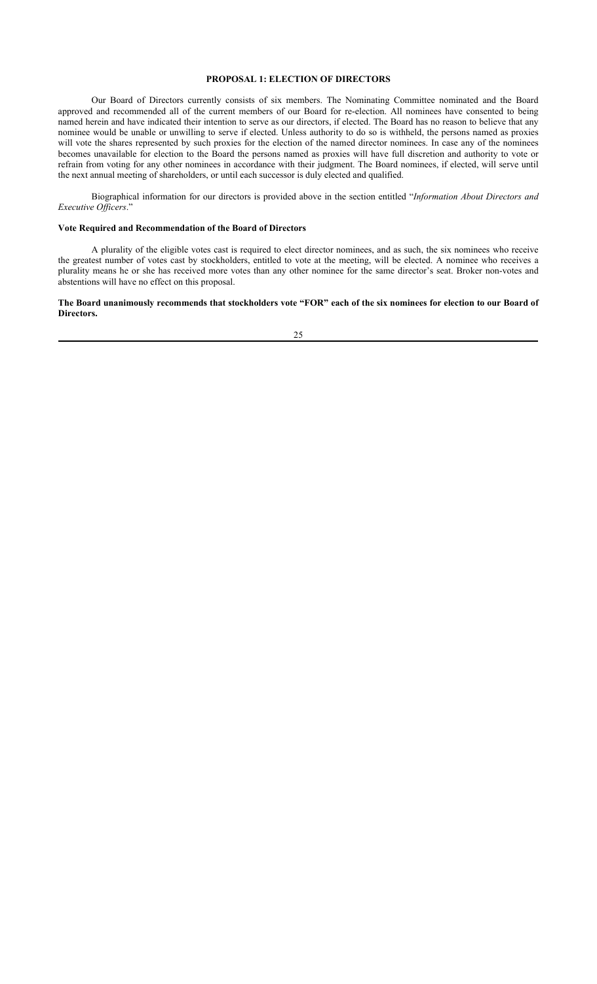## **PROPOSAL 1: ELECTION OF DIRECTORS**

Our Board of Directors currently consists of six members. The Nominating Committee nominated and the Board approved and recommended all of the current members of our Board for re-election. All nominees have consented to being named herein and have indicated their intention to serve as our directors, if elected. The Board has no reason to believe that any nominee would be unable or unwilling to serve if elected. Unless authority to do so is withheld, the persons named as proxies will vote the shares represented by such proxies for the election of the named director nominees. In case any of the nominees becomes unavailable for election to the Board the persons named as proxies will have full discretion and authority to vote or refrain from voting for any other nominees in accordance with their judgment. The Board nominees, if elected, will serve until the next annual meeting of shareholders, or until each successor is duly elected and qualified.

Biographical information for our directors is provided above in the section entitled "*Information About Directors and Executive Officers*."

## **Vote Required and Recommendation of the Board of Directors**

A plurality of the eligible votes cast is required to elect director nominees, and as such, the six nominees who receive the greatest number of votes cast by stockholders, entitled to vote at the meeting, will be elected. A nominee who receives a plurality means he or she has received more votes than any other nominee for the same director's seat. Broker non-votes and abstentions will have no effect on this proposal.

#### **The Board unanimously recommends that stockholders vote "FOR" each of the six nominees for election to our Board of Directors.**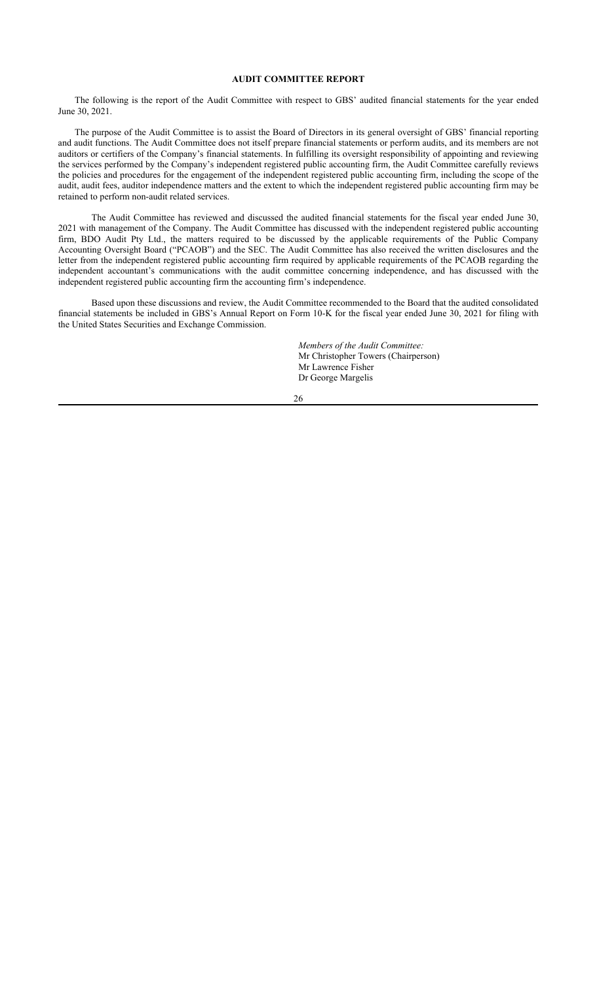## **AUDIT COMMITTEE REPORT**

The following is the report of the Audit Committee with respect to GBS' audited financial statements for the year ended June 30, 2021.

The purpose of the Audit Committee is to assist the Board of Directors in its general oversight of GBS' financial reporting and audit functions. The Audit Committee does not itself prepare financial statements or perform audits, and its members are not auditors or certifiers of the Company's financial statements. In fulfilling its oversight responsibility of appointing and reviewing the services performed by the Company's independent registered public accounting firm, the Audit Committee carefully reviews the policies and procedures for the engagement of the independent registered public accounting firm, including the scope of the audit, audit fees, auditor independence matters and the extent to which the independent registered public accounting firm may be retained to perform non-audit related services.

The Audit Committee has reviewed and discussed the audited financial statements for the fiscal year ended June 30, 2021 with management of the Company. The Audit Committee has discussed with the independent registered public accounting firm, BDO Audit Pty Ltd., the matters required to be discussed by the applicable requirements of the Public Company Accounting Oversight Board ("PCAOB") and the SEC. The Audit Committee has also received the written disclosures and the letter from the independent registered public accounting firm required by applicable requirements of the PCAOB regarding the independent accountant's communications with the audit committee concerning independence, and has discussed with the independent registered public accounting firm the accounting firm's independence.

Based upon these discussions and review, the Audit Committee recommended to the Board that the audited consolidated financial statements be included in GBS's Annual Report on Form 10-K for the fiscal year ended June 30, 2021 for filing with the United States Securities and Exchange Commission.

> *Members of the Audit Committee:* Mr Christopher Towers (Chairperson) Mr Lawrence Fisher Dr George Margelis

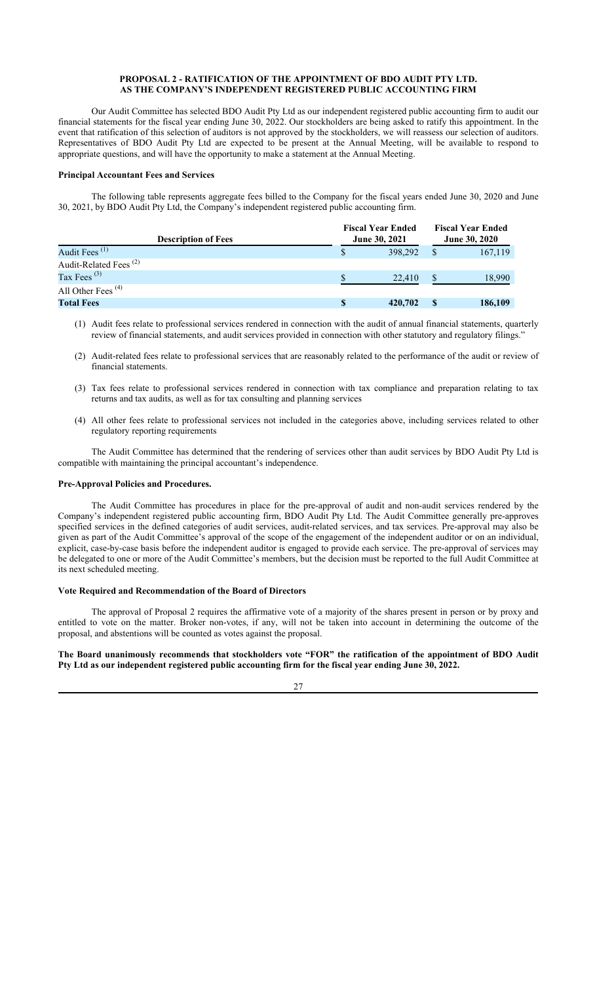## **PROPOSAL 2 - RATIFICATION OF THE APPOINTMENT OF BDO AUDIT PTY LTD. AS THE COMPANY'S INDEPENDENT REGISTERED PUBLIC ACCOUNTING FIRM**

Our Audit Committee has selected BDO Audit Pty Ltd as our independent registered public accounting firm to audit our financial statements for the fiscal year ending June 30, 2022. Our stockholders are being asked to ratify this appointment. In the event that ratification of this selection of auditors is not approved by the stockholders, we will reassess our selection of auditors. Representatives of BDO Audit Pty Ltd are expected to be present at the Annual Meeting, will be available to respond to appropriate questions, and will have the opportunity to make a statement at the Annual Meeting.

#### **Principal Accountant Fees and Services**

The following table represents aggregate fees billed to the Company for the fiscal years ended June 30, 2020 and June 30, 2021, by BDO Audit Pty Ltd, the Company's independent registered public accounting firm.

| <b>Description of Fees</b>        |   | <b>Fiscal Year Ended</b><br><b>June 30, 2021</b> | <b>Fiscal Year Ended</b><br><b>June 30, 2020</b> |
|-----------------------------------|---|--------------------------------------------------|--------------------------------------------------|
| Audit Fees <sup>(1)</sup>         | S | 398,292                                          | 167,119                                          |
| Audit-Related Fees <sup>(2)</sup> |   |                                                  |                                                  |
| Tax Fees $^{(3)}$                 |   | 22,410                                           | 18.990                                           |
| All Other Fees $(4)$              |   |                                                  |                                                  |
| <b>Total Fees</b>                 | S | 420,702                                          | 186,109                                          |

(1) Audit fees relate to professional services rendered in connection with the audit of annual financial statements, quarterly review of financial statements, and audit services provided in connection with other statutory and regulatory filings."

- (2) Audit-related fees relate to professional services that are reasonably related to the performance of the audit or review of financial statements.
- (3) Tax fees relate to professional services rendered in connection with tax compliance and preparation relating to tax returns and tax audits, as well as for tax consulting and planning services
- (4) All other fees relate to professional services not included in the categories above, including services related to other regulatory reporting requirements

The Audit Committee has determined that the rendering of services other than audit services by BDO Audit Pty Ltd is compatible with maintaining the principal accountant's independence.

#### **Pre-Approval Policies and Procedures.**

The Audit Committee has procedures in place for the pre-approval of audit and non-audit services rendered by the Company's independent registered public accounting firm, BDO Audit Pty Ltd. The Audit Committee generally pre-approves specified services in the defined categories of audit services, audit-related services, and tax services. Pre-approval may also be given as part of the Audit Committee's approval of the scope of the engagement of the independent auditor or on an individual, explicit, case-by-case basis before the independent auditor is engaged to provide each service. The pre-approval of services may be delegated to one or more of the Audit Committee's members, but the decision must be reported to the full Audit Committee at its next scheduled meeting.

## **Vote Required and Recommendation of the Board of Directors**

The approval of Proposal 2 requires the affirmative vote of a majority of the shares present in person or by proxy and entitled to vote on the matter. Broker non-votes, if any, will not be taken into account in determining the outcome of the proposal, and abstentions will be counted as votes against the proposal.

**The Board unanimously recommends that stockholders vote "FOR" the ratification of the appointment of BDO Audit Pty Ltd as our independent registered public accounting firm for the fiscal year ending June 30, 2022.**

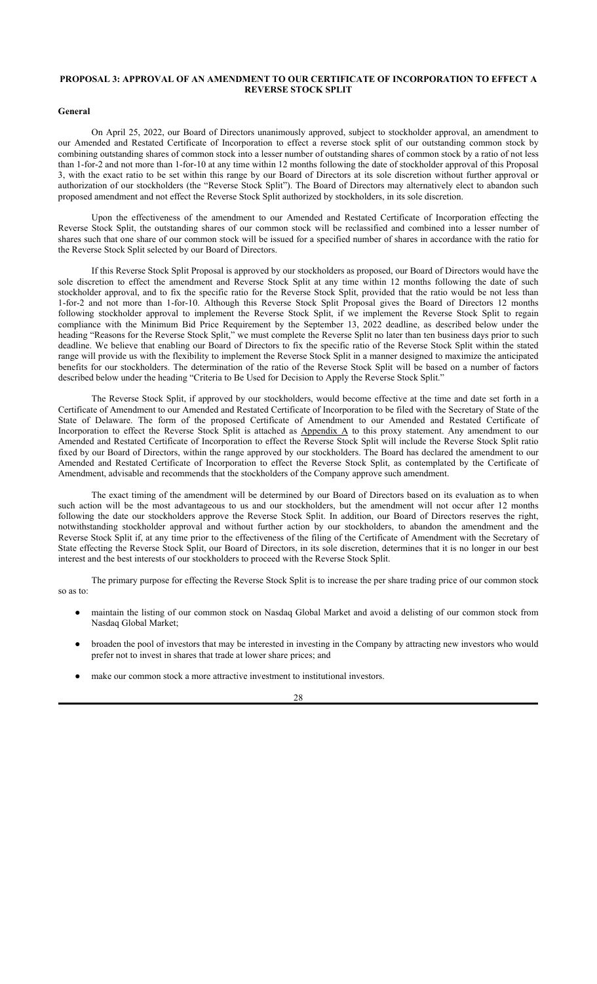## **PROPOSAL 3: APPROVAL OF AN AMENDMENT TO OUR CERTIFICATE OF INCORPORATION TO EFFECT A REVERSE STOCK SPLIT**

#### **General**

On April 25, 2022, our Board of Directors unanimously approved, subject to stockholder approval, an amendment to our Amended and Restated Certificate of Incorporation to effect a reverse stock split of our outstanding common stock by combining outstanding shares of common stock into a lesser number of outstanding shares of common stock by a ratio of not less than 1-for-2 and not more than 1-for-10 at any time within 12 months following the date of stockholder approval of this Proposal 3, with the exact ratio to be set within this range by our Board of Directors at its sole discretion without further approval or authorization of our stockholders (the "Reverse Stock Split"). The Board of Directors may alternatively elect to abandon such proposed amendment and not effect the Reverse Stock Split authorized by stockholders, in its sole discretion.

Upon the effectiveness of the amendment to our Amended and Restated Certificate of Incorporation effecting the Reverse Stock Split, the outstanding shares of our common stock will be reclassified and combined into a lesser number of shares such that one share of our common stock will be issued for a specified number of shares in accordance with the ratio for the Reverse Stock Split selected by our Board of Directors.

If this Reverse Stock Split Proposal is approved by our stockholders as proposed, our Board of Directors would have the sole discretion to effect the amendment and Reverse Stock Split at any time within 12 months following the date of such stockholder approval, and to fix the specific ratio for the Reverse Stock Split, provided that the ratio would be not less than 1-for-2 and not more than 1-for-10. Although this Reverse Stock Split Proposal gives the Board of Directors 12 months following stockholder approval to implement the Reverse Stock Split, if we implement the Reverse Stock Split to regain compliance with the Minimum Bid Price Requirement by the September 13, 2022 deadline, as described below under the heading "Reasons for the Reverse Stock Split," we must complete the Reverse Split no later than ten business days prior to such deadline. We believe that enabling our Board of Directors to fix the specific ratio of the Reverse Stock Split within the stated range will provide us with the flexibility to implement the Reverse Stock Split in a manner designed to maximize the anticipated benefits for our stockholders. The determination of the ratio of the Reverse Stock Split will be based on a number of factors described below under the heading "Criteria to Be Used for Decision to Apply the Reverse Stock Split."

The Reverse Stock Split, if approved by our stockholders, would become effective at the time and date set forth in a Certificate of Amendment to our Amended and Restated Certificate of Incorporation to be filed with the Secretary of State of the State of Delaware. The form of the proposed Certificate of Amendment to our Amended and Restated Certificate of Incorporation to effect the Reverse Stock Split is attached as Appendix A to this proxy statement. Any amendment to our Amended and Restated Certificate of Incorporation to effect the Reverse Stock Split will include the Reverse Stock Split ratio fixed by our Board of Directors, within the range approved by our stockholders. The Board has declared the amendment to our Amended and Restated Certificate of Incorporation to effect the Reverse Stock Split, as contemplated by the Certificate of Amendment, advisable and recommends that the stockholders of the Company approve such amendment.

The exact timing of the amendment will be determined by our Board of Directors based on its evaluation as to when such action will be the most advantageous to us and our stockholders, but the amendment will not occur after 12 months following the date our stockholders approve the Reverse Stock Split. In addition, our Board of Directors reserves the right, notwithstanding stockholder approval and without further action by our stockholders, to abandon the amendment and the Reverse Stock Split if, at any time prior to the effectiveness of the filing of the Certificate of Amendment with the Secretary of State effecting the Reverse Stock Split, our Board of Directors, in its sole discretion, determines that it is no longer in our best interest and the best interests of our stockholders to proceed with the Reverse Stock Split.

The primary purpose for effecting the Reverse Stock Split is to increase the per share trading price of our common stock so as to:

- maintain the listing of our common stock on Nasdaq Global Market and avoid a delisting of our common stock from Nasdaq Global Market;
- broaden the pool of investors that may be interested in investing in the Company by attracting new investors who would prefer not to invest in shares that trade at lower share prices; and
- make our common stock a more attractive investment to institutional investors.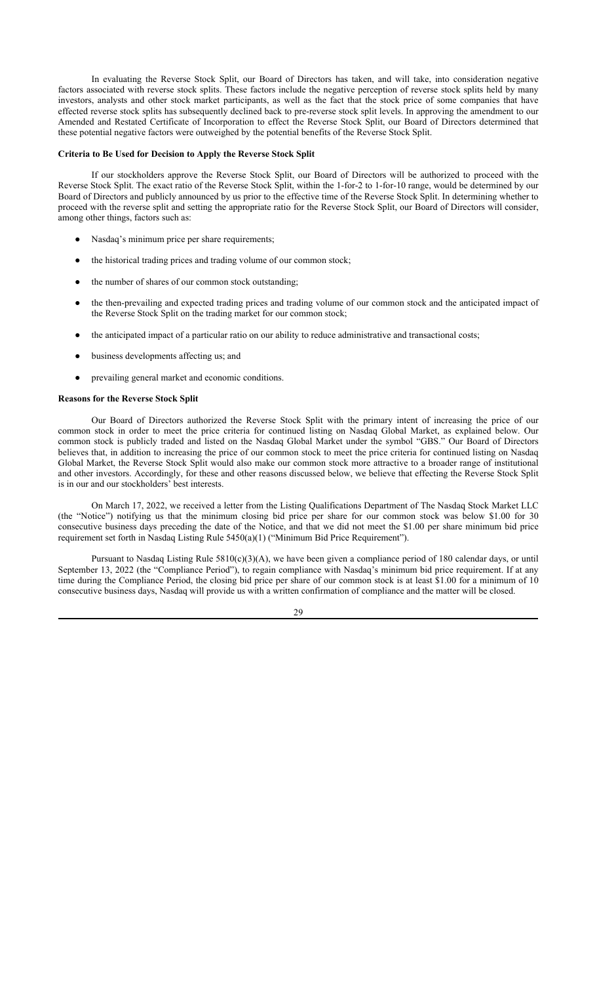In evaluating the Reverse Stock Split, our Board of Directors has taken, and will take, into consideration negative factors associated with reverse stock splits. These factors include the negative perception of reverse stock splits held by many investors, analysts and other stock market participants, as well as the fact that the stock price of some companies that have effected reverse stock splits has subsequently declined back to pre-reverse stock split levels. In approving the amendment to our Amended and Restated Certificate of Incorporation to effect the Reverse Stock Split, our Board of Directors determined that these potential negative factors were outweighed by the potential benefits of the Reverse Stock Split.

## **Criteria to Be Used for Decision to Apply the Reverse Stock Split**

If our stockholders approve the Reverse Stock Split, our Board of Directors will be authorized to proceed with the Reverse Stock Split. The exact ratio of the Reverse Stock Split, within the 1-for-2 to 1-for-10 range, would be determined by our Board of Directors and publicly announced by us prior to the effective time of the Reverse Stock Split. In determining whether to proceed with the reverse split and setting the appropriate ratio for the Reverse Stock Split, our Board of Directors will consider, among other things, factors such as:

- Nasdaq's minimum price per share requirements;
- the historical trading prices and trading volume of our common stock;
- the number of shares of our common stock outstanding;
- the then-prevailing and expected trading prices and trading volume of our common stock and the anticipated impact of the Reverse Stock Split on the trading market for our common stock;
- the anticipated impact of a particular ratio on our ability to reduce administrative and transactional costs;
- business developments affecting us; and
- prevailing general market and economic conditions.

#### **Reasons for the Reverse Stock Split**

Our Board of Directors authorized the Reverse Stock Split with the primary intent of increasing the price of our common stock in order to meet the price criteria for continued listing on Nasdaq Global Market, as explained below. Our common stock is publicly traded and listed on the Nasdaq Global Market under the symbol "GBS." Our Board of Directors believes that, in addition to increasing the price of our common stock to meet the price criteria for continued listing on Nasdaq Global Market, the Reverse Stock Split would also make our common stock more attractive to a broader range of institutional and other investors. Accordingly, for these and other reasons discussed below, we believe that effecting the Reverse Stock Split is in our and our stockholders' best interests.

On March 17, 2022, we received a letter from the Listing Qualifications Department of The Nasdaq Stock Market LLC (the "Notice") notifying us that the minimum closing bid price per share for our common stock was below \$1.00 for 30 consecutive business days preceding the date of the Notice, and that we did not meet the \$1.00 per share minimum bid price requirement set forth in Nasdaq Listing Rule 5450(a)(1) ("Minimum Bid Price Requirement").

Pursuant to Nasdaq Listing Rule  $5810(c)(3)(A)$ , we have been given a compliance period of 180 calendar days, or until September 13, 2022 (the "Compliance Period"), to regain compliance with Nasdaq's minimum bid price requirement. If at any time during the Compliance Period, the closing bid price per share of our common stock is at least \$1.00 for a minimum of 10 consecutive business days, Nasdaq will provide us with a written confirmation of compliance and the matter will be closed.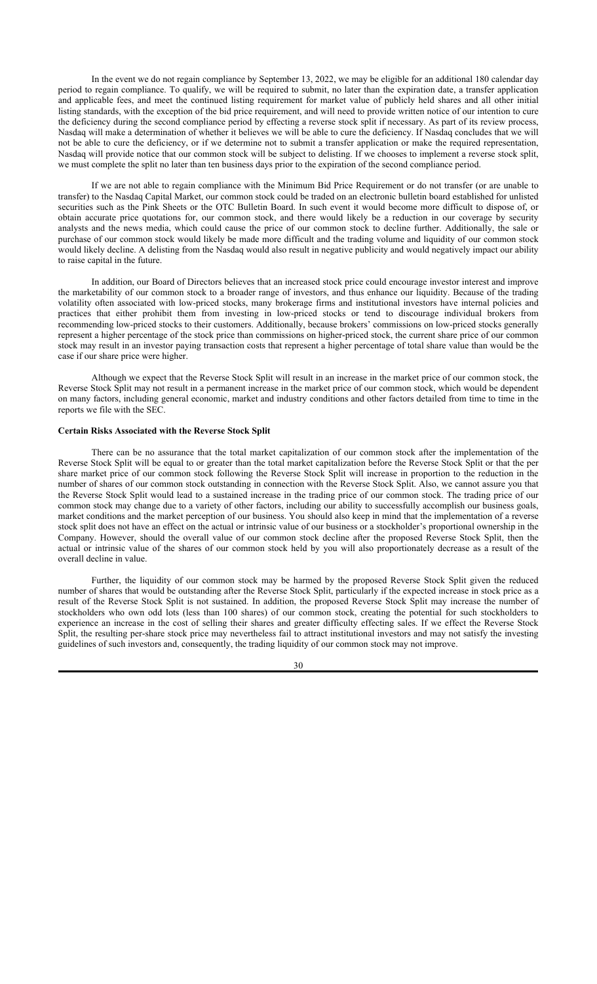In the event we do not regain compliance by September 13, 2022, we may be eligible for an additional 180 calendar day period to regain compliance. To qualify, we will be required to submit, no later than the expiration date, a transfer application and applicable fees, and meet the continued listing requirement for market value of publicly held shares and all other initial listing standards, with the exception of the bid price requirement, and will need to provide written notice of our intention to cure the deficiency during the second compliance period by effecting a reverse stock split if necessary. As part of its review process, Nasdaq will make a determination of whether it believes we will be able to cure the deficiency. If Nasdaq concludes that we will not be able to cure the deficiency, or if we determine not to submit a transfer application or make the required representation, Nasdaq will provide notice that our common stock will be subject to delisting. If we chooses to implement a reverse stock split, we must complete the split no later than ten business days prior to the expiration of the second compliance period.

If we are not able to regain compliance with the Minimum Bid Price Requirement or do not transfer (or are unable to transfer) to the Nasdaq Capital Market, our common stock could be traded on an electronic bulletin board established for unlisted securities such as the Pink Sheets or the OTC Bulletin Board. In such event it would become more difficult to dispose of, or obtain accurate price quotations for, our common stock, and there would likely be a reduction in our coverage by security analysts and the news media, which could cause the price of our common stock to decline further. Additionally, the sale or purchase of our common stock would likely be made more difficult and the trading volume and liquidity of our common stock would likely decline. A delisting from the Nasdaq would also result in negative publicity and would negatively impact our ability to raise capital in the future.

In addition, our Board of Directors believes that an increased stock price could encourage investor interest and improve the marketability of our common stock to a broader range of investors, and thus enhance our liquidity. Because of the trading volatility often associated with low-priced stocks, many brokerage firms and institutional investors have internal policies and practices that either prohibit them from investing in low-priced stocks or tend to discourage individual brokers from recommending low-priced stocks to their customers. Additionally, because brokers' commissions on low-priced stocks generally represent a higher percentage of the stock price than commissions on higher-priced stock, the current share price of our common stock may result in an investor paying transaction costs that represent a higher percentage of total share value than would be the case if our share price were higher.

Although we expect that the Reverse Stock Split will result in an increase in the market price of our common stock, the Reverse Stock Split may not result in a permanent increase in the market price of our common stock, which would be dependent on many factors, including general economic, market and industry conditions and other factors detailed from time to time in the reports we file with the SEC.

## **Certain Risks Associated with the Reverse Stock Split**

There can be no assurance that the total market capitalization of our common stock after the implementation of the Reverse Stock Split will be equal to or greater than the total market capitalization before the Reverse Stock Split or that the per share market price of our common stock following the Reverse Stock Split will increase in proportion to the reduction in the number of shares of our common stock outstanding in connection with the Reverse Stock Split. Also, we cannot assure you that the Reverse Stock Split would lead to a sustained increase in the trading price of our common stock. The trading price of our common stock may change due to a variety of other factors, including our ability to successfully accomplish our business goals, market conditions and the market perception of our business. You should also keep in mind that the implementation of a reverse stock split does not have an effect on the actual or intrinsic value of our business or a stockholder's proportional ownership in the Company. However, should the overall value of our common stock decline after the proposed Reverse Stock Split, then the actual or intrinsic value of the shares of our common stock held by you will also proportionately decrease as a result of the overall decline in value.

Further, the liquidity of our common stock may be harmed by the proposed Reverse Stock Split given the reduced number of shares that would be outstanding after the Reverse Stock Split, particularly if the expected increase in stock price as a result of the Reverse Stock Split is not sustained. In addition, the proposed Reverse Stock Split may increase the number of stockholders who own odd lots (less than 100 shares) of our common stock, creating the potential for such stockholders to experience an increase in the cost of selling their shares and greater difficulty effecting sales. If we effect the Reverse Stock Split, the resulting per-share stock price may nevertheless fail to attract institutional investors and may not satisfy the investing guidelines of such investors and, consequently, the trading liquidity of our common stock may not improve.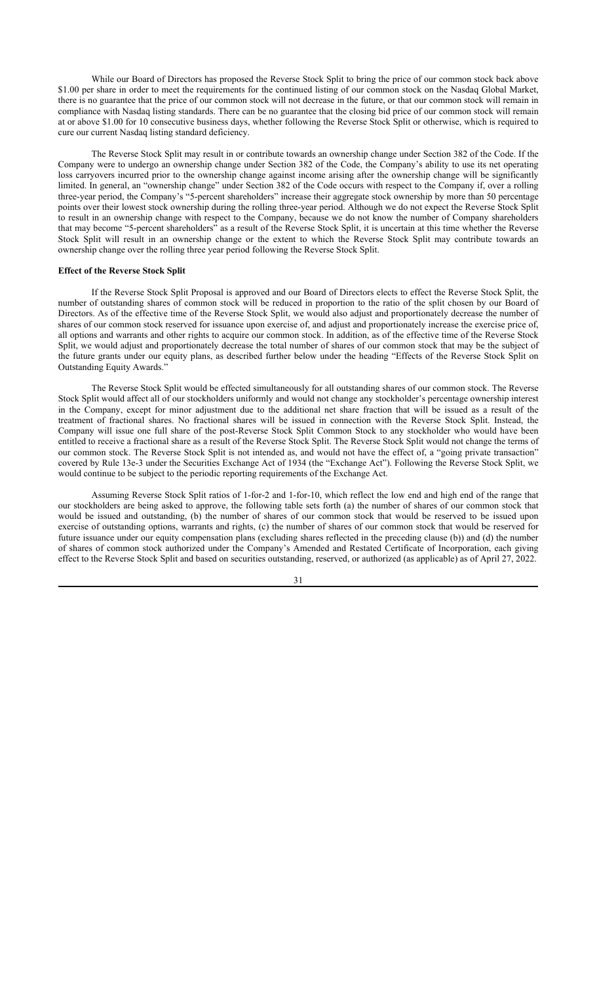While our Board of Directors has proposed the Reverse Stock Split to bring the price of our common stock back above \$1.00 per share in order to meet the requirements for the continued listing of our common stock on the Nasdaq Global Market, there is no guarantee that the price of our common stock will not decrease in the future, or that our common stock will remain in compliance with Nasdaq listing standards. There can be no guarantee that the closing bid price of our common stock will remain at or above \$1.00 for 10 consecutive business days, whether following the Reverse Stock Split or otherwise, which is required to cure our current Nasdaq listing standard deficiency.

The Reverse Stock Split may result in or contribute towards an ownership change under Section 382 of the Code. If the Company were to undergo an ownership change under Section 382 of the Code, the Company's ability to use its net operating loss carryovers incurred prior to the ownership change against income arising after the ownership change will be significantly limited. In general, an "ownership change" under Section 382 of the Code occurs with respect to the Company if, over a rolling three-year period, the Company's "5-percent shareholders" increase their aggregate stock ownership by more than 50 percentage points over their lowest stock ownership during the rolling three-year period. Although we do not expect the Reverse Stock Split to result in an ownership change with respect to the Company, because we do not know the number of Company shareholders that may become "5-percent shareholders" as a result of the Reverse Stock Split, it is uncertain at this time whether the Reverse Stock Split will result in an ownership change or the extent to which the Reverse Stock Split may contribute towards an ownership change over the rolling three year period following the Reverse Stock Split.

#### **Effect of the Reverse Stock Split**

If the Reverse Stock Split Proposal is approved and our Board of Directors elects to effect the Reverse Stock Split, the number of outstanding shares of common stock will be reduced in proportion to the ratio of the split chosen by our Board of Directors. As of the effective time of the Reverse Stock Split, we would also adjust and proportionately decrease the number of shares of our common stock reserved for issuance upon exercise of, and adjust and proportionately increase the exercise price of, all options and warrants and other rights to acquire our common stock. In addition, as of the effective time of the Reverse Stock Split, we would adjust and proportionately decrease the total number of shares of our common stock that may be the subject of the future grants under our equity plans, as described further below under the heading "Effects of the Reverse Stock Split on Outstanding Equity Awards."

The Reverse Stock Split would be effected simultaneously for all outstanding shares of our common stock. The Reverse Stock Split would affect all of our stockholders uniformly and would not change any stockholder's percentage ownership interest in the Company, except for minor adjustment due to the additional net share fraction that will be issued as a result of the treatment of fractional shares. No fractional shares will be issued in connection with the Reverse Stock Split. Instead, the Company will issue one full share of the post-Reverse Stock Split Common Stock to any stockholder who would have been entitled to receive a fractional share as a result of the Reverse Stock Split. The Reverse Stock Split would not change the terms of our common stock. The Reverse Stock Split is not intended as, and would not have the effect of, a "going private transaction" covered by Rule 13e-3 under the Securities Exchange Act of 1934 (the "Exchange Act"). Following the Reverse Stock Split, we would continue to be subject to the periodic reporting requirements of the Exchange Act.

Assuming Reverse Stock Split ratios of 1-for-2 and 1-for-10, which reflect the low end and high end of the range that our stockholders are being asked to approve, the following table sets forth (a) the number of shares of our common stock that would be issued and outstanding, (b) the number of shares of our common stock that would be reserved to be issued upon exercise of outstanding options, warrants and rights, (c) the number of shares of our common stock that would be reserved for future issuance under our equity compensation plans (excluding shares reflected in the preceding clause (b)) and (d) the number of shares of common stock authorized under the Company's Amended and Restated Certificate of Incorporation, each giving effect to the Reverse Stock Split and based on securities outstanding, reserved, or authorized (as applicable) as of April 27, 2022.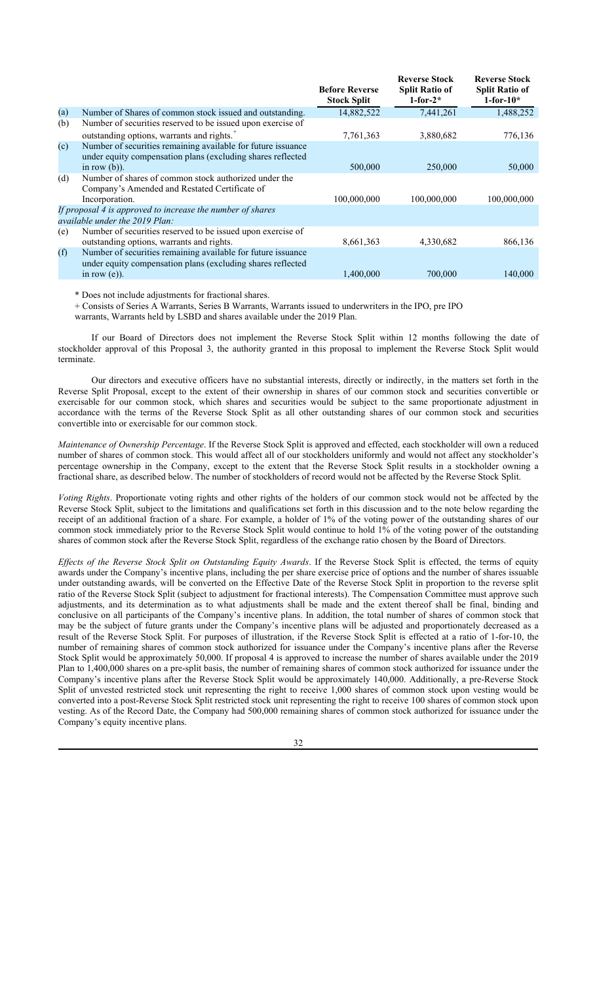|                                                                                                                             | <b>Before Reverse</b><br><b>Stock Split</b>                                                                                                                              | <b>Reverse Stock</b><br><b>Split Ratio of</b><br>$1$ -for- $2^*$ | <b>Reverse Stock</b><br><b>Split Ratio of</b><br>$1$ -for- $10*$ |
|-----------------------------------------------------------------------------------------------------------------------------|--------------------------------------------------------------------------------------------------------------------------------------------------------------------------|------------------------------------------------------------------|------------------------------------------------------------------|
| Number of Shares of common stock issued and outstanding.                                                                    | 14,882,522                                                                                                                                                               | 7,441,261                                                        | 1,488,252                                                        |
| Number of securities reserved to be issued upon exercise of                                                                 |                                                                                                                                                                          |                                                                  |                                                                  |
| outstanding options, warrants and rights. <sup>+</sup>                                                                      | 7,761,363                                                                                                                                                                | 3,880,682                                                        | 776,136                                                          |
| Number of securities remaining available for future issuance<br>under equity compensation plans (excluding shares reflected |                                                                                                                                                                          |                                                                  |                                                                  |
|                                                                                                                             |                                                                                                                                                                          |                                                                  | 50,000                                                           |
| Company's Amended and Restated Certificate of                                                                               |                                                                                                                                                                          |                                                                  |                                                                  |
| Incorporation.                                                                                                              | 100,000,000                                                                                                                                                              | 100,000,000                                                      | 100,000,000                                                      |
|                                                                                                                             |                                                                                                                                                                          |                                                                  |                                                                  |
| Number of securities reserved to be issued upon exercise of<br>outstanding options, warrants and rights.                    | 8,661,363                                                                                                                                                                | 4,330,682                                                        | 866,136                                                          |
| Number of securities remaining available for future issuance<br>under equity compensation plans (excluding shares reflected |                                                                                                                                                                          |                                                                  |                                                                  |
| in row $(e)$ ).                                                                                                             | 1,400,000                                                                                                                                                                | 700,000                                                          | 140,000                                                          |
|                                                                                                                             | in row $(b)$ ).<br>Number of shares of common stock authorized under the<br>If proposal 4 is approved to increase the number of shares<br>available under the 2019 Plan: | 500,000                                                          | 250,000                                                          |

\* Does not include adjustments for fractional shares.

+ Consists of Series A Warrants, Series B Warrants, Warrants issued to underwriters in the IPO, pre IPO

warrants, Warrants held by LSBD and shares available under the 2019 Plan.

If our Board of Directors does not implement the Reverse Stock Split within 12 months following the date of stockholder approval of this Proposal 3, the authority granted in this proposal to implement the Reverse Stock Split would terminate.

Our directors and executive officers have no substantial interests, directly or indirectly, in the matters set forth in the Reverse Split Proposal, except to the extent of their ownership in shares of our common stock and securities convertible or exercisable for our common stock, which shares and securities would be subject to the same proportionate adjustment in accordance with the terms of the Reverse Stock Split as all other outstanding shares of our common stock and securities convertible into or exercisable for our common stock.

*Maintenance of Ownership Percentage*. If the Reverse Stock Split is approved and effected, each stockholder will own a reduced number of shares of common stock. This would affect all of our stockholders uniformly and would not affect any stockholder's percentage ownership in the Company, except to the extent that the Reverse Stock Split results in a stockholder owning a fractional share, as described below. The number of stockholders of record would not be affected by the Reverse Stock Split.

*Voting Rights*. Proportionate voting rights and other rights of the holders of our common stock would not be affected by the Reverse Stock Split, subject to the limitations and qualifications set forth in this discussion and to the note below regarding the receipt of an additional fraction of a share. For example, a holder of 1% of the voting power of the outstanding shares of our common stock immediately prior to the Reverse Stock Split would continue to hold 1% of the voting power of the outstanding shares of common stock after the Reverse Stock Split, regardless of the exchange ratio chosen by the Board of Directors.

*Effects of the Reverse Stock Split on Outstanding Equity Awards*. If the Reverse Stock Split is effected, the terms of equity awards under the Company's incentive plans, including the per share exercise price of options and the number of shares issuable under outstanding awards, will be converted on the Effective Date of the Reverse Stock Split in proportion to the reverse split ratio of the Reverse Stock Split (subject to adjustment for fractional interests). The Compensation Committee must approve such adjustments, and its determination as to what adjustments shall be made and the extent thereof shall be final, binding and conclusive on all participants of the Company's incentive plans. In addition, the total number of shares of common stock that may be the subject of future grants under the Company's incentive plans will be adjusted and proportionately decreased as a result of the Reverse Stock Split. For purposes of illustration, if the Reverse Stock Split is effected at a ratio of 1-for-10, the number of remaining shares of common stock authorized for issuance under the Company's incentive plans after the Reverse Stock Split would be approximately 50,000. If proposal 4 is approved to increase the number of shares available under the 2019 Plan to 1,400,000 shares on a pre-split basis, the number of remaining shares of common stock authorized for issuance under the Company's incentive plans after the Reverse Stock Split would be approximately 140,000. Additionally, a pre-Reverse Stock Split of unvested restricted stock unit representing the right to receive 1,000 shares of common stock upon vesting would be converted into a post-Reverse Stock Split restricted stock unit representing the right to receive 100 shares of common stock upon vesting. As of the Record Date, the Company had 500,000 remaining shares of common stock authorized for issuance under the Company's equity incentive plans.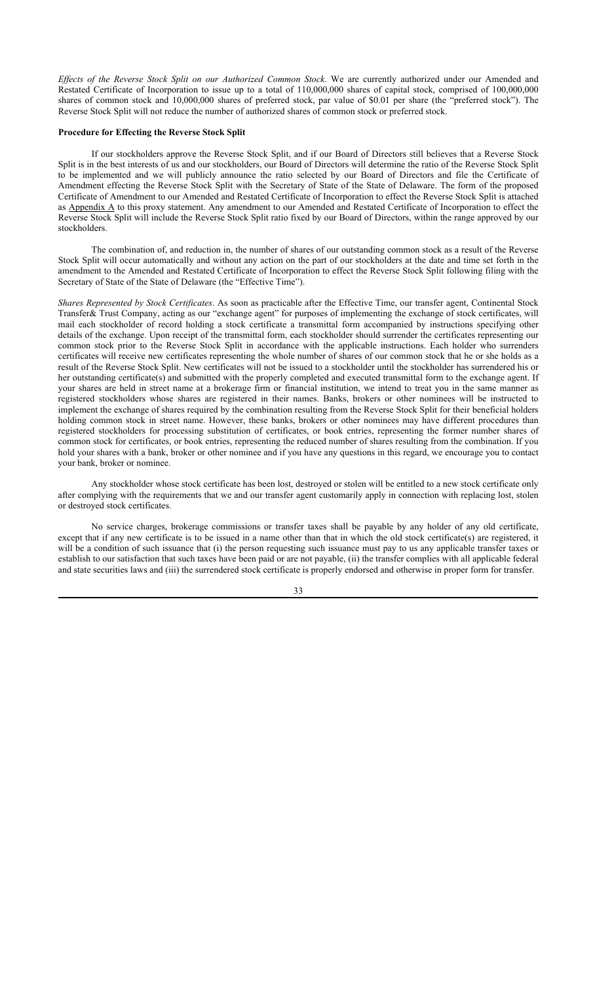*Effects of the Reverse Stock Split on our Authorized Common Stock*. We are currently authorized under our Amended and Restated Certificate of Incorporation to issue up to a total of 110,000,000 shares of capital stock, comprised of 100,000,000 shares of common stock and 10,000,000 shares of preferred stock, par value of \$0.01 per share (the "preferred stock"). The Reverse Stock Split will not reduce the number of authorized shares of common stock or preferred stock.

## **Procedure for Effecting the Reverse Stock Split**

If our stockholders approve the Reverse Stock Split, and if our Board of Directors still believes that a Reverse Stock Split is in the best interests of us and our stockholders, our Board of Directors will determine the ratio of the Reverse Stock Split to be implemented and we will publicly announce the ratio selected by our Board of Directors and file the Certificate of Amendment effecting the Reverse Stock Split with the Secretary of State of the State of Delaware. The form of the proposed Certificate of Amendment to our Amended and Restated Certificate of Incorporation to effect the Reverse Stock Split is attached as Appendix A to this proxy statement. Any amendment to our Amended and Restated Certificate of Incorporation to effect the Reverse Stock Split will include the Reverse Stock Split ratio fixed by our Board of Directors, within the range approved by our stockholders.

The combination of, and reduction in, the number of shares of our outstanding common stock as a result of the Reverse Stock Split will occur automatically and without any action on the part of our stockholders at the date and time set forth in the amendment to the Amended and Restated Certificate of Incorporation to effect the Reverse Stock Split following filing with the Secretary of State of the State of Delaware (the "Effective Time").

*Shares Represented by Stock Certificates*. As soon as practicable after the Effective Time, our transfer agent, Continental Stock Transfer& Trust Company, acting as our "exchange agent" for purposes of implementing the exchange of stock certificates, will mail each stockholder of record holding a stock certificate a transmittal form accompanied by instructions specifying other details of the exchange. Upon receipt of the transmittal form, each stockholder should surrender the certificates representing our common stock prior to the Reverse Stock Split in accordance with the applicable instructions. Each holder who surrenders certificates will receive new certificates representing the whole number of shares of our common stock that he or she holds as a result of the Reverse Stock Split. New certificates will not be issued to a stockholder until the stockholder has surrendered his or her outstanding certificate(s) and submitted with the properly completed and executed transmittal form to the exchange agent. If your shares are held in street name at a brokerage firm or financial institution, we intend to treat you in the same manner as registered stockholders whose shares are registered in their names. Banks, brokers or other nominees will be instructed to implement the exchange of shares required by the combination resulting from the Reverse Stock Split for their beneficial holders holding common stock in street name. However, these banks, brokers or other nominees may have different procedures than registered stockholders for processing substitution of certificates, or book entries, representing the former number shares of common stock for certificates, or book entries, representing the reduced number of shares resulting from the combination. If you hold your shares with a bank, broker or other nominee and if you have any questions in this regard, we encourage you to contact your bank, broker or nominee.

Any stockholder whose stock certificate has been lost, destroyed or stolen will be entitled to a new stock certificate only after complying with the requirements that we and our transfer agent customarily apply in connection with replacing lost, stolen or destroyed stock certificates.

No service charges, brokerage commissions or transfer taxes shall be payable by any holder of any old certificate, except that if any new certificate is to be issued in a name other than that in which the old stock certificate(s) are registered, it will be a condition of such issuance that (i) the person requesting such issuance must pay to us any applicable transfer taxes or establish to our satisfaction that such taxes have been paid or are not payable, (ii) the transfer complies with all applicable federal and state securities laws and (iii) the surrendered stock certificate is properly endorsed and otherwise in proper form for transfer.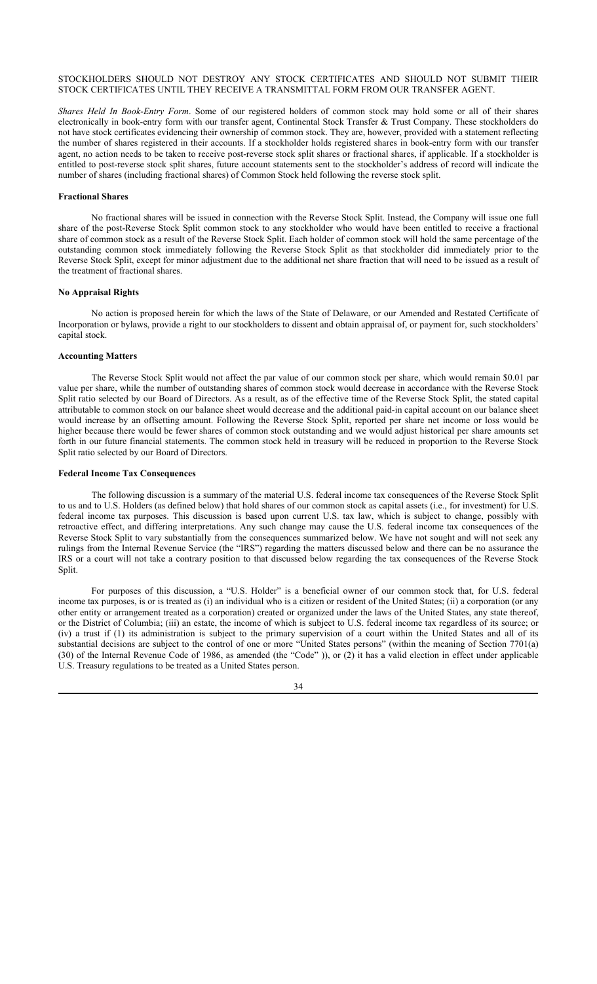## STOCKHOLDERS SHOULD NOT DESTROY ANY STOCK CERTIFICATES AND SHOULD NOT SUBMIT THEIR STOCK CERTIFICATES UNTIL THEY RECEIVE A TRANSMITTAL FORM FROM OUR TRANSFER AGENT.

*Shares Held In Book-Entry Form*. Some of our registered holders of common stock may hold some or all of their shares electronically in book-entry form with our transfer agent, Continental Stock Transfer & Trust Company. These stockholders do not have stock certificates evidencing their ownership of common stock. They are, however, provided with a statement reflecting the number of shares registered in their accounts. If a stockholder holds registered shares in book-entry form with our transfer agent, no action needs to be taken to receive post-reverse stock split shares or fractional shares, if applicable. If a stockholder is entitled to post-reverse stock split shares, future account statements sent to the stockholder's address of record will indicate the number of shares (including fractional shares) of Common Stock held following the reverse stock split.

#### **Fractional Shares**

No fractional shares will be issued in connection with the Reverse Stock Split. Instead, the Company will issue one full share of the post-Reverse Stock Split common stock to any stockholder who would have been entitled to receive a fractional share of common stock as a result of the Reverse Stock Split. Each holder of common stock will hold the same percentage of the outstanding common stock immediately following the Reverse Stock Split as that stockholder did immediately prior to the Reverse Stock Split, except for minor adjustment due to the additional net share fraction that will need to be issued as a result of the treatment of fractional shares.

## **No Appraisal Rights**

No action is proposed herein for which the laws of the State of Delaware, or our Amended and Restated Certificate of Incorporation or bylaws, provide a right to our stockholders to dissent and obtain appraisal of, or payment for, such stockholders' capital stock.

#### **Accounting Matters**

The Reverse Stock Split would not affect the par value of our common stock per share, which would remain \$0.01 par value per share, while the number of outstanding shares of common stock would decrease in accordance with the Reverse Stock Split ratio selected by our Board of Directors. As a result, as of the effective time of the Reverse Stock Split, the stated capital attributable to common stock on our balance sheet would decrease and the additional paid-in capital account on our balance sheet would increase by an offsetting amount. Following the Reverse Stock Split, reported per share net income or loss would be higher because there would be fewer shares of common stock outstanding and we would adjust historical per share amounts set forth in our future financial statements. The common stock held in treasury will be reduced in proportion to the Reverse Stock Split ratio selected by our Board of Directors.

#### **Federal Income Tax Consequences**

The following discussion is a summary of the material U.S. federal income tax consequences of the Reverse Stock Split to us and to U.S. Holders (as defined below) that hold shares of our common stock as capital assets (i.e., for investment) for U.S. federal income tax purposes. This discussion is based upon current U.S. tax law, which is subject to change, possibly with retroactive effect, and differing interpretations. Any such change may cause the U.S. federal income tax consequences of the Reverse Stock Split to vary substantially from the consequences summarized below. We have not sought and will not seek any rulings from the Internal Revenue Service (the "IRS") regarding the matters discussed below and there can be no assurance the IRS or a court will not take a contrary position to that discussed below regarding the tax consequences of the Reverse Stock Split.

For purposes of this discussion, a "U.S. Holder" is a beneficial owner of our common stock that, for U.S. federal income tax purposes, is or is treated as (i) an individual who is a citizen or resident of the United States; (ii) a corporation (or any other entity or arrangement treated as a corporation) created or organized under the laws of the United States, any state thereof, or the District of Columbia; (iii) an estate, the income of which is subject to U.S. federal income tax regardless of its source; or (iv) a trust if (1) its administration is subject to the primary supervision of a court within the United States and all of its substantial decisions are subject to the control of one or more "United States persons" (within the meaning of Section 7701(a) (30) of the Internal Revenue Code of 1986, as amended (the "Code" )), or (2) it has a valid election in effect under applicable U.S. Treasury regulations to be treated as a United States person.

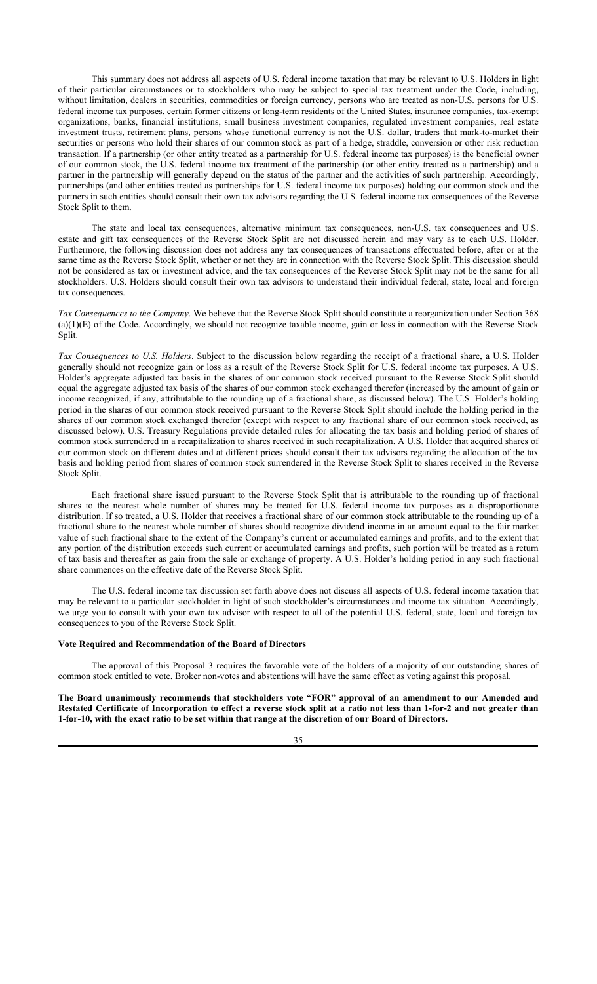This summary does not address all aspects of U.S. federal income taxation that may be relevant to U.S. Holders in light of their particular circumstances or to stockholders who may be subject to special tax treatment under the Code, including, without limitation, dealers in securities, commodities or foreign currency, persons who are treated as non-U.S. persons for U.S. federal income tax purposes, certain former citizens or long-term residents of the United States, insurance companies, tax-exempt organizations, banks, financial institutions, small business investment companies, regulated investment companies, real estate investment trusts, retirement plans, persons whose functional currency is not the U.S. dollar, traders that mark-to-market their securities or persons who hold their shares of our common stock as part of a hedge, straddle, conversion or other risk reduction transaction. If a partnership (or other entity treated as a partnership for U.S. federal income tax purposes) is the beneficial owner of our common stock, the U.S. federal income tax treatment of the partnership (or other entity treated as a partnership) and a partner in the partnership will generally depend on the status of the partner and the activities of such partnership. Accordingly, partnerships (and other entities treated as partnerships for U.S. federal income tax purposes) holding our common stock and the partners in such entities should consult their own tax advisors regarding the U.S. federal income tax consequences of the Reverse Stock Split to them.

The state and local tax consequences, alternative minimum tax consequences, non-U.S. tax consequences and U.S. estate and gift tax consequences of the Reverse Stock Split are not discussed herein and may vary as to each U.S. Holder. Furthermore, the following discussion does not address any tax consequences of transactions effectuated before, after or at the same time as the Reverse Stock Split, whether or not they are in connection with the Reverse Stock Split. This discussion should not be considered as tax or investment advice, and the tax consequences of the Reverse Stock Split may not be the same for all stockholders. U.S. Holders should consult their own tax advisors to understand their individual federal, state, local and foreign tax consequences.

*Tax Consequences to the Company*. We believe that the Reverse Stock Split should constitute a reorganization under Section 368 (a)(1)(E) of the Code. Accordingly, we should not recognize taxable income, gain or loss in connection with the Reverse Stock Split.

*Tax Consequences to U.S. Holders*. Subject to the discussion below regarding the receipt of a fractional share, a U.S. Holder generally should not recognize gain or loss as a result of the Reverse Stock Split for U.S. federal income tax purposes. A U.S. Holder's aggregate adjusted tax basis in the shares of our common stock received pursuant to the Reverse Stock Split should equal the aggregate adjusted tax basis of the shares of our common stock exchanged therefor (increased by the amount of gain or income recognized, if any, attributable to the rounding up of a fractional share, as discussed below). The U.S. Holder's holding period in the shares of our common stock received pursuant to the Reverse Stock Split should include the holding period in the shares of our common stock exchanged therefor (except with respect to any fractional share of our common stock received, as discussed below). U.S. Treasury Regulations provide detailed rules for allocating the tax basis and holding period of shares of common stock surrendered in a recapitalization to shares received in such recapitalization. A U.S. Holder that acquired shares of our common stock on different dates and at different prices should consult their tax advisors regarding the allocation of the tax basis and holding period from shares of common stock surrendered in the Reverse Stock Split to shares received in the Reverse Stock Split.

Each fractional share issued pursuant to the Reverse Stock Split that is attributable to the rounding up of fractional shares to the nearest whole number of shares may be treated for U.S. federal income tax purposes as a disproportionate distribution. If so treated, a U.S. Holder that receives a fractional share of our common stock attributable to the rounding up of a fractional share to the nearest whole number of shares should recognize dividend income in an amount equal to the fair market value of such fractional share to the extent of the Company's current or accumulated earnings and profits, and to the extent that any portion of the distribution exceeds such current or accumulated earnings and profits, such portion will be treated as a return of tax basis and thereafter as gain from the sale or exchange of property. A U.S. Holder's holding period in any such fractional share commences on the effective date of the Reverse Stock Split.

The U.S. federal income tax discussion set forth above does not discuss all aspects of U.S. federal income taxation that may be relevant to a particular stockholder in light of such stockholder's circumstances and income tax situation. Accordingly, we urge you to consult with your own tax advisor with respect to all of the potential U.S. federal, state, local and foreign tax consequences to you of the Reverse Stock Split.

## **Vote Required and Recommendation of the Board of Directors**

The approval of this Proposal 3 requires the favorable vote of the holders of a majority of our outstanding shares of common stock entitled to vote. Broker non-votes and abstentions will have the same effect as voting against this proposal.

**The Board unanimously recommends that stockholders vote "FOR" approval of an amendment to our Amended and Restated Certificate of Incorporation to effect a reverse stock split at a ratio not less than 1-for-2 and not greater than 1-for-10, with the exact ratio to be set within that range at the discretion of our Board of Directors.**

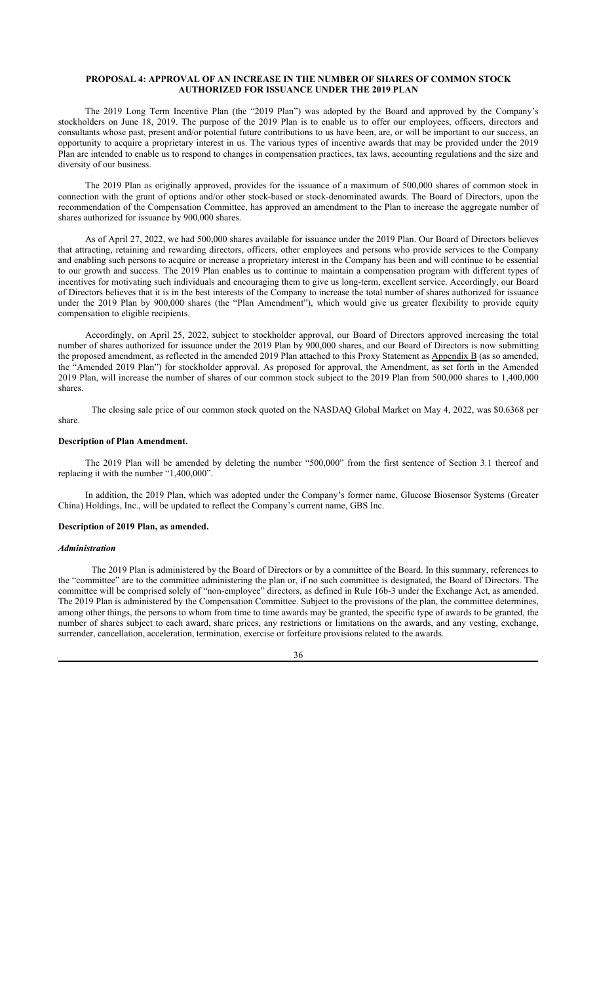## **PROPOSAL 4: APPROVAL OF AN INCREASE IN THE NUMBER OF SHARES OF COMMON STOCK AUTHORIZED FOR ISSUANCE UNDER THE 2019 PLAN**

The 2019 Long Term Incentive Plan (the "2019 Plan") was adopted by the Board and approved by the Company's stockholders on June 18, 2019. The purpose of the 2019 Plan is to enable us to offer our employees, officers, directors and consultants whose past, present and/or potential future contributions to us have been, are, or will be important to our success, an opportunity to acquire a proprietary interest in us. The various types of incentive awards that may be provided under the 2019 Plan are intended to enable us to respond to changes in compensation practices, tax laws, accounting regulations and the size and diversity of our business.

The 2019 Plan as originally approved, provides for the issuance of a maximum of 500,000 shares of common stock in connection with the grant of options and/or other stock-based or stock-denominated awards. The Board of Directors, upon the recommendation of the Compensation Committee, has approved an amendment to the Plan to increase the aggregate number of shares authorized for issuance by 900,000 shares.

As of April 27, 2022, we had 500,000 shares available for issuance under the 2019 Plan. Our Board of Directors believes that attracting, retaining and rewarding directors, officers, other employees and persons who provide services to the Company and enabling such persons to acquire or increase a proprietary interest in the Company has been and will continue to be essential to our growth and success. The 2019 Plan enables us to continue to maintain a compensation program with different types of incentives for motivating such individuals and encouraging them to give us long-term, excellent service. Accordingly, our Board of Directors believes that it is in the best interests of the Company to increase the total number of shares authorized for issuance under the 2019 Plan by 900,000 shares (the "Plan Amendment"), which would give us greater flexibility to provide equity compensation to eligible recipients.

Accordingly, on April 25, 2022, subject to stockholder approval, our Board of Directors approved increasing the total number of shares authorized for issuance under the 2019 Plan by 900,000 shares, and our Board of Directors is now submitting the proposed amendment, as reflected in the amended 2019 Plan attached to this Proxy Statement as Appendix B (as so amended, the "Amended 2019 Plan") for stockholder approval. As proposed for approval, the Amendment, as set forth in the Amended 2019 Plan, will increase the number of shares of our common stock subject to the 2019 Plan from 500,000 shares to 1,400,000 shares.

The closing sale price of our common stock quoted on the NASDAQ Global Market on May 4, 2022, was \$0.6368 per share.

#### **Description of Plan Amendment.**

The 2019 Plan will be amended by deleting the number "500,000" from the first sentence of Section 3.1 thereof and replacing it with the number "1,400,000".

In addition, the 2019 Plan, which was adopted under the Company's former name, Glucose Biosensor Systems (Greater China) Holdings, Inc., will be updated to reflect the Company's current name, GBS Inc.

#### **Description of 2019 Plan, as amended.**

#### *Administration*

The 2019 Plan is administered by the Board of Directors or by a committee of the Board. In this summary, references to the "committee" are to the committee administering the plan or, if no such committee is designated, the Board of Directors. The committee will be comprised solely of "non-employee" directors, as defined in Rule 16b-3 under the Exchange Act, as amended. The 2019 Plan is administered by the Compensation Committee. Subject to the provisions of the plan, the committee determines, among other things, the persons to whom from time to time awards may be granted, the specific type of awards to be granted, the number of shares subject to each award, share prices, any restrictions or limitations on the awards, and any vesting, exchange, surrender, cancellation, acceleration, termination, exercise or forfeiture provisions related to the awards.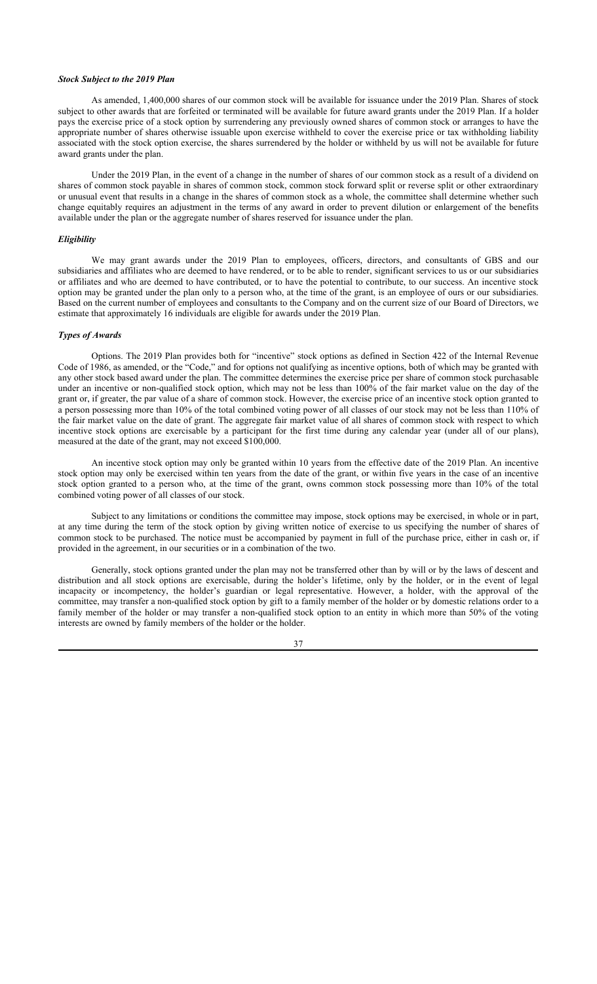#### *Stock Subject to the 2019 Plan*

As amended, 1,400,000 shares of our common stock will be available for issuance under the 2019 Plan. Shares of stock subject to other awards that are forfeited or terminated will be available for future award grants under the 2019 Plan. If a holder pays the exercise price of a stock option by surrendering any previously owned shares of common stock or arranges to have the appropriate number of shares otherwise issuable upon exercise withheld to cover the exercise price or tax withholding liability associated with the stock option exercise, the shares surrendered by the holder or withheld by us will not be available for future award grants under the plan.

Under the 2019 Plan, in the event of a change in the number of shares of our common stock as a result of a dividend on shares of common stock payable in shares of common stock, common stock forward split or reverse split or other extraordinary or unusual event that results in a change in the shares of common stock as a whole, the committee shall determine whether such change equitably requires an adjustment in the terms of any award in order to prevent dilution or enlargement of the benefits available under the plan or the aggregate number of shares reserved for issuance under the plan.

#### *Eligibility*

We may grant awards under the 2019 Plan to employees, officers, directors, and consultants of GBS and our subsidiaries and affiliates who are deemed to have rendered, or to be able to render, significant services to us or our subsidiaries or affiliates and who are deemed to have contributed, or to have the potential to contribute, to our success. An incentive stock option may be granted under the plan only to a person who, at the time of the grant, is an employee of ours or our subsidiaries. Based on the current number of employees and consultants to the Company and on the current size of our Board of Directors, we estimate that approximately 16 individuals are eligible for awards under the 2019 Plan.

## *Types of Awards*

Options. The 2019 Plan provides both for "incentive" stock options as defined in Section 422 of the Internal Revenue Code of 1986, as amended, or the "Code," and for options not qualifying as incentive options, both of which may be granted with any other stock based award under the plan. The committee determines the exercise price per share of common stock purchasable under an incentive or non-qualified stock option, which may not be less than 100% of the fair market value on the day of the grant or, if greater, the par value of a share of common stock. However, the exercise price of an incentive stock option granted to a person possessing more than 10% of the total combined voting power of all classes of our stock may not be less than 110% of the fair market value on the date of grant. The aggregate fair market value of all shares of common stock with respect to which incentive stock options are exercisable by a participant for the first time during any calendar year (under all of our plans), measured at the date of the grant, may not exceed \$100,000.

An incentive stock option may only be granted within 10 years from the effective date of the 2019 Plan. An incentive stock option may only be exercised within ten years from the date of the grant, or within five years in the case of an incentive stock option granted to a person who, at the time of the grant, owns common stock possessing more than 10% of the total combined voting power of all classes of our stock.

Subject to any limitations or conditions the committee may impose, stock options may be exercised, in whole or in part, at any time during the term of the stock option by giving written notice of exercise to us specifying the number of shares of common stock to be purchased. The notice must be accompanied by payment in full of the purchase price, either in cash or, if provided in the agreement, in our securities or in a combination of the two.

Generally, stock options granted under the plan may not be transferred other than by will or by the laws of descent and distribution and all stock options are exercisable, during the holder's lifetime, only by the holder, or in the event of legal incapacity or incompetency, the holder's guardian or legal representative. However, a holder, with the approval of the committee, may transfer a non-qualified stock option by gift to a family member of the holder or by domestic relations order to a family member of the holder or may transfer a non-qualified stock option to an entity in which more than 50% of the voting interests are owned by family members of the holder or the holder.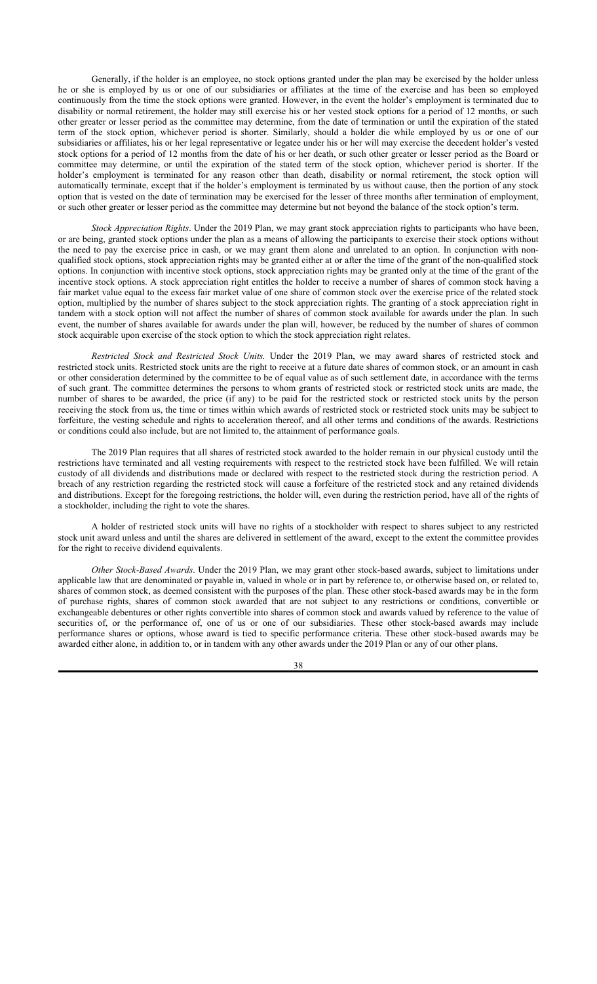Generally, if the holder is an employee, no stock options granted under the plan may be exercised by the holder unless he or she is employed by us or one of our subsidiaries or affiliates at the time of the exercise and has been so employed continuously from the time the stock options were granted. However, in the event the holder's employment is terminated due to disability or normal retirement, the holder may still exercise his or her vested stock options for a period of 12 months, or such other greater or lesser period as the committee may determine, from the date of termination or until the expiration of the stated term of the stock option, whichever period is shorter. Similarly, should a holder die while employed by us or one of our subsidiaries or affiliates, his or her legal representative or legatee under his or her will may exercise the decedent holder's vested stock options for a period of 12 months from the date of his or her death, or such other greater or lesser period as the Board or committee may determine, or until the expiration of the stated term of the stock option, whichever period is shorter. If the holder's employment is terminated for any reason other than death, disability or normal retirement, the stock option will automatically terminate, except that if the holder's employment is terminated by us without cause, then the portion of any stock option that is vested on the date of termination may be exercised for the lesser of three months after termination of employment, or such other greater or lesser period as the committee may determine but not beyond the balance of the stock option's term.

*Stock Appreciation Rights*. Under the 2019 Plan, we may grant stock appreciation rights to participants who have been, or are being, granted stock options under the plan as a means of allowing the participants to exercise their stock options without the need to pay the exercise price in cash, or we may grant them alone and unrelated to an option. In conjunction with nonqualified stock options, stock appreciation rights may be granted either at or after the time of the grant of the non-qualified stock options. In conjunction with incentive stock options, stock appreciation rights may be granted only at the time of the grant of the incentive stock options. A stock appreciation right entitles the holder to receive a number of shares of common stock having a fair market value equal to the excess fair market value of one share of common stock over the exercise price of the related stock option, multiplied by the number of shares subject to the stock appreciation rights. The granting of a stock appreciation right in tandem with a stock option will not affect the number of shares of common stock available for awards under the plan. In such event, the number of shares available for awards under the plan will, however, be reduced by the number of shares of common stock acquirable upon exercise of the stock option to which the stock appreciation right relates.

*Restricted Stock and Restricted Stock Units.* Under the 2019 Plan, we may award shares of restricted stock and restricted stock units. Restricted stock units are the right to receive at a future date shares of common stock, or an amount in cash or other consideration determined by the committee to be of equal value as of such settlement date, in accordance with the terms of such grant. The committee determines the persons to whom grants of restricted stock or restricted stock units are made, the number of shares to be awarded, the price (if any) to be paid for the restricted stock or restricted stock units by the person receiving the stock from us, the time or times within which awards of restricted stock or restricted stock units may be subject to forfeiture, the vesting schedule and rights to acceleration thereof, and all other terms and conditions of the awards. Restrictions or conditions could also include, but are not limited to, the attainment of performance goals.

The 2019 Plan requires that all shares of restricted stock awarded to the holder remain in our physical custody until the restrictions have terminated and all vesting requirements with respect to the restricted stock have been fulfilled. We will retain custody of all dividends and distributions made or declared with respect to the restricted stock during the restriction period. A breach of any restriction regarding the restricted stock will cause a forfeiture of the restricted stock and any retained dividends and distributions. Except for the foregoing restrictions, the holder will, even during the restriction period, have all of the rights of a stockholder, including the right to vote the shares.

A holder of restricted stock units will have no rights of a stockholder with respect to shares subject to any restricted stock unit award unless and until the shares are delivered in settlement of the award, except to the extent the committee provides for the right to receive dividend equivalents.

*Other Stock-Based Awards*. Under the 2019 Plan, we may grant other stock-based awards, subject to limitations under applicable law that are denominated or payable in, valued in whole or in part by reference to, or otherwise based on, or related to, shares of common stock, as deemed consistent with the purposes of the plan. These other stock-based awards may be in the form of purchase rights, shares of common stock awarded that are not subject to any restrictions or conditions, convertible or exchangeable debentures or other rights convertible into shares of common stock and awards valued by reference to the value of securities of, or the performance of, one of us or one of our subsidiaries. These other stock-based awards may include performance shares or options, whose award is tied to specific performance criteria. These other stock-based awards may be awarded either alone, in addition to, or in tandem with any other awards under the 2019 Plan or any of our other plans.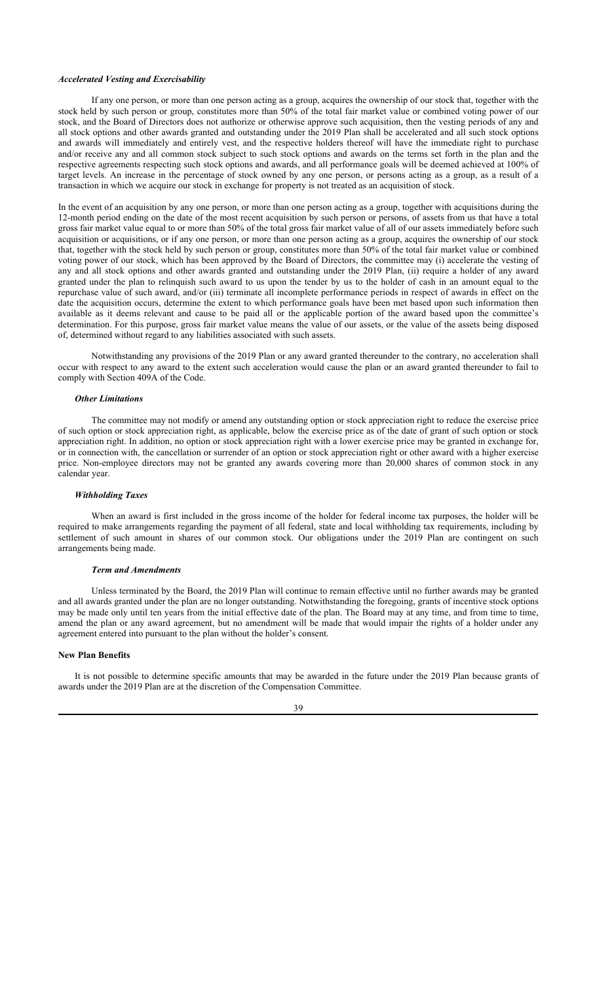## *Accelerated Vesting and Exercisability*

If any one person, or more than one person acting as a group, acquires the ownership of our stock that, together with the stock held by such person or group, constitutes more than 50% of the total fair market value or combined voting power of our stock, and the Board of Directors does not authorize or otherwise approve such acquisition, then the vesting periods of any and all stock options and other awards granted and outstanding under the 2019 Plan shall be accelerated and all such stock options and awards will immediately and entirely vest, and the respective holders thereof will have the immediate right to purchase and/or receive any and all common stock subject to such stock options and awards on the terms set forth in the plan and the respective agreements respecting such stock options and awards, and all performance goals will be deemed achieved at 100% of target levels. An increase in the percentage of stock owned by any one person, or persons acting as a group, as a result of a transaction in which we acquire our stock in exchange for property is not treated as an acquisition of stock.

In the event of an acquisition by any one person, or more than one person acting as a group, together with acquisitions during the 12-month period ending on the date of the most recent acquisition by such person or persons, of assets from us that have a total gross fair market value equal to or more than 50% of the total gross fair market value of all of our assets immediately before such acquisition or acquisitions, or if any one person, or more than one person acting as a group, acquires the ownership of our stock that, together with the stock held by such person or group, constitutes more than 50% of the total fair market value or combined voting power of our stock, which has been approved by the Board of Directors, the committee may (i) accelerate the vesting of any and all stock options and other awards granted and outstanding under the 2019 Plan, (ii) require a holder of any award granted under the plan to relinquish such award to us upon the tender by us to the holder of cash in an amount equal to the repurchase value of such award, and/or (iii) terminate all incomplete performance periods in respect of awards in effect on the date the acquisition occurs, determine the extent to which performance goals have been met based upon such information then available as it deems relevant and cause to be paid all or the applicable portion of the award based upon the committee's determination. For this purpose, gross fair market value means the value of our assets, or the value of the assets being disposed of, determined without regard to any liabilities associated with such assets.

Notwithstanding any provisions of the 2019 Plan or any award granted thereunder to the contrary, no acceleration shall occur with respect to any award to the extent such acceleration would cause the plan or an award granted thereunder to fail to comply with Section 409A of the Code.

#### *Other Limitations*

The committee may not modify or amend any outstanding option or stock appreciation right to reduce the exercise price of such option or stock appreciation right, as applicable, below the exercise price as of the date of grant of such option or stock appreciation right. In addition, no option or stock appreciation right with a lower exercise price may be granted in exchange for, or in connection with, the cancellation or surrender of an option or stock appreciation right or other award with a higher exercise price. Non-employee directors may not be granted any awards covering more than 20,000 shares of common stock in any calendar year.

## *Withholding Taxes*

When an award is first included in the gross income of the holder for federal income tax purposes, the holder will be required to make arrangements regarding the payment of all federal, state and local withholding tax requirements, including by settlement of such amount in shares of our common stock. Our obligations under the 2019 Plan are contingent on such arrangements being made.

#### *Term and Amendments*

Unless terminated by the Board, the 2019 Plan will continue to remain effective until no further awards may be granted and all awards granted under the plan are no longer outstanding. Notwithstanding the foregoing, grants of incentive stock options may be made only until ten years from the initial effective date of the plan. The Board may at any time, and from time to time, amend the plan or any award agreement, but no amendment will be made that would impair the rights of a holder under any agreement entered into pursuant to the plan without the holder's consent.

#### **New Plan Benefits**

It is not possible to determine specific amounts that may be awarded in the future under the 2019 Plan because grants of awards under the 2019 Plan are at the discretion of the Compensation Committee.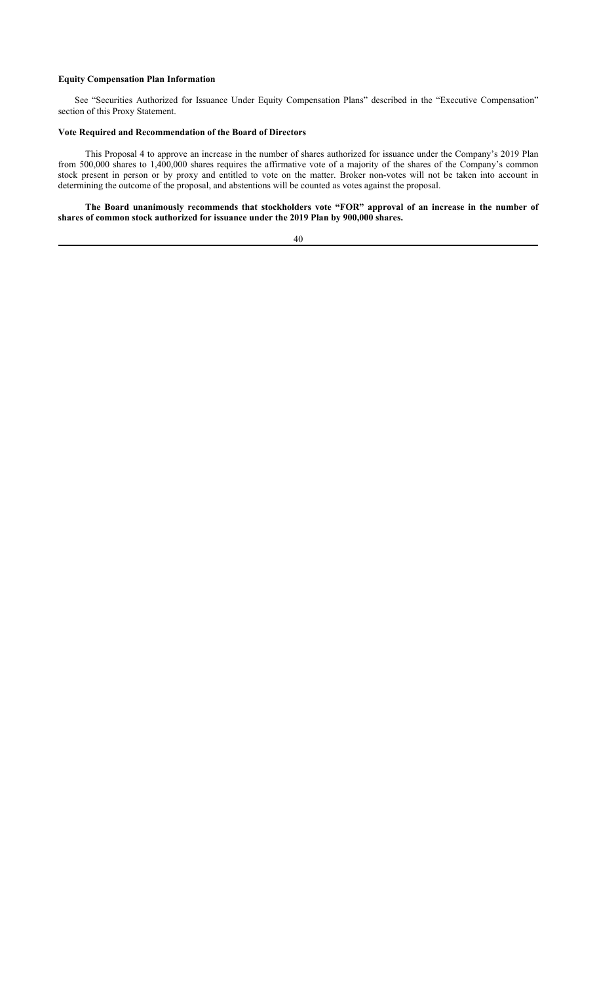## **Equity Compensation Plan Information**

See "Securities Authorized for Issuance Under Equity Compensation Plans" described in the "Executive Compensation" section of this Proxy Statement.

## **Vote Required and Recommendation of the Board of Directors**

This Proposal 4 to approve an increase in the number of shares authorized for issuance under the Company's 2019 Plan from 500,000 shares to 1,400,000 shares requires the affirmative vote of a majority of the shares of the Company's common stock present in person or by proxy and entitled to vote on the matter. Broker non-votes will not be taken into account in determining the outcome of the proposal, and abstentions will be counted as votes against the proposal.

**The Board unanimously recommends that stockholders vote "FOR" approval of an increase in the number of shares of common stock authorized for issuance under the 2019 Plan by 900,000 shares.**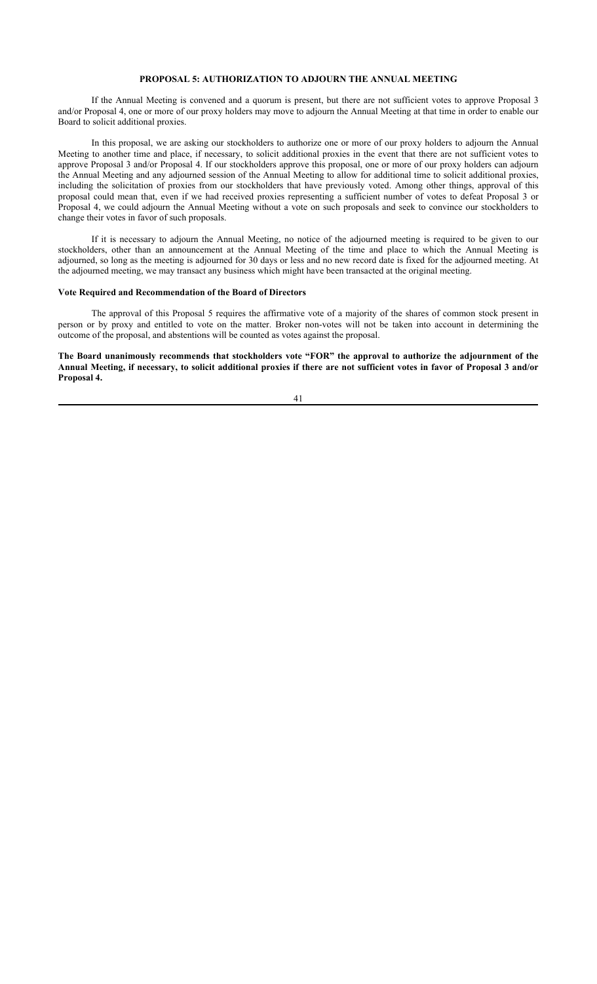## **PROPOSAL 5: AUTHORIZATION TO ADJOURN THE ANNUAL MEETING**

If the Annual Meeting is convened and a quorum is present, but there are not sufficient votes to approve Proposal 3 and/or Proposal 4, one or more of our proxy holders may move to adjourn the Annual Meeting at that time in order to enable our Board to solicit additional proxies.

In this proposal, we are asking our stockholders to authorize one or more of our proxy holders to adjourn the Annual Meeting to another time and place, if necessary, to solicit additional proxies in the event that there are not sufficient votes to approve Proposal 3 and/or Proposal 4. If our stockholders approve this proposal, one or more of our proxy holders can adjourn the Annual Meeting and any adjourned session of the Annual Meeting to allow for additional time to solicit additional proxies, including the solicitation of proxies from our stockholders that have previously voted. Among other things, approval of this proposal could mean that, even if we had received proxies representing a sufficient number of votes to defeat Proposal 3 or Proposal 4, we could adjourn the Annual Meeting without a vote on such proposals and seek to convince our stockholders to change their votes in favor of such proposals.

If it is necessary to adjourn the Annual Meeting, no notice of the adjourned meeting is required to be given to our stockholders, other than an announcement at the Annual Meeting of the time and place to which the Annual Meeting is adjourned, so long as the meeting is adjourned for 30 days or less and no new record date is fixed for the adjourned meeting. At the adjourned meeting, we may transact any business which might have been transacted at the original meeting.

## **Vote Required and Recommendation of the Board of Directors**

The approval of this Proposal 5 requires the affirmative vote of a majority of the shares of common stock present in person or by proxy and entitled to vote on the matter. Broker non-votes will not be taken into account in determining the outcome of the proposal, and abstentions will be counted as votes against the proposal.

**The Board unanimously recommends that stockholders vote "FOR" the approval to authorize the adjournment of the Annual Meeting, if necessary, to solicit additional proxies if there are not sufficient votes in favor of Proposal 3 and/or Proposal 4.**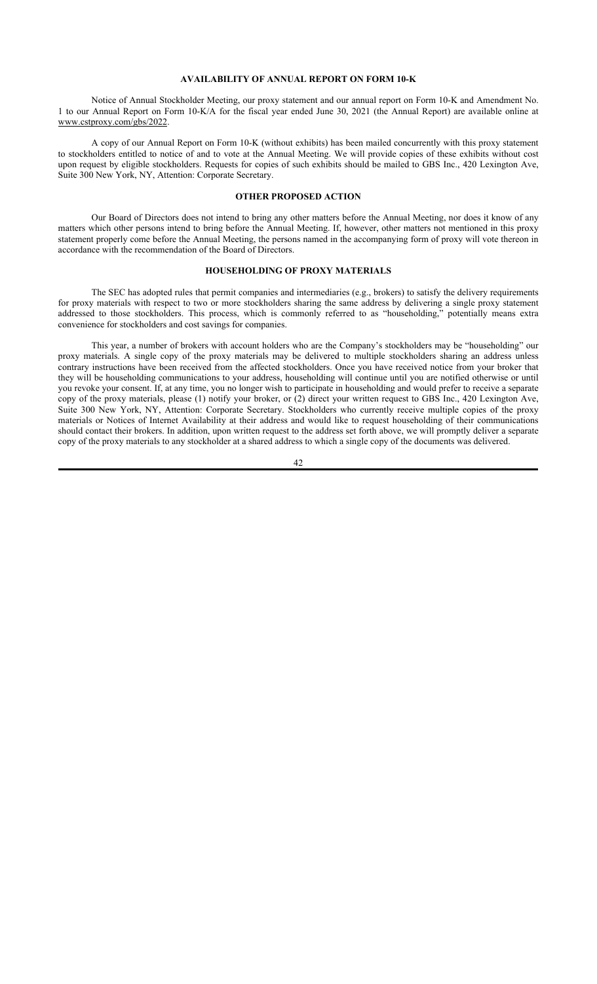## **AVAILABILITY OF ANNUAL REPORT ON FORM 10-K**

Notice of Annual Stockholder Meeting, our proxy statement and our annual report on Form 10-K and Amendment No. 1 to our Annual Report on Form 10-K/A for the fiscal year ended June 30, 2021 (the Annual Report) are available online at www.cstproxy.com/gbs/2022.

A copy of our Annual Report on Form 10-K (without exhibits) has been mailed concurrently with this proxy statement to stockholders entitled to notice of and to vote at the Annual Meeting. We will provide copies of these exhibits without cost upon request by eligible stockholders. Requests for copies of such exhibits should be mailed to GBS Inc., 420 Lexington Ave, Suite 300 New York, NY, Attention: Corporate Secretary.

#### **OTHER PROPOSED ACTION**

Our Board of Directors does not intend to bring any other matters before the Annual Meeting, nor does it know of any matters which other persons intend to bring before the Annual Meeting. If, however, other matters not mentioned in this proxy statement properly come before the Annual Meeting, the persons named in the accompanying form of proxy will vote thereon in accordance with the recommendation of the Board of Directors.

# **HOUSEHOLDING OF PROXY MATERIALS**

The SEC has adopted rules that permit companies and intermediaries (e.g., brokers) to satisfy the delivery requirements for proxy materials with respect to two or more stockholders sharing the same address by delivering a single proxy statement addressed to those stockholders. This process, which is commonly referred to as "householding," potentially means extra convenience for stockholders and cost savings for companies.

This year, a number of brokers with account holders who are the Company's stockholders may be "householding" our proxy materials. A single copy of the proxy materials may be delivered to multiple stockholders sharing an address unless contrary instructions have been received from the affected stockholders. Once you have received notice from your broker that they will be householding communications to your address, householding will continue until you are notified otherwise or until you revoke your consent. If, at any time, you no longer wish to participate in householding and would prefer to receive a separate copy of the proxy materials, please (1) notify your broker, or (2) direct your written request to GBS Inc., 420 Lexington Ave, Suite 300 New York, NY, Attention: Corporate Secretary. Stockholders who currently receive multiple copies of the proxy materials or Notices of Internet Availability at their address and would like to request householding of their communications should contact their brokers. In addition, upon written request to the address set forth above, we will promptly deliver a separate copy of the proxy materials to any stockholder at a shared address to which a single copy of the documents was delivered.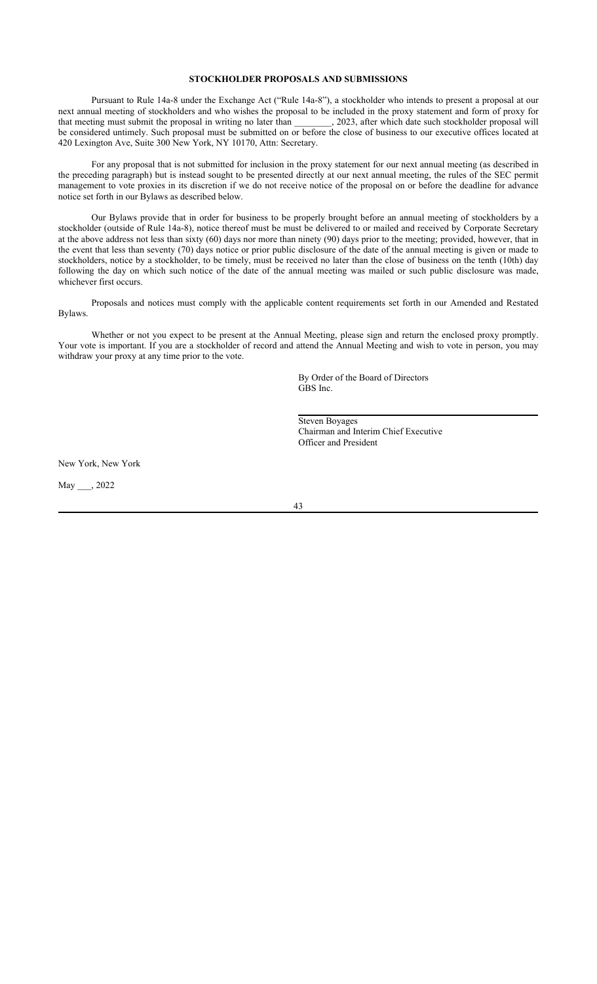## **STOCKHOLDER PROPOSALS AND SUBMISSIONS**

Pursuant to Rule 14a-8 under the Exchange Act ("Rule 14a-8"), a stockholder who intends to present a proposal at our next annual meeting of stockholders and who wishes the proposal to be included in the proxy statement and form of proxy for that meeting must submit the proposal in writing no later than 2023, after which date such stockholder proposal will be considered untimely. Such proposal must be submitted on or before the close of business to our executive offices located at 420 Lexington Ave, Suite 300 New York, NY 10170, Attn: Secretary.

For any proposal that is not submitted for inclusion in the proxy statement for our next annual meeting (as described in the preceding paragraph) but is instead sought to be presented directly at our next annual meeting, the rules of the SEC permit management to vote proxies in its discretion if we do not receive notice of the proposal on or before the deadline for advance notice set forth in our Bylaws as described below.

Our Bylaws provide that in order for business to be properly brought before an annual meeting of stockholders by a stockholder (outside of Rule 14a-8), notice thereof must be must be delivered to or mailed and received by Corporate Secretary at the above address not less than sixty (60) days nor more than ninety (90) days prior to the meeting; provided, however, that in the event that less than seventy (70) days notice or prior public disclosure of the date of the annual meeting is given or made to stockholders, notice by a stockholder, to be timely, must be received no later than the close of business on the tenth (10th) day following the day on which such notice of the date of the annual meeting was mailed or such public disclosure was made, whichever first occurs.

Proposals and notices must comply with the applicable content requirements set forth in our Amended and Restated Bylaws.

Whether or not you expect to be present at the Annual Meeting, please sign and return the enclosed proxy promptly. Your vote is important. If you are a stockholder of record and attend the Annual Meeting and wish to vote in person, you may withdraw your proxy at any time prior to the vote.

> By Order of the Board of Directors GBS Inc.

Steven Boyages Chairman and Interim Chief Executive Officer and President

New York, New York

May \_\_\_, 2022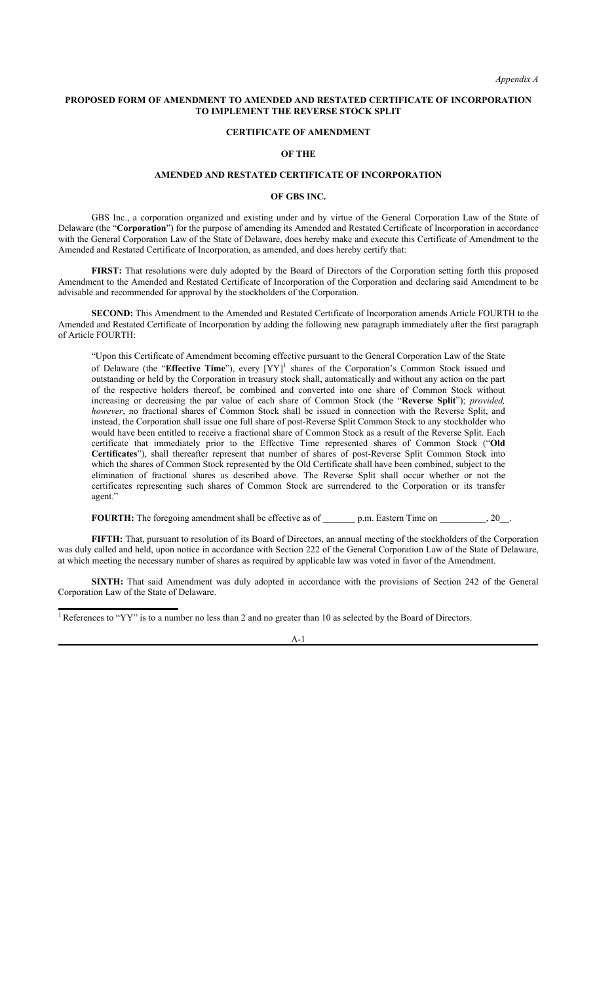*Appendix A*

#### **PROPOSED FORM OF AMENDMENT TO AMENDED AND RESTATED CERTIFICATE OF INCORPORATION TO IMPLEMENT THE REVERSE STOCK SPLIT**

## **CERTIFICATE OF AMENDMENT**

#### **OF THE**

## **AMENDED AND RESTATED CERTIFICATE OF INCORPORATION**

#### **OF GBS INC.**

GBS Inc., a corporation organized and existing under and by virtue of the General Corporation Law of the State of Delaware (the "**Corporation**") for the purpose of amending its Amended and Restated Certificate of Incorporation in accordance with the General Corporation Law of the State of Delaware, does hereby make and execute this Certificate of Amendment to the Amended and Restated Certificate of Incorporation, as amended, and does hereby certify that:

**FIRST:** That resolutions were duly adopted by the Board of Directors of the Corporation setting forth this proposed Amendment to the Amended and Restated Certificate of Incorporation of the Corporation and declaring said Amendment to be advisable and recommended for approval by the stockholders of the Corporation.

**SECOND:** This Amendment to the Amended and Restated Certificate of Incorporation amends Article FOURTH to the Amended and Restated Certificate of Incorporation by adding the following new paragraph immediately after the first paragraph of Article FOURTH:

"Upon this Certificate of Amendment becoming effective pursuant to the General Corporation Law of the State of Delaware (the "Effective Time"), every [YY]<sup>1</sup> shares of the Corporation's Common Stock issued and outstanding or held by the Corporation in treasury stock shall, automatically and without any action on the part of the respective holders thereof, be combined and converted into one share of Common Stock without increasing or decreasing the par value of each share of Common Stock (the "**Reverse Split**"); *provided, however*, no fractional shares of Common Stock shall be issued in connection with the Reverse Split, and instead, the Corporation shall issue one full share of post-Reverse Split Common Stock to any stockholder who would have been entitled to receive a fractional share of Common Stock as a result of the Reverse Split. Each certificate that immediately prior to the Effective Time represented shares of Common Stock ("**Old Certificates**"), shall thereafter represent that number of shares of post-Reverse Split Common Stock into which the shares of Common Stock represented by the Old Certificate shall have been combined, subject to the elimination of fractional shares as described above. The Reverse Split shall occur whether or not the certificates representing such shares of Common Stock are surrendered to the Corporation or its transfer agent."

**FOURTH:** The foregoing amendment shall be effective as of \_\_\_\_\_\_\_\_ p.m. Eastern Time on \_\_\_\_\_\_\_\_\_, 20\_\_.

**FIFTH:** That, pursuant to resolution of its Board of Directors, an annual meeting of the stockholders of the Corporation was duly called and held, upon notice in accordance with Section 222 of the General Corporation Law of the State of Delaware, at which meeting the necessary number of shares as required by applicable law was voted in favor of the Amendment.

**SIXTH:** That said Amendment was duly adopted in accordance with the provisions of Section 242 of the General Corporation Law of the State of Delaware.

<sup>1</sup> References to "YY" is to a number no less than 2 and no greater than 10 as selected by the Board of Directors.

## A-1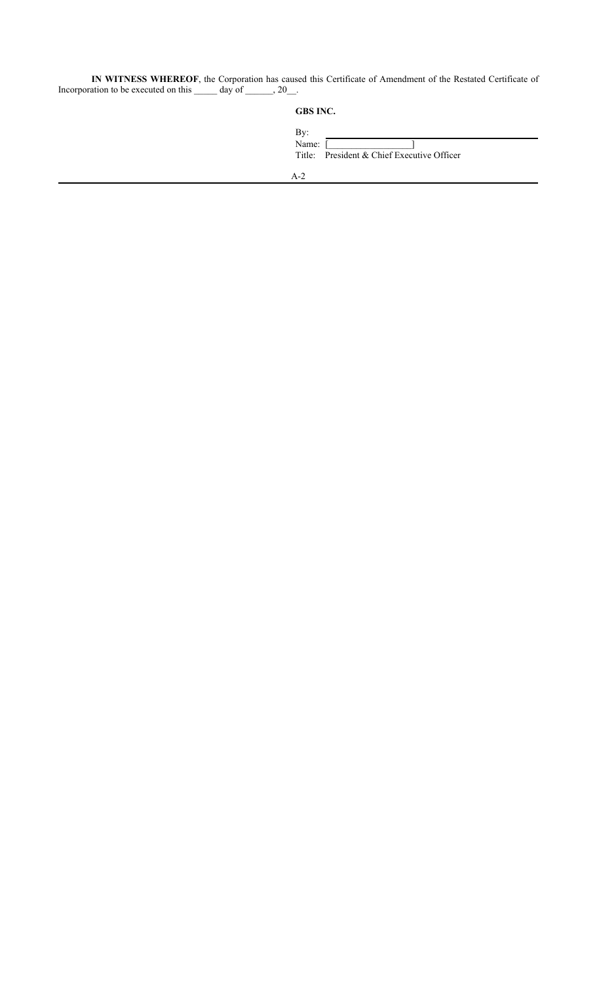**IN WITNESS WHEREOF**, the Corporation has caused this Certificate of Amendment of the Restated Certificate of Incorporation to be executed on this day of , 20.

| GBS INC. |  |
|----------|--|
|----------|--|

| By:<br>Name: [ | Title: President & Chief Executive Officer |
|----------------|--------------------------------------------|
| Λ9             |                                            |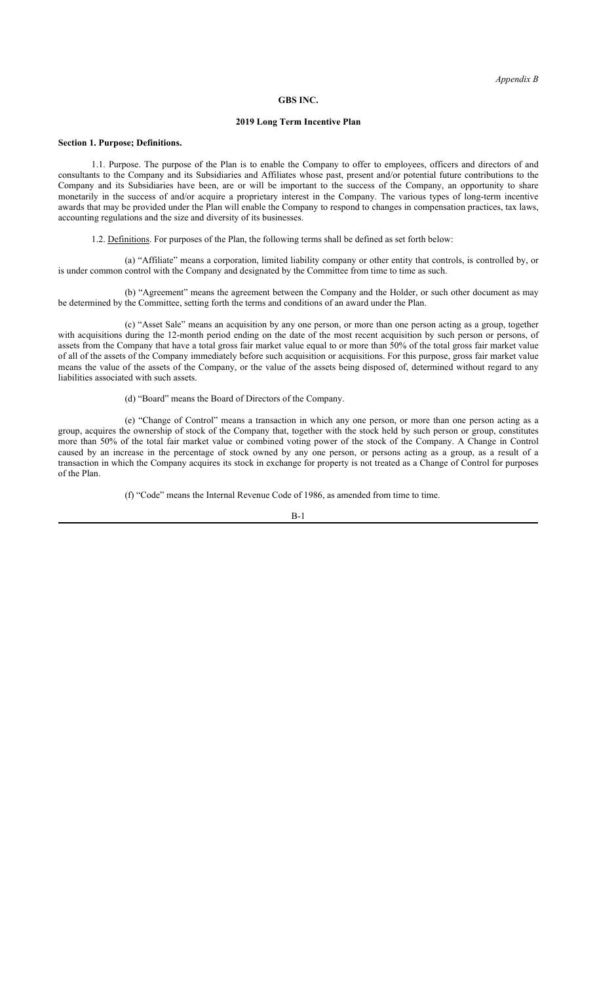#### **GBS INC.**

## **2019 Long Term Incentive Plan**

#### **Section 1. Purpose; Definitions.**

1.1. Purpose. The purpose of the Plan is to enable the Company to offer to employees, officers and directors of and consultants to the Company and its Subsidiaries and Affiliates whose past, present and/or potential future contributions to the Company and its Subsidiaries have been, are or will be important to the success of the Company, an opportunity to share monetarily in the success of and/or acquire a proprietary interest in the Company. The various types of long-term incentive awards that may be provided under the Plan will enable the Company to respond to changes in compensation practices, tax laws, accounting regulations and the size and diversity of its businesses.

1.2. Definitions. For purposes of the Plan, the following terms shall be defined as set forth below:

(a) "Affiliate" means a corporation, limited liability company or other entity that controls, is controlled by, or is under common control with the Company and designated by the Committee from time to time as such.

(b) "Agreement" means the agreement between the Company and the Holder, or such other document as may be determined by the Committee, setting forth the terms and conditions of an award under the Plan.

(c) "Asset Sale" means an acquisition by any one person, or more than one person acting as a group, together with acquisitions during the 12-month period ending on the date of the most recent acquisition by such person or persons, of assets from the Company that have a total gross fair market value equal to or more than 50% of the total gross fair market value of all of the assets of the Company immediately before such acquisition or acquisitions. For this purpose, gross fair market value means the value of the assets of the Company, or the value of the assets being disposed of, determined without regard to any liabilities associated with such assets.

(d) "Board" means the Board of Directors of the Company.

(e) "Change of Control" means a transaction in which any one person, or more than one person acting as a group, acquires the ownership of stock of the Company that, together with the stock held by such person or group, constitutes more than 50% of the total fair market value or combined voting power of the stock of the Company. A Change in Control caused by an increase in the percentage of stock owned by any one person, or persons acting as a group, as a result of a transaction in which the Company acquires its stock in exchange for property is not treated as a Change of Control for purposes of the Plan.

(f) "Code" means the Internal Revenue Code of 1986, as amended from time to time.

$$
B-1
$$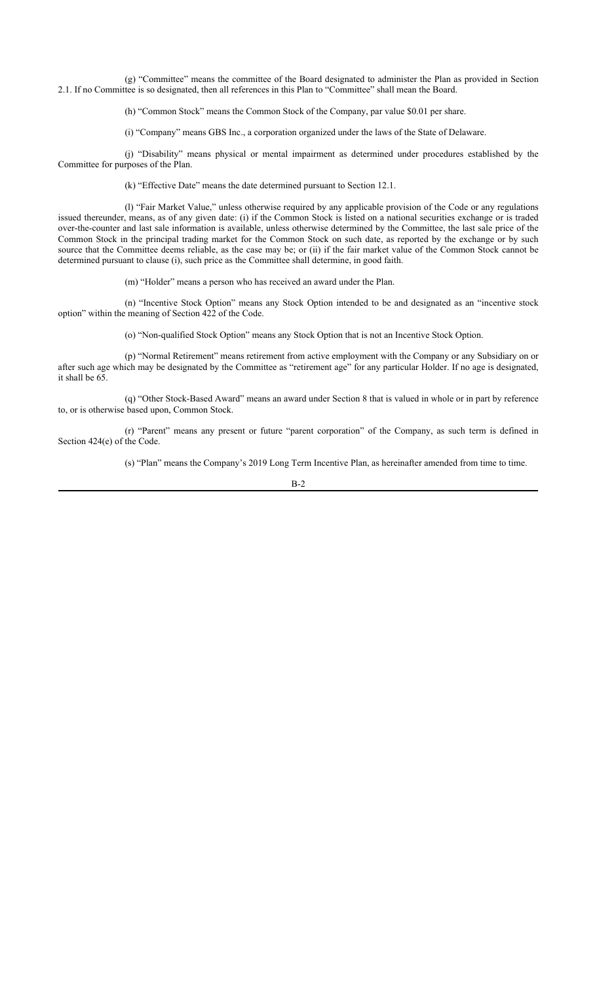(g) "Committee" means the committee of the Board designated to administer the Plan as provided in Section 2.1. If no Committee is so designated, then all references in this Plan to "Committee" shall mean the Board.

(h) "Common Stock" means the Common Stock of the Company, par value \$0.01 per share.

(i) "Company" means GBS Inc., a corporation organized under the laws of the State of Delaware.

(j) "Disability" means physical or mental impairment as determined under procedures established by the Committee for purposes of the Plan.

(k) "Effective Date" means the date determined pursuant to Section 12.1.

(l) "Fair Market Value," unless otherwise required by any applicable provision of the Code or any regulations issued thereunder, means, as of any given date: (i) if the Common Stock is listed on a national securities exchange or is traded over-the-counter and last sale information is available, unless otherwise determined by the Committee, the last sale price of the Common Stock in the principal trading market for the Common Stock on such date, as reported by the exchange or by such source that the Committee deems reliable, as the case may be; or (ii) if the fair market value of the Common Stock cannot be determined pursuant to clause (i), such price as the Committee shall determine, in good faith.

(m) "Holder" means a person who has received an award under the Plan.

(n) "Incentive Stock Option" means any Stock Option intended to be and designated as an "incentive stock option" within the meaning of Section 422 of the Code.

(o) "Non-qualified Stock Option" means any Stock Option that is not an Incentive Stock Option.

(p) "Normal Retirement" means retirement from active employment with the Company or any Subsidiary on or after such age which may be designated by the Committee as "retirement age" for any particular Holder. If no age is designated, it shall be 65.

(q) "Other Stock-Based Award" means an award under Section 8 that is valued in whole or in part by reference to, or is otherwise based upon, Common Stock.

(r) "Parent" means any present or future "parent corporation" of the Company, as such term is defined in Section 424(e) of the Code.

(s) "Plan" means the Company's 2019 Long Term Incentive Plan, as hereinafter amended from time to time.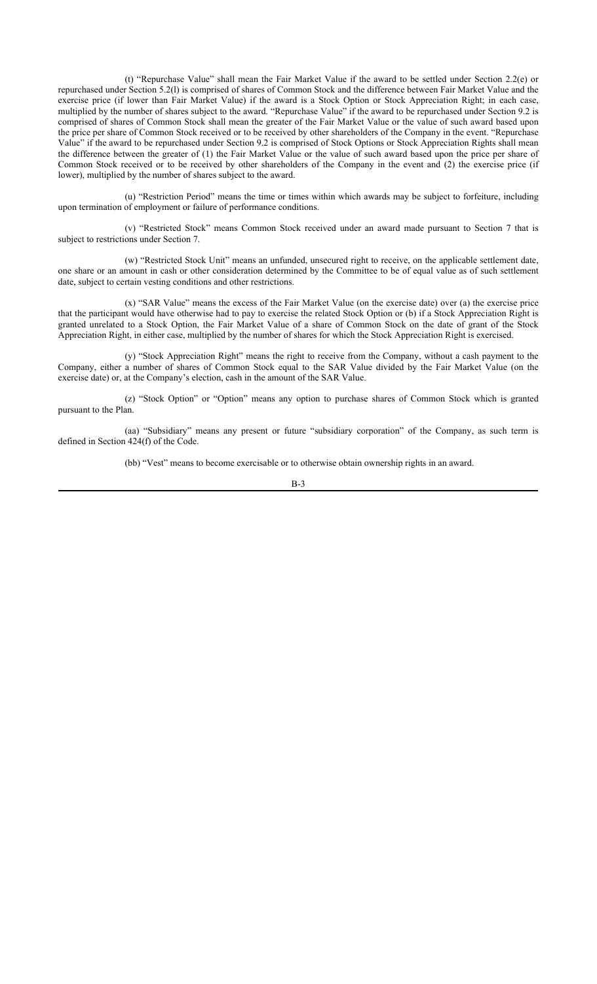(t) "Repurchase Value" shall mean the Fair Market Value if the award to be settled under Section 2.2(e) or repurchased under Section 5.2(l) is comprised of shares of Common Stock and the difference between Fair Market Value and the exercise price (if lower than Fair Market Value) if the award is a Stock Option or Stock Appreciation Right; in each case, multiplied by the number of shares subject to the award. "Repurchase Value" if the award to be repurchased under Section 9.2 is comprised of shares of Common Stock shall mean the greater of the Fair Market Value or the value of such award based upon the price per share of Common Stock received or to be received by other shareholders of the Company in the event. "Repurchase Value" if the award to be repurchased under Section 9.2 is comprised of Stock Options or Stock Appreciation Rights shall mean the difference between the greater of (1) the Fair Market Value or the value of such award based upon the price per share of Common Stock received or to be received by other shareholders of the Company in the event and (2) the exercise price (if lower), multiplied by the number of shares subject to the award.

(u) "Restriction Period" means the time or times within which awards may be subject to forfeiture, including upon termination of employment or failure of performance conditions.

(v) "Restricted Stock" means Common Stock received under an award made pursuant to Section 7 that is subject to restrictions under Section 7.

(w) "Restricted Stock Unit" means an unfunded, unsecured right to receive, on the applicable settlement date, one share or an amount in cash or other consideration determined by the Committee to be of equal value as of such settlement date, subject to certain vesting conditions and other restrictions.

(x) "SAR Value" means the excess of the Fair Market Value (on the exercise date) over (a) the exercise price that the participant would have otherwise had to pay to exercise the related Stock Option or (b) if a Stock Appreciation Right is granted unrelated to a Stock Option, the Fair Market Value of a share of Common Stock on the date of grant of the Stock Appreciation Right, in either case, multiplied by the number of shares for which the Stock Appreciation Right is exercised.

(y) "Stock Appreciation Right" means the right to receive from the Company, without a cash payment to the Company, either a number of shares of Common Stock equal to the SAR Value divided by the Fair Market Value (on the exercise date) or, at the Company's election, cash in the amount of the SAR Value.

(z) "Stock Option" or "Option" means any option to purchase shares of Common Stock which is granted pursuant to the Plan.

(aa) "Subsidiary" means any present or future "subsidiary corporation" of the Company, as such term is defined in Section 424(f) of the Code.

(bb) "Vest" means to become exercisable or to otherwise obtain ownership rights in an award.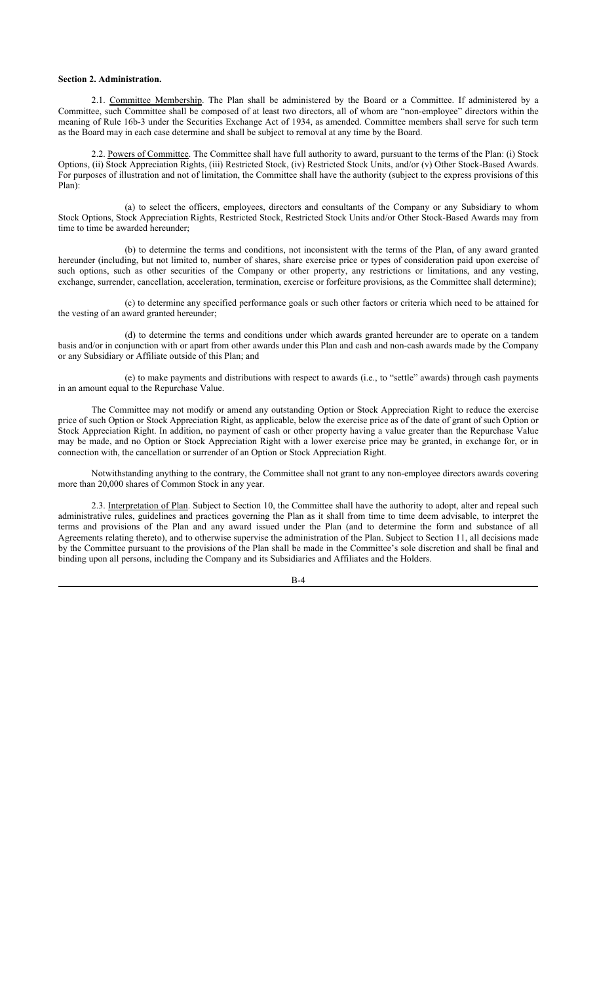## **Section 2. Administration.**

2.1. Committee Membership. The Plan shall be administered by the Board or a Committee. If administered by a Committee, such Committee shall be composed of at least two directors, all of whom are "non-employee" directors within the meaning of Rule 16b-3 under the Securities Exchange Act of 1934, as amended. Committee members shall serve for such term as the Board may in each case determine and shall be subject to removal at any time by the Board.

2.2. Powers of Committee. The Committee shall have full authority to award, pursuant to the terms of the Plan: (i) Stock Options, (ii) Stock Appreciation Rights, (iii) Restricted Stock, (iv) Restricted Stock Units, and/or (v) Other Stock-Based Awards. For purposes of illustration and not of limitation, the Committee shall have the authority (subject to the express provisions of this Plan):

(a) to select the officers, employees, directors and consultants of the Company or any Subsidiary to whom Stock Options, Stock Appreciation Rights, Restricted Stock, Restricted Stock Units and/or Other Stock-Based Awards may from time to time be awarded hereunder;

(b) to determine the terms and conditions, not inconsistent with the terms of the Plan, of any award granted hereunder (including, but not limited to, number of shares, share exercise price or types of consideration paid upon exercise of such options, such as other securities of the Company or other property, any restrictions or limitations, and any vesting, exchange, surrender, cancellation, acceleration, termination, exercise or forfeiture provisions, as the Committee shall determine);

(c) to determine any specified performance goals or such other factors or criteria which need to be attained for the vesting of an award granted hereunder;

(d) to determine the terms and conditions under which awards granted hereunder are to operate on a tandem basis and/or in conjunction with or apart from other awards under this Plan and cash and non-cash awards made by the Company or any Subsidiary or Affiliate outside of this Plan; and

(e) to make payments and distributions with respect to awards (i.e., to "settle" awards) through cash payments in an amount equal to the Repurchase Value.

The Committee may not modify or amend any outstanding Option or Stock Appreciation Right to reduce the exercise price of such Option or Stock Appreciation Right, as applicable, below the exercise price as of the date of grant of such Option or Stock Appreciation Right. In addition, no payment of cash or other property having a value greater than the Repurchase Value may be made, and no Option or Stock Appreciation Right with a lower exercise price may be granted, in exchange for, or in connection with, the cancellation or surrender of an Option or Stock Appreciation Right.

Notwithstanding anything to the contrary, the Committee shall not grant to any non-employee directors awards covering more than 20,000 shares of Common Stock in any year.

2.3. Interpretation of Plan. Subject to Section 10, the Committee shall have the authority to adopt, alter and repeal such administrative rules, guidelines and practices governing the Plan as it shall from time to time deem advisable, to interpret the terms and provisions of the Plan and any award issued under the Plan (and to determine the form and substance of all Agreements relating thereto), and to otherwise supervise the administration of the Plan. Subject to Section 11, all decisions made by the Committee pursuant to the provisions of the Plan shall be made in the Committee's sole discretion and shall be final and binding upon all persons, including the Company and its Subsidiaries and Affiliates and the Holders.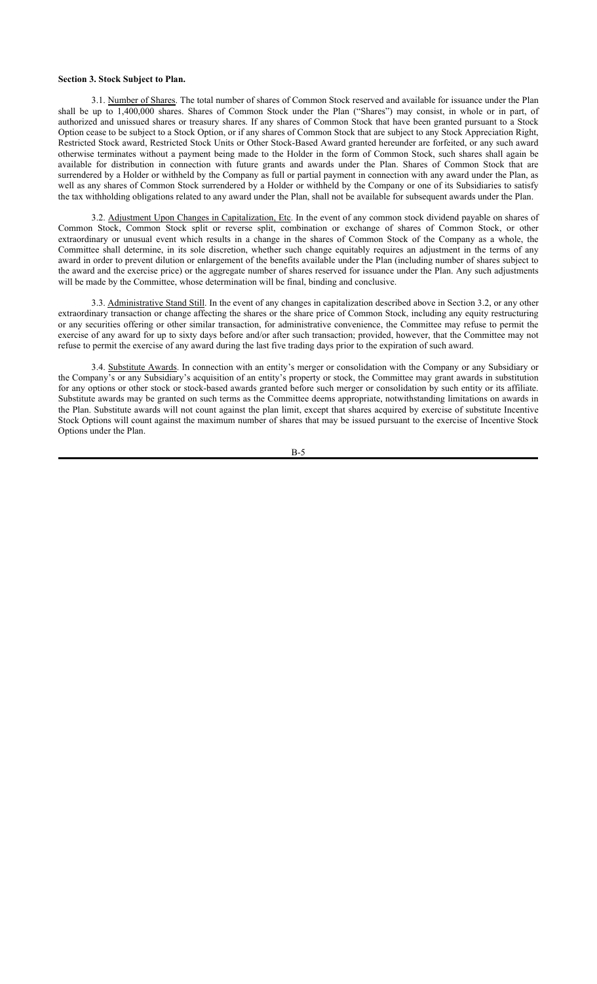## **Section 3. Stock Subject to Plan.**

3.1. Number of Shares. The total number of shares of Common Stock reserved and available for issuance under the Plan shall be up to 1,400,000 shares. Shares of Common Stock under the Plan ("Shares") may consist, in whole or in part, of authorized and unissued shares or treasury shares. If any shares of Common Stock that have been granted pursuant to a Stock Option cease to be subject to a Stock Option, or if any shares of Common Stock that are subject to any Stock Appreciation Right, Restricted Stock award, Restricted Stock Units or Other Stock-Based Award granted hereunder are forfeited, or any such award otherwise terminates without a payment being made to the Holder in the form of Common Stock, such shares shall again be available for distribution in connection with future grants and awards under the Plan. Shares of Common Stock that are surrendered by a Holder or withheld by the Company as full or partial payment in connection with any award under the Plan, as well as any shares of Common Stock surrendered by a Holder or withheld by the Company or one of its Subsidiaries to satisfy the tax withholding obligations related to any award under the Plan, shall not be available for subsequent awards under the Plan.

3.2. Adjustment Upon Changes in Capitalization, Etc. In the event of any common stock dividend payable on shares of Common Stock, Common Stock split or reverse split, combination or exchange of shares of Common Stock, or other extraordinary or unusual event which results in a change in the shares of Common Stock of the Company as a whole, the Committee shall determine, in its sole discretion, whether such change equitably requires an adjustment in the terms of any award in order to prevent dilution or enlargement of the benefits available under the Plan (including number of shares subject to the award and the exercise price) or the aggregate number of shares reserved for issuance under the Plan. Any such adjustments will be made by the Committee, whose determination will be final, binding and conclusive.

3.3. Administrative Stand Still. In the event of any changes in capitalization described above in Section 3.2, or any other extraordinary transaction or change affecting the shares or the share price of Common Stock, including any equity restructuring or any securities offering or other similar transaction, for administrative convenience, the Committee may refuse to permit the exercise of any award for up to sixty days before and/or after such transaction; provided, however, that the Committee may not refuse to permit the exercise of any award during the last five trading days prior to the expiration of such award.

3.4. Substitute Awards. In connection with an entity's merger or consolidation with the Company or any Subsidiary or the Company's or any Subsidiary's acquisition of an entity's property or stock, the Committee may grant awards in substitution for any options or other stock or stock-based awards granted before such merger or consolidation by such entity or its affiliate. Substitute awards may be granted on such terms as the Committee deems appropriate, notwithstanding limitations on awards in the Plan. Substitute awards will not count against the plan limit, except that shares acquired by exercise of substitute Incentive Stock Options will count against the maximum number of shares that may be issued pursuant to the exercise of Incentive Stock Options under the Plan.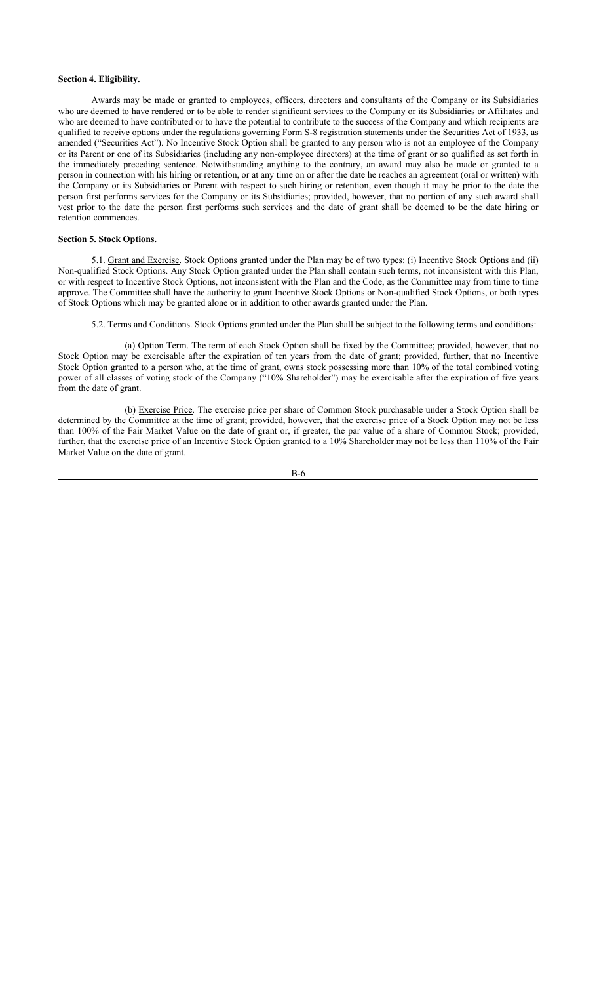## **Section 4. Eligibility.**

Awards may be made or granted to employees, officers, directors and consultants of the Company or its Subsidiaries who are deemed to have rendered or to be able to render significant services to the Company or its Subsidiaries or Affiliates and who are deemed to have contributed or to have the potential to contribute to the success of the Company and which recipients are qualified to receive options under the regulations governing Form S-8 registration statements under the Securities Act of 1933, as amended ("Securities Act"). No Incentive Stock Option shall be granted to any person who is not an employee of the Company or its Parent or one of its Subsidiaries (including any non-employee directors) at the time of grant or so qualified as set forth in the immediately preceding sentence. Notwithstanding anything to the contrary, an award may also be made or granted to a person in connection with his hiring or retention, or at any time on or after the date he reaches an agreement (oral or written) with the Company or its Subsidiaries or Parent with respect to such hiring or retention, even though it may be prior to the date the person first performs services for the Company or its Subsidiaries; provided, however, that no portion of any such award shall vest prior to the date the person first performs such services and the date of grant shall be deemed to be the date hiring or retention commences.

## **Section 5. Stock Options.**

5.1. Grant and Exercise. Stock Options granted under the Plan may be of two types: (i) Incentive Stock Options and (ii) Non-qualified Stock Options. Any Stock Option granted under the Plan shall contain such terms, not inconsistent with this Plan, or with respect to Incentive Stock Options, not inconsistent with the Plan and the Code, as the Committee may from time to time approve. The Committee shall have the authority to grant Incentive Stock Options or Non-qualified Stock Options, or both types of Stock Options which may be granted alone or in addition to other awards granted under the Plan.

5.2. Terms and Conditions. Stock Options granted under the Plan shall be subject to the following terms and conditions:

(a) Option Term. The term of each Stock Option shall be fixed by the Committee; provided, however, that no Stock Option may be exercisable after the expiration of ten years from the date of grant; provided, further, that no Incentive Stock Option granted to a person who, at the time of grant, owns stock possessing more than 10% of the total combined voting power of all classes of voting stock of the Company ("10% Shareholder") may be exercisable after the expiration of five years from the date of grant.

(b) Exercise Price. The exercise price per share of Common Stock purchasable under a Stock Option shall be determined by the Committee at the time of grant; provided, however, that the exercise price of a Stock Option may not be less than 100% of the Fair Market Value on the date of grant or, if greater, the par value of a share of Common Stock; provided, further, that the exercise price of an Incentive Stock Option granted to a 10% Shareholder may not be less than 110% of the Fair Market Value on the date of grant.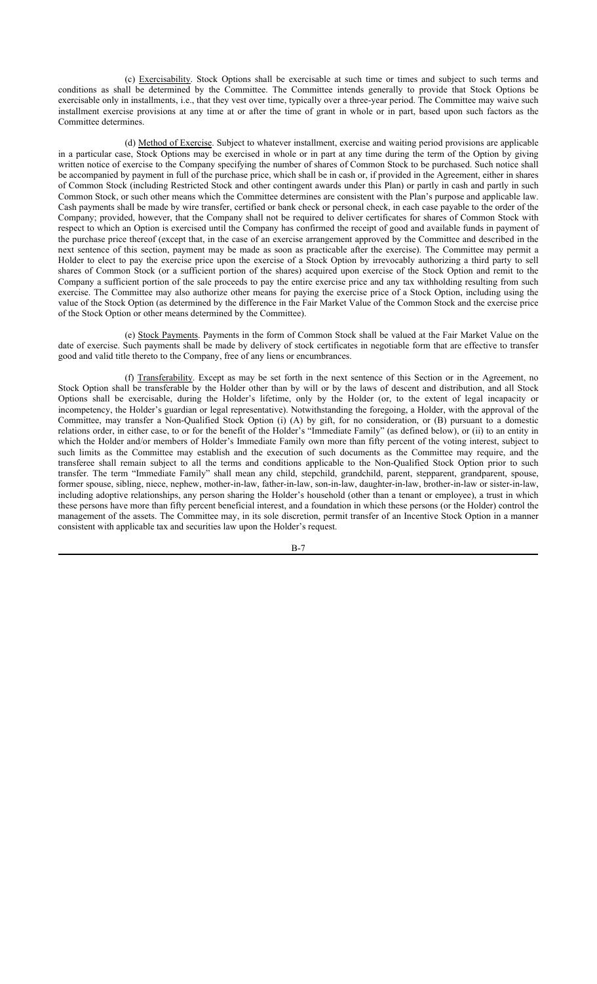(c) Exercisability. Stock Options shall be exercisable at such time or times and subject to such terms and conditions as shall be determined by the Committee. The Committee intends generally to provide that Stock Options be exercisable only in installments, i.e., that they vest over time, typically over a three-year period. The Committee may waive such installment exercise provisions at any time at or after the time of grant in whole or in part, based upon such factors as the Committee determines.

(d) Method of Exercise. Subject to whatever installment, exercise and waiting period provisions are applicable in a particular case, Stock Options may be exercised in whole or in part at any time during the term of the Option by giving written notice of exercise to the Company specifying the number of shares of Common Stock to be purchased. Such notice shall be accompanied by payment in full of the purchase price, which shall be in cash or, if provided in the Agreement, either in shares of Common Stock (including Restricted Stock and other contingent awards under this Plan) or partly in cash and partly in such Common Stock, or such other means which the Committee determines are consistent with the Plan's purpose and applicable law. Cash payments shall be made by wire transfer, certified or bank check or personal check, in each case payable to the order of the Company; provided, however, that the Company shall not be required to deliver certificates for shares of Common Stock with respect to which an Option is exercised until the Company has confirmed the receipt of good and available funds in payment of the purchase price thereof (except that, in the case of an exercise arrangement approved by the Committee and described in the next sentence of this section, payment may be made as soon as practicable after the exercise). The Committee may permit a Holder to elect to pay the exercise price upon the exercise of a Stock Option by irrevocably authorizing a third party to sell shares of Common Stock (or a sufficient portion of the shares) acquired upon exercise of the Stock Option and remit to the Company a sufficient portion of the sale proceeds to pay the entire exercise price and any tax withholding resulting from such exercise. The Committee may also authorize other means for paying the exercise price of a Stock Option, including using the value of the Stock Option (as determined by the difference in the Fair Market Value of the Common Stock and the exercise price of the Stock Option or other means determined by the Committee).

(e) Stock Payments. Payments in the form of Common Stock shall be valued at the Fair Market Value on the date of exercise. Such payments shall be made by delivery of stock certificates in negotiable form that are effective to transfer good and valid title thereto to the Company, free of any liens or encumbrances.

(f) Transferability. Except as may be set forth in the next sentence of this Section or in the Agreement, no Stock Option shall be transferable by the Holder other than by will or by the laws of descent and distribution, and all Stock Options shall be exercisable, during the Holder's lifetime, only by the Holder (or, to the extent of legal incapacity or incompetency, the Holder's guardian or legal representative). Notwithstanding the foregoing, a Holder, with the approval of the Committee, may transfer a Non-Qualified Stock Option (i) (A) by gift, for no consideration, or (B) pursuant to a domestic relations order, in either case, to or for the benefit of the Holder's "Immediate Family" (as defined below), or (ii) to an entity in which the Holder and/or members of Holder's Immediate Family own more than fifty percent of the voting interest, subject to such limits as the Committee may establish and the execution of such documents as the Committee may require, and the transferee shall remain subject to all the terms and conditions applicable to the Non-Qualified Stock Option prior to such transfer. The term "Immediate Family" shall mean any child, stepchild, grandchild, parent, stepparent, grandparent, spouse, former spouse, sibling, niece, nephew, mother-in-law, father-in-law, son-in-law, daughter-in-law, brother-in-law or sister-in-law, including adoptive relationships, any person sharing the Holder's household (other than a tenant or employee), a trust in which these persons have more than fifty percent beneficial interest, and a foundation in which these persons (or the Holder) control the management of the assets. The Committee may, in its sole discretion, permit transfer of an Incentive Stock Option in a manner consistent with applicable tax and securities law upon the Holder's request.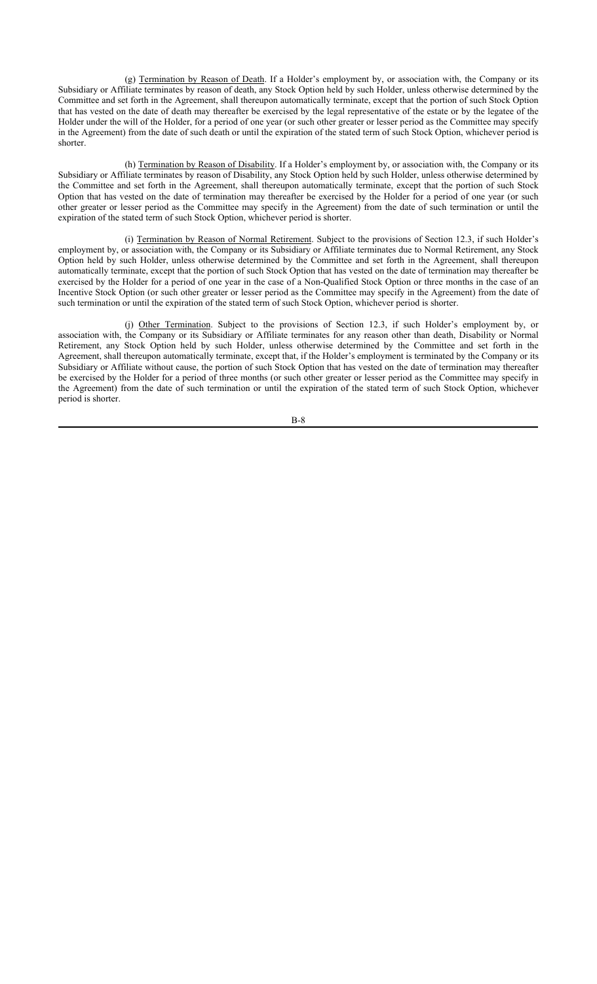(g) Termination by Reason of Death. If a Holder's employment by, or association with, the Company or its Subsidiary or Affiliate terminates by reason of death, any Stock Option held by such Holder, unless otherwise determined by the Committee and set forth in the Agreement, shall thereupon automatically terminate, except that the portion of such Stock Option that has vested on the date of death may thereafter be exercised by the legal representative of the estate or by the legatee of the Holder under the will of the Holder, for a period of one year (or such other greater or lesser period as the Committee may specify in the Agreement) from the date of such death or until the expiration of the stated term of such Stock Option, whichever period is shorter.

(h) Termination by Reason of Disability. If a Holder's employment by, or association with, the Company or its Subsidiary or Affiliate terminates by reason of Disability, any Stock Option held by such Holder, unless otherwise determined by the Committee and set forth in the Agreement, shall thereupon automatically terminate, except that the portion of such Stock Option that has vested on the date of termination may thereafter be exercised by the Holder for a period of one year (or such other greater or lesser period as the Committee may specify in the Agreement) from the date of such termination or until the expiration of the stated term of such Stock Option, whichever period is shorter.

(i) Termination by Reason of Normal Retirement. Subject to the provisions of Section 12.3, if such Holder's employment by, or association with, the Company or its Subsidiary or Affiliate terminates due to Normal Retirement, any Stock Option held by such Holder, unless otherwise determined by the Committee and set forth in the Agreement, shall thereupon automatically terminate, except that the portion of such Stock Option that has vested on the date of termination may thereafter be exercised by the Holder for a period of one year in the case of a Non-Qualified Stock Option or three months in the case of an Incentive Stock Option (or such other greater or lesser period as the Committee may specify in the Agreement) from the date of such termination or until the expiration of the stated term of such Stock Option, whichever period is shorter.

(j) Other Termination. Subject to the provisions of Section 12.3, if such Holder's employment by, or association with, the Company or its Subsidiary or Affiliate terminates for any reason other than death, Disability or Normal Retirement, any Stock Option held by such Holder, unless otherwise determined by the Committee and set forth in the Agreement, shall thereupon automatically terminate, except that, if the Holder's employment is terminated by the Company or its Subsidiary or Affiliate without cause, the portion of such Stock Option that has vested on the date of termination may thereafter be exercised by the Holder for a period of three months (or such other greater or lesser period as the Committee may specify in the Agreement) from the date of such termination or until the expiration of the stated term of such Stock Option, whichever period is shorter.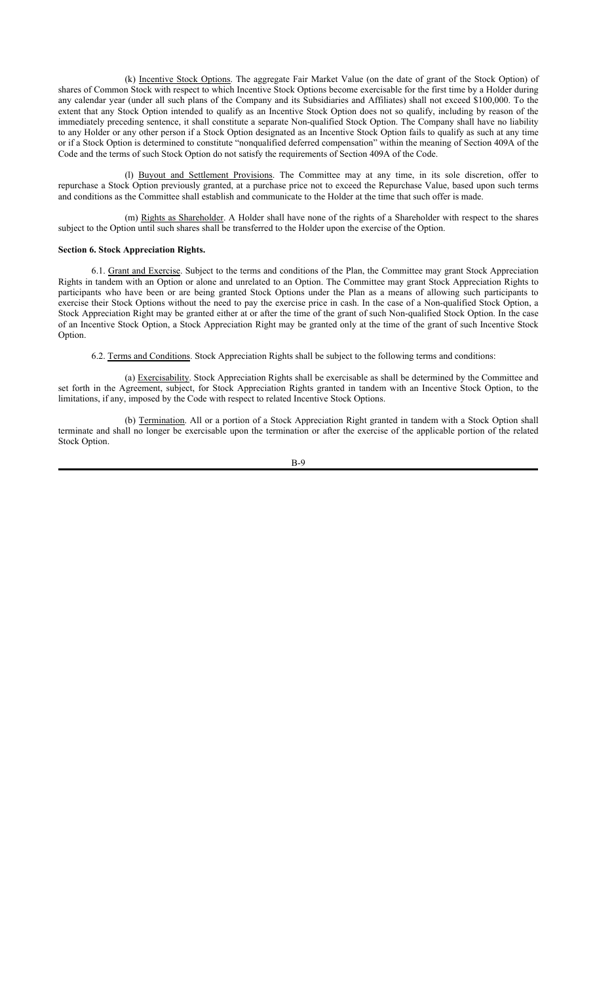(k) Incentive Stock Options. The aggregate Fair Market Value (on the date of grant of the Stock Option) of shares of Common Stock with respect to which Incentive Stock Options become exercisable for the first time by a Holder during any calendar year (under all such plans of the Company and its Subsidiaries and Affiliates) shall not exceed \$100,000. To the extent that any Stock Option intended to qualify as an Incentive Stock Option does not so qualify, including by reason of the immediately preceding sentence, it shall constitute a separate Non-qualified Stock Option. The Company shall have no liability to any Holder or any other person if a Stock Option designated as an Incentive Stock Option fails to qualify as such at any time or if a Stock Option is determined to constitute "nonqualified deferred compensation" within the meaning of Section 409A of the Code and the terms of such Stock Option do not satisfy the requirements of Section 409A of the Code.

(l) Buyout and Settlement Provisions. The Committee may at any time, in its sole discretion, offer to repurchase a Stock Option previously granted, at a purchase price not to exceed the Repurchase Value, based upon such terms and conditions as the Committee shall establish and communicate to the Holder at the time that such offer is made.

(m) Rights as Shareholder. A Holder shall have none of the rights of a Shareholder with respect to the shares subject to the Option until such shares shall be transferred to the Holder upon the exercise of the Option.

#### **Section 6. Stock Appreciation Rights.**

6.1. Grant and Exercise. Subject to the terms and conditions of the Plan, the Committee may grant Stock Appreciation Rights in tandem with an Option or alone and unrelated to an Option. The Committee may grant Stock Appreciation Rights to participants who have been or are being granted Stock Options under the Plan as a means of allowing such participants to exercise their Stock Options without the need to pay the exercise price in cash. In the case of a Non-qualified Stock Option, a Stock Appreciation Right may be granted either at or after the time of the grant of such Non-qualified Stock Option. In the case of an Incentive Stock Option, a Stock Appreciation Right may be granted only at the time of the grant of such Incentive Stock Option.

6.2. Terms and Conditions. Stock Appreciation Rights shall be subject to the following terms and conditions:

(a) Exercisability. Stock Appreciation Rights shall be exercisable as shall be determined by the Committee and set forth in the Agreement, subject, for Stock Appreciation Rights granted in tandem with an Incentive Stock Option, to the limitations, if any, imposed by the Code with respect to related Incentive Stock Options.

(b) Termination. All or a portion of a Stock Appreciation Right granted in tandem with a Stock Option shall terminate and shall no longer be exercisable upon the termination or after the exercise of the applicable portion of the related Stock Option.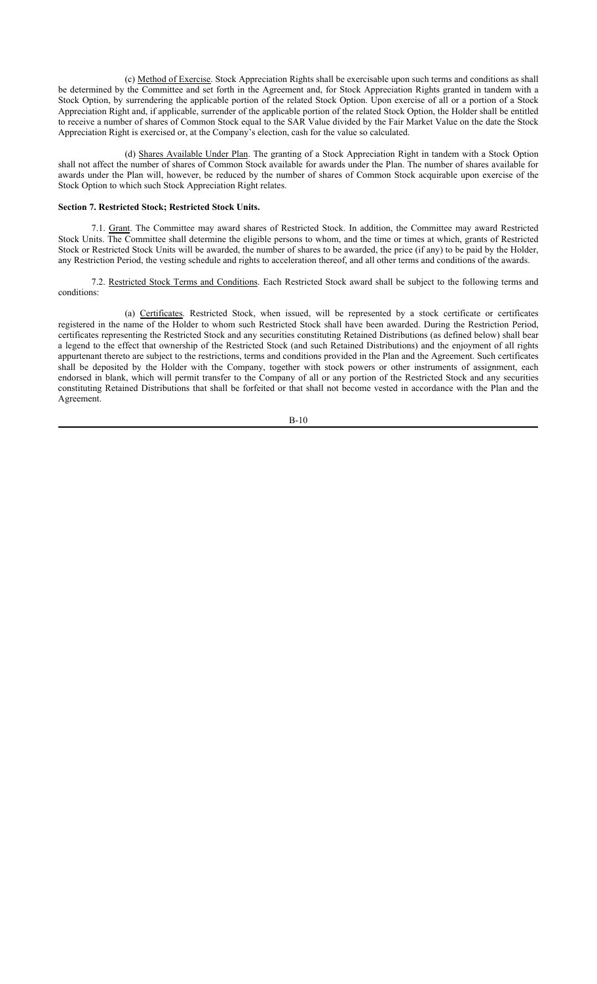(c) Method of Exercise. Stock Appreciation Rights shall be exercisable upon such terms and conditions as shall be determined by the Committee and set forth in the Agreement and, for Stock Appreciation Rights granted in tandem with a Stock Option, by surrendering the applicable portion of the related Stock Option. Upon exercise of all or a portion of a Stock Appreciation Right and, if applicable, surrender of the applicable portion of the related Stock Option, the Holder shall be entitled to receive a number of shares of Common Stock equal to the SAR Value divided by the Fair Market Value on the date the Stock Appreciation Right is exercised or, at the Company's election, cash for the value so calculated.

(d) Shares Available Under Plan. The granting of a Stock Appreciation Right in tandem with a Stock Option shall not affect the number of shares of Common Stock available for awards under the Plan. The number of shares available for awards under the Plan will, however, be reduced by the number of shares of Common Stock acquirable upon exercise of the Stock Option to which such Stock Appreciation Right relates.

## **Section 7. Restricted Stock; Restricted Stock Units.**

7.1. Grant. The Committee may award shares of Restricted Stock. In addition, the Committee may award Restricted Stock Units. The Committee shall determine the eligible persons to whom, and the time or times at which, grants of Restricted Stock or Restricted Stock Units will be awarded, the number of shares to be awarded, the price (if any) to be paid by the Holder, any Restriction Period, the vesting schedule and rights to acceleration thereof, and all other terms and conditions of the awards.

7.2. Restricted Stock Terms and Conditions. Each Restricted Stock award shall be subject to the following terms and conditions:

(a) Certificates. Restricted Stock, when issued, will be represented by a stock certificate or certificates registered in the name of the Holder to whom such Restricted Stock shall have been awarded. During the Restriction Period, certificates representing the Restricted Stock and any securities constituting Retained Distributions (as defined below) shall bear a legend to the effect that ownership of the Restricted Stock (and such Retained Distributions) and the enjoyment of all rights appurtenant thereto are subject to the restrictions, terms and conditions provided in the Plan and the Agreement. Such certificates shall be deposited by the Holder with the Company, together with stock powers or other instruments of assignment, each endorsed in blank, which will permit transfer to the Company of all or any portion of the Restricted Stock and any securities constituting Retained Distributions that shall be forfeited or that shall not become vested in accordance with the Plan and the Agreement.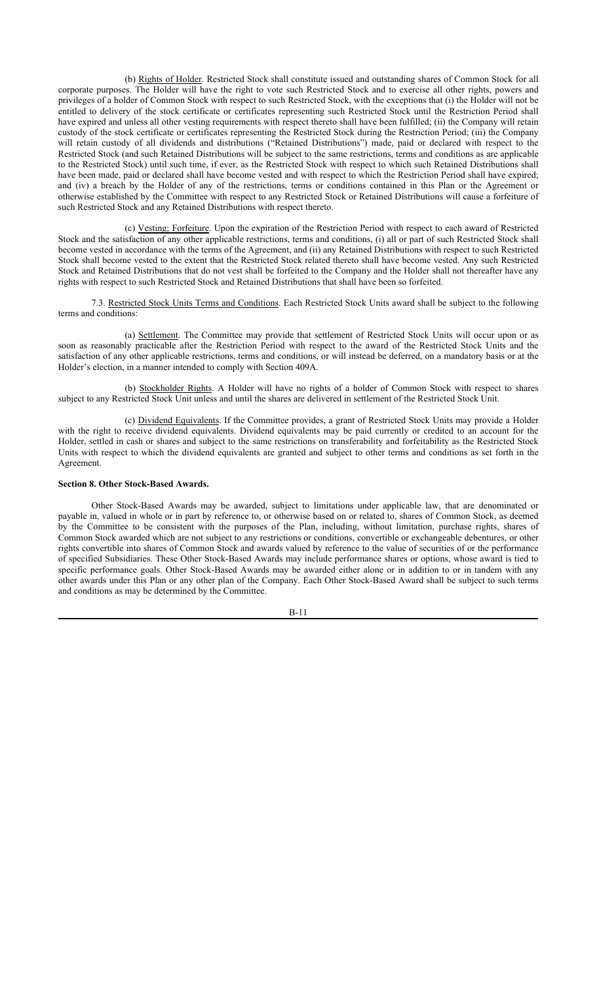(b) Rights of Holder. Restricted Stock shall constitute issued and outstanding shares of Common Stock for all corporate purposes. The Holder will have the right to vote such Restricted Stock and to exercise all other rights, powers and privileges of a holder of Common Stock with respect to such Restricted Stock, with the exceptions that (i) the Holder will not be entitled to delivery of the stock certificate or certificates representing such Restricted Stock until the Restriction Period shall have expired and unless all other vesting requirements with respect thereto shall have been fulfilled; (ii) the Company will retain custody of the stock certificate or certificates representing the Restricted Stock during the Restriction Period; (iii) the Company will retain custody of all dividends and distributions ("Retained Distributions") made, paid or declared with respect to the Restricted Stock (and such Retained Distributions will be subject to the same restrictions, terms and conditions as are applicable to the Restricted Stock) until such time, if ever, as the Restricted Stock with respect to which such Retained Distributions shall have been made, paid or declared shall have become vested and with respect to which the Restriction Period shall have expired; and (iv) a breach by the Holder of any of the restrictions, terms or conditions contained in this Plan or the Agreement or otherwise established by the Committee with respect to any Restricted Stock or Retained Distributions will cause a forfeiture of such Restricted Stock and any Retained Distributions with respect thereto.

(c) Vesting; Forfeiture. Upon the expiration of the Restriction Period with respect to each award of Restricted Stock and the satisfaction of any other applicable restrictions, terms and conditions, (i) all or part of such Restricted Stock shall become vested in accordance with the terms of the Agreement, and (ii) any Retained Distributions with respect to such Restricted Stock shall become vested to the extent that the Restricted Stock related thereto shall have become vested. Any such Restricted Stock and Retained Distributions that do not vest shall be forfeited to the Company and the Holder shall not thereafter have any rights with respect to such Restricted Stock and Retained Distributions that shall have been so forfeited.

7.3. Restricted Stock Units Terms and Conditions. Each Restricted Stock Units award shall be subject to the following terms and conditions:

(a) Settlement. The Committee may provide that settlement of Restricted Stock Units will occur upon or as soon as reasonably practicable after the Restriction Period with respect to the award of the Restricted Stock Units and the satisfaction of any other applicable restrictions, terms and conditions, or will instead be deferred, on a mandatory basis or at the Holder's election, in a manner intended to comply with Section 409A.

(b) Stockholder Rights. A Holder will have no rights of a holder of Common Stock with respect to shares subject to any Restricted Stock Unit unless and until the shares are delivered in settlement of the Restricted Stock Unit.

(c) Dividend Equivalents. If the Committee provides, a grant of Restricted Stock Units may provide a Holder with the right to receive dividend equivalents. Dividend equivalents may be paid currently or credited to an account for the Holder, settled in cash or shares and subject to the same restrictions on transferability and forfeitability as the Restricted Stock Units with respect to which the dividend equivalents are granted and subject to other terms and conditions as set forth in the Agreement.

#### **Section 8. Other Stock-Based Awards.**

Other Stock-Based Awards may be awarded, subject to limitations under applicable law, that are denominated or payable in, valued in whole or in part by reference to, or otherwise based on or related to, shares of Common Stock, as deemed by the Committee to be consistent with the purposes of the Plan, including, without limitation, purchase rights, shares of Common Stock awarded which are not subject to any restrictions or conditions, convertible or exchangeable debentures, or other rights convertible into shares of Common Stock and awards valued by reference to the value of securities of or the performance of specified Subsidiaries. These Other Stock-Based Awards may include performance shares or options, whose award is tied to specific performance goals. Other Stock-Based Awards may be awarded either alone or in addition to or in tandem with any other awards under this Plan or any other plan of the Company. Each Other Stock-Based Award shall be subject to such terms and conditions as may be determined by the Committee.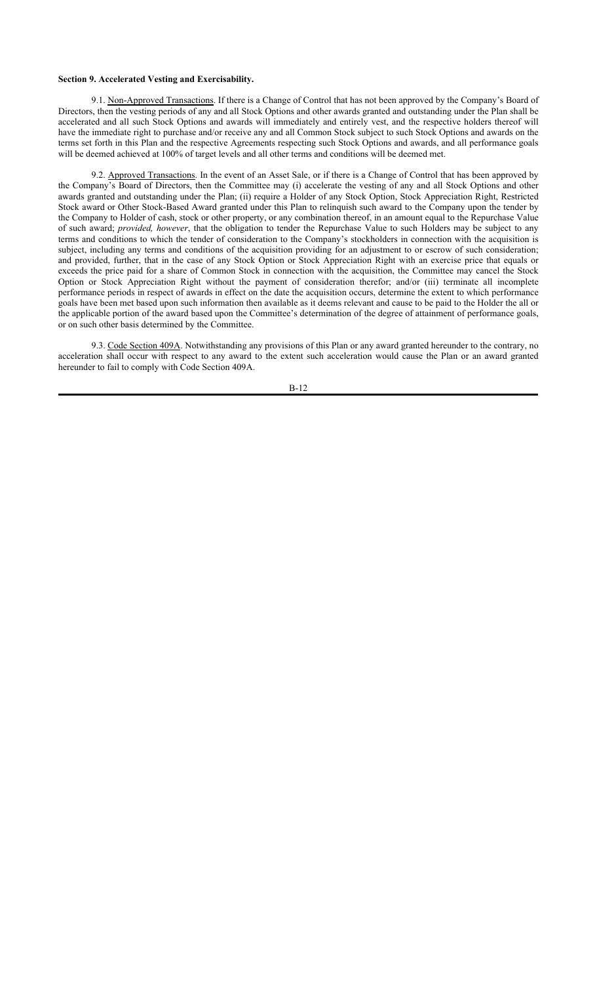## **Section 9. Accelerated Vesting and Exercisability.**

9.1. Non-Approved Transactions. If there is a Change of Control that has not been approved by the Company's Board of Directors, then the vesting periods of any and all Stock Options and other awards granted and outstanding under the Plan shall be accelerated and all such Stock Options and awards will immediately and entirely vest, and the respective holders thereof will have the immediate right to purchase and/or receive any and all Common Stock subject to such Stock Options and awards on the terms set forth in this Plan and the respective Agreements respecting such Stock Options and awards, and all performance goals will be deemed achieved at 100% of target levels and all other terms and conditions will be deemed met.

9.2. Approved Transactions. In the event of an Asset Sale, or if there is a Change of Control that has been approved by the Company's Board of Directors, then the Committee may (i) accelerate the vesting of any and all Stock Options and other awards granted and outstanding under the Plan; (ii) require a Holder of any Stock Option, Stock Appreciation Right, Restricted Stock award or Other Stock-Based Award granted under this Plan to relinquish such award to the Company upon the tender by the Company to Holder of cash, stock or other property, or any combination thereof, in an amount equal to the Repurchase Value of such award; *provided, however*, that the obligation to tender the Repurchase Value to such Holders may be subject to any terms and conditions to which the tender of consideration to the Company's stockholders in connection with the acquisition is subject, including any terms and conditions of the acquisition providing for an adjustment to or escrow of such consideration; and provided, further, that in the case of any Stock Option or Stock Appreciation Right with an exercise price that equals or exceeds the price paid for a share of Common Stock in connection with the acquisition, the Committee may cancel the Stock Option or Stock Appreciation Right without the payment of consideration therefor; and/or (iii) terminate all incomplete performance periods in respect of awards in effect on the date the acquisition occurs, determine the extent to which performance goals have been met based upon such information then available as it deems relevant and cause to be paid to the Holder the all or the applicable portion of the award based upon the Committee's determination of the degree of attainment of performance goals, or on such other basis determined by the Committee.

9.3. Code Section 409A. Notwithstanding any provisions of this Plan or any award granted hereunder to the contrary, no acceleration shall occur with respect to any award to the extent such acceleration would cause the Plan or an award granted hereunder to fail to comply with Code Section 409A.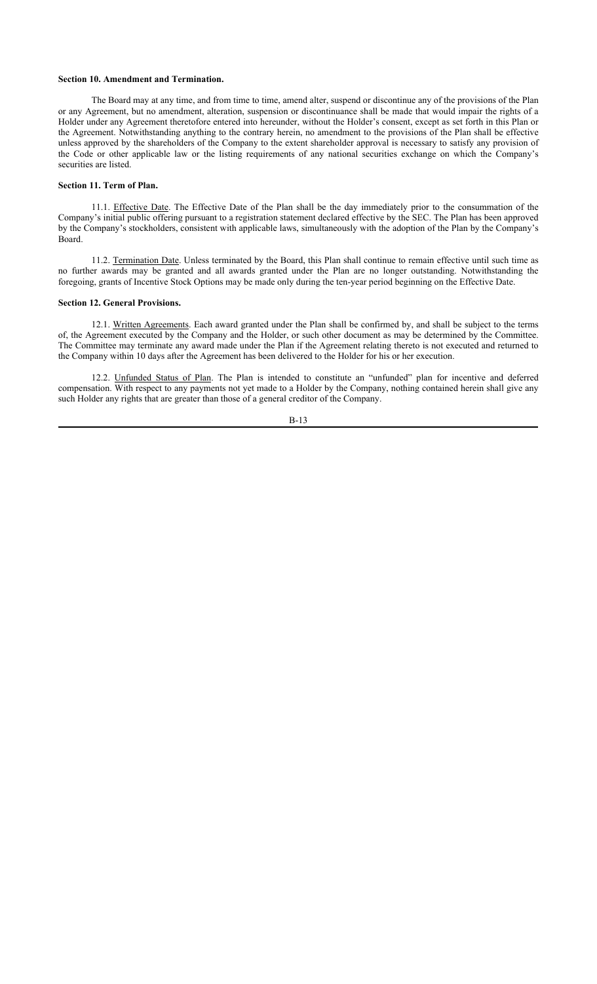## **Section 10. Amendment and Termination.**

The Board may at any time, and from time to time, amend alter, suspend or discontinue any of the provisions of the Plan or any Agreement, but no amendment, alteration, suspension or discontinuance shall be made that would impair the rights of a Holder under any Agreement theretofore entered into hereunder, without the Holder's consent, except as set forth in this Plan or the Agreement. Notwithstanding anything to the contrary herein, no amendment to the provisions of the Plan shall be effective unless approved by the shareholders of the Company to the extent shareholder approval is necessary to satisfy any provision of the Code or other applicable law or the listing requirements of any national securities exchange on which the Company's securities are listed.

## **Section 11. Term of Plan.**

11.1. Effective Date. The Effective Date of the Plan shall be the day immediately prior to the consummation of the Company's initial public offering pursuant to a registration statement declared effective by the SEC. The Plan has been approved by the Company's stockholders, consistent with applicable laws, simultaneously with the adoption of the Plan by the Company's Board.

11.2. Termination Date. Unless terminated by the Board, this Plan shall continue to remain effective until such time as no further awards may be granted and all awards granted under the Plan are no longer outstanding. Notwithstanding the foregoing, grants of Incentive Stock Options may be made only during the ten-year period beginning on the Effective Date.

## **Section 12. General Provisions.**

12.1. Written Agreements. Each award granted under the Plan shall be confirmed by, and shall be subject to the terms of, the Agreement executed by the Company and the Holder, or such other document as may be determined by the Committee. The Committee may terminate any award made under the Plan if the Agreement relating thereto is not executed and returned to the Company within 10 days after the Agreement has been delivered to the Holder for his or her execution.

12.2. Unfunded Status of Plan. The Plan is intended to constitute an "unfunded" plan for incentive and deferred compensation. With respect to any payments not yet made to a Holder by the Company, nothing contained herein shall give any such Holder any rights that are greater than those of a general creditor of the Company.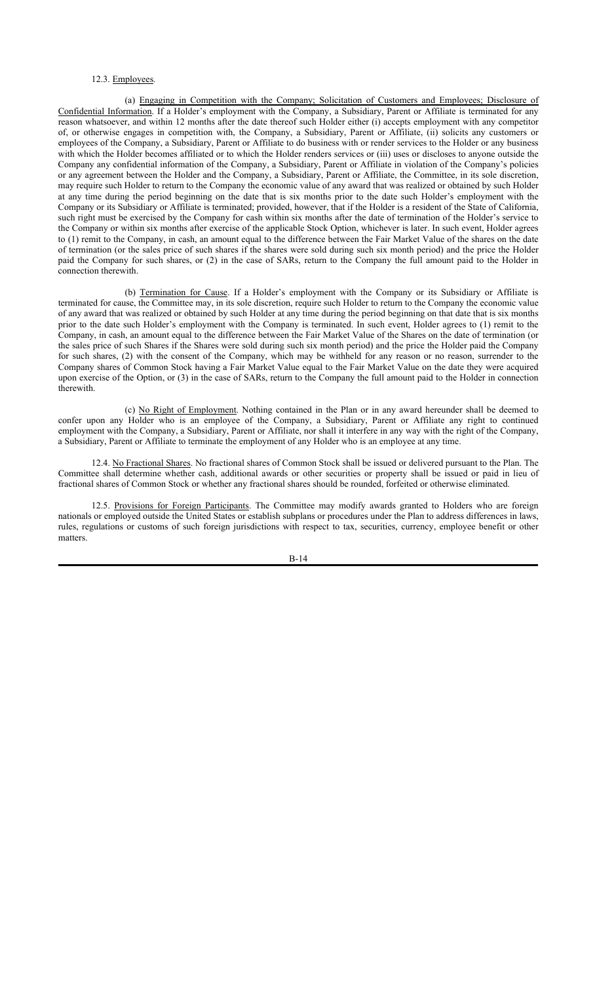## 12.3. Employees.

(a) Engaging in Competition with the Company; Solicitation of Customers and Employees; Disclosure of Confidential Information. If a Holder's employment with the Company, a Subsidiary, Parent or Affiliate is terminated for any reason whatsoever, and within 12 months after the date thereof such Holder either (i) accepts employment with any competitor of, or otherwise engages in competition with, the Company, a Subsidiary, Parent or Affiliate, (ii) solicits any customers or employees of the Company, a Subsidiary, Parent or Affiliate to do business with or render services to the Holder or any business with which the Holder becomes affiliated or to which the Holder renders services or (iii) uses or discloses to anyone outside the Company any confidential information of the Company, a Subsidiary, Parent or Affiliate in violation of the Company's policies or any agreement between the Holder and the Company, a Subsidiary, Parent or Affiliate, the Committee, in its sole discretion, may require such Holder to return to the Company the economic value of any award that was realized or obtained by such Holder at any time during the period beginning on the date that is six months prior to the date such Holder's employment with the Company or its Subsidiary or Affiliate is terminated; provided, however, that if the Holder is a resident of the State of California, such right must be exercised by the Company for cash within six months after the date of termination of the Holder's service to the Company or within six months after exercise of the applicable Stock Option, whichever is later. In such event, Holder agrees to (1) remit to the Company, in cash, an amount equal to the difference between the Fair Market Value of the shares on the date of termination (or the sales price of such shares if the shares were sold during such six month period) and the price the Holder paid the Company for such shares, or (2) in the case of SARs, return to the Company the full amount paid to the Holder in connection therewith.

(b) Termination for Cause. If a Holder's employment with the Company or its Subsidiary or Affiliate is terminated for cause, the Committee may, in its sole discretion, require such Holder to return to the Company the economic value of any award that was realized or obtained by such Holder at any time during the period beginning on that date that is six months prior to the date such Holder's employment with the Company is terminated. In such event, Holder agrees to (1) remit to the Company, in cash, an amount equal to the difference between the Fair Market Value of the Shares on the date of termination (or the sales price of such Shares if the Shares were sold during such six month period) and the price the Holder paid the Company for such shares, (2) with the consent of the Company, which may be withheld for any reason or no reason, surrender to the Company shares of Common Stock having a Fair Market Value equal to the Fair Market Value on the date they were acquired upon exercise of the Option, or (3) in the case of SARs, return to the Company the full amount paid to the Holder in connection therewith.

(c) No Right of Employment. Nothing contained in the Plan or in any award hereunder shall be deemed to confer upon any Holder who is an employee of the Company, a Subsidiary, Parent or Affiliate any right to continued employment with the Company, a Subsidiary, Parent or Affiliate, nor shall it interfere in any way with the right of the Company, a Subsidiary, Parent or Affiliate to terminate the employment of any Holder who is an employee at any time.

12.4. No Fractional Shares. No fractional shares of Common Stock shall be issued or delivered pursuant to the Plan. The Committee shall determine whether cash, additional awards or other securities or property shall be issued or paid in lieu of fractional shares of Common Stock or whether any fractional shares should be rounded, forfeited or otherwise eliminated.

12.5. Provisions for Foreign Participants. The Committee may modify awards granted to Holders who are foreign nationals or employed outside the United States or establish subplans or procedures under the Plan to address differences in laws, rules, regulations or customs of such foreign jurisdictions with respect to tax, securities, currency, employee benefit or other matters.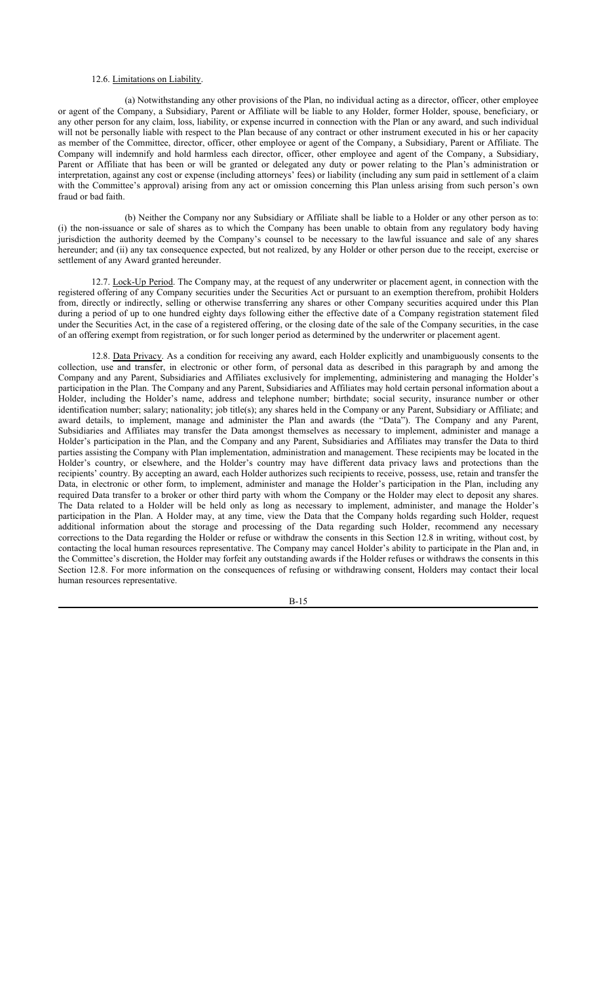## 12.6. Limitations on Liability.

(a) Notwithstanding any other provisions of the Plan, no individual acting as a director, officer, other employee or agent of the Company, a Subsidiary, Parent or Affiliate will be liable to any Holder, former Holder, spouse, beneficiary, or any other person for any claim, loss, liability, or expense incurred in connection with the Plan or any award, and such individual will not be personally liable with respect to the Plan because of any contract or other instrument executed in his or her capacity as member of the Committee, director, officer, other employee or agent of the Company, a Subsidiary, Parent or Affiliate. The Company will indemnify and hold harmless each director, officer, other employee and agent of the Company, a Subsidiary, Parent or Affiliate that has been or will be granted or delegated any duty or power relating to the Plan's administration or interpretation, against any cost or expense (including attorneys' fees) or liability (including any sum paid in settlement of a claim with the Committee's approval) arising from any act or omission concerning this Plan unless arising from such person's own fraud or bad faith.

(b) Neither the Company nor any Subsidiary or Affiliate shall be liable to a Holder or any other person as to: (i) the non-issuance or sale of shares as to which the Company has been unable to obtain from any regulatory body having jurisdiction the authority deemed by the Company's counsel to be necessary to the lawful issuance and sale of any shares hereunder; and (ii) any tax consequence expected, but not realized, by any Holder or other person due to the receipt, exercise or settlement of any Award granted hereunder.

12.7. Lock-Up Period. The Company may, at the request of any underwriter or placement agent, in connection with the registered offering of any Company securities under the Securities Act or pursuant to an exemption therefrom, prohibit Holders from, directly or indirectly, selling or otherwise transferring any shares or other Company securities acquired under this Plan during a period of up to one hundred eighty days following either the effective date of a Company registration statement filed under the Securities Act, in the case of a registered offering, or the closing date of the sale of the Company securities, in the case of an offering exempt from registration, or for such longer period as determined by the underwriter or placement agent.

12.8. Data Privacy. As a condition for receiving any award, each Holder explicitly and unambiguously consents to the collection, use and transfer, in electronic or other form, of personal data as described in this paragraph by and among the Company and any Parent, Subsidiaries and Affiliates exclusively for implementing, administering and managing the Holder's participation in the Plan. The Company and any Parent, Subsidiaries and Affiliates may hold certain personal information about a Holder, including the Holder's name, address and telephone number; birthdate; social security, insurance number or other identification number; salary; nationality; job title(s); any shares held in the Company or any Parent, Subsidiary or Affiliate; and award details, to implement, manage and administer the Plan and awards (the "Data"). The Company and any Parent, Subsidiaries and Affiliates may transfer the Data amongst themselves as necessary to implement, administer and manage a Holder's participation in the Plan, and the Company and any Parent, Subsidiaries and Affiliates may transfer the Data to third parties assisting the Company with Plan implementation, administration and management. These recipients may be located in the Holder's country, or elsewhere, and the Holder's country may have different data privacy laws and protections than the recipients' country. By accepting an award, each Holder authorizes such recipients to receive, possess, use, retain and transfer the Data, in electronic or other form, to implement, administer and manage the Holder's participation in the Plan, including any required Data transfer to a broker or other third party with whom the Company or the Holder may elect to deposit any shares. The Data related to a Holder will be held only as long as necessary to implement, administer, and manage the Holder's participation in the Plan. A Holder may, at any time, view the Data that the Company holds regarding such Holder, request additional information about the storage and processing of the Data regarding such Holder, recommend any necessary corrections to the Data regarding the Holder or refuse or withdraw the consents in this Section 12.8 in writing, without cost, by contacting the local human resources representative. The Company may cancel Holder's ability to participate in the Plan and, in the Committee's discretion, the Holder may forfeit any outstanding awards if the Holder refuses or withdraws the consents in this Section 12.8. For more information on the consequences of refusing or withdrawing consent, Holders may contact their local human resources representative.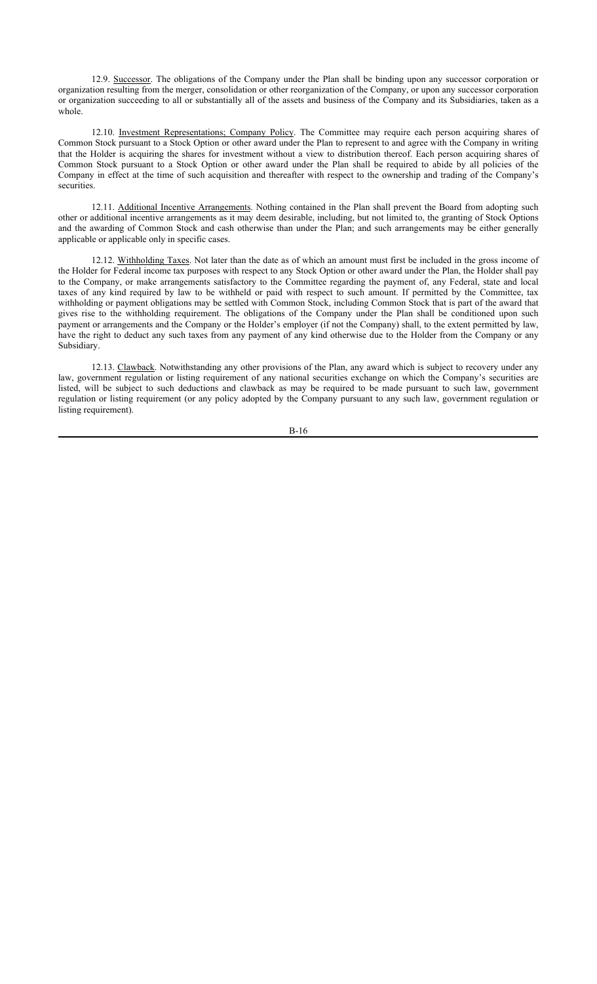12.9. Successor. The obligations of the Company under the Plan shall be binding upon any successor corporation or organization resulting from the merger, consolidation or other reorganization of the Company, or upon any successor corporation or organization succeeding to all or substantially all of the assets and business of the Company and its Subsidiaries, taken as a whole.

12.10. Investment Representations; Company Policy. The Committee may require each person acquiring shares of Common Stock pursuant to a Stock Option or other award under the Plan to represent to and agree with the Company in writing that the Holder is acquiring the shares for investment without a view to distribution thereof. Each person acquiring shares of Common Stock pursuant to a Stock Option or other award under the Plan shall be required to abide by all policies of the Company in effect at the time of such acquisition and thereafter with respect to the ownership and trading of the Company's securities.

12.11. Additional Incentive Arrangements. Nothing contained in the Plan shall prevent the Board from adopting such other or additional incentive arrangements as it may deem desirable, including, but not limited to, the granting of Stock Options and the awarding of Common Stock and cash otherwise than under the Plan; and such arrangements may be either generally applicable or applicable only in specific cases.

12.12. Withholding Taxes. Not later than the date as of which an amount must first be included in the gross income of the Holder for Federal income tax purposes with respect to any Stock Option or other award under the Plan, the Holder shall pay to the Company, or make arrangements satisfactory to the Committee regarding the payment of, any Federal, state and local taxes of any kind required by law to be withheld or paid with respect to such amount. If permitted by the Committee, tax withholding or payment obligations may be settled with Common Stock, including Common Stock that is part of the award that gives rise to the withholding requirement. The obligations of the Company under the Plan shall be conditioned upon such payment or arrangements and the Company or the Holder's employer (if not the Company) shall, to the extent permitted by law, have the right to deduct any such taxes from any payment of any kind otherwise due to the Holder from the Company or any Subsidiary.

12.13. Clawback. Notwithstanding any other provisions of the Plan, any award which is subject to recovery under any law, government regulation or listing requirement of any national securities exchange on which the Company's securities are listed, will be subject to such deductions and clawback as may be required to be made pursuant to such law, government regulation or listing requirement (or any policy adopted by the Company pursuant to any such law, government regulation or listing requirement).